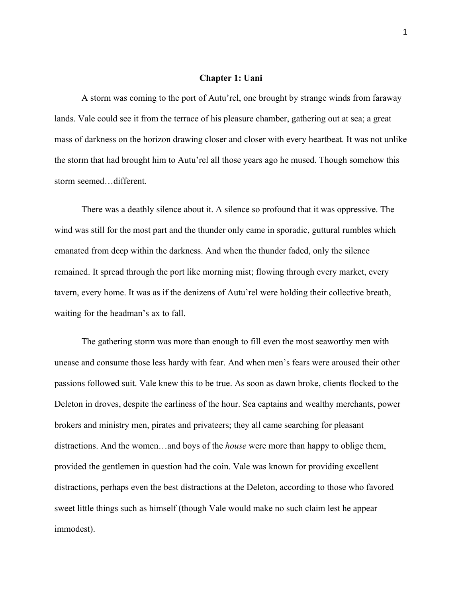#### **Chapter 1: Uani**

A storm was coming to the port of Autu'rel, one brought by strange winds from faraway lands. Vale could see it from the terrace of his pleasure chamber, gathering out at sea; a great mass of darkness on the horizon drawing closer and closer with every heartbeat. It was not unlike the storm that had brought him to Autu'rel all those years ago he mused. Though somehow this storm seemed…different.

There was a deathly silence about it. A silence so profound that it was oppressive. The wind was still for the most part and the thunder only came in sporadic, guttural rumbles which emanated from deep within the darkness. And when the thunder faded, only the silence remained. It spread through the port like morning mist; flowing through every market, every tavern, every home. It was as if the denizens of Autu'rel were holding their collective breath, waiting for the headman's ax to fall.

The gathering storm was more than enough to fill even the most seaworthy men with unease and consume those less hardy with fear. And when men's fears were aroused their other passions followed suit. Vale knew this to be true. As soon as dawn broke, clients flocked to the Deleton in droves, despite the earliness of the hour. Sea captains and wealthy merchants, power brokers and ministry men, pirates and privateers; they all came searching for pleasant distractions. And the women…and boys of the *house* were more than happy to oblige them, provided the gentlemen in question had the coin. Vale was known for providing excellent distractions, perhaps even the best distractions at the Deleton, according to those who favored sweet little things such as himself (though Vale would make no such claim lest he appear immodest).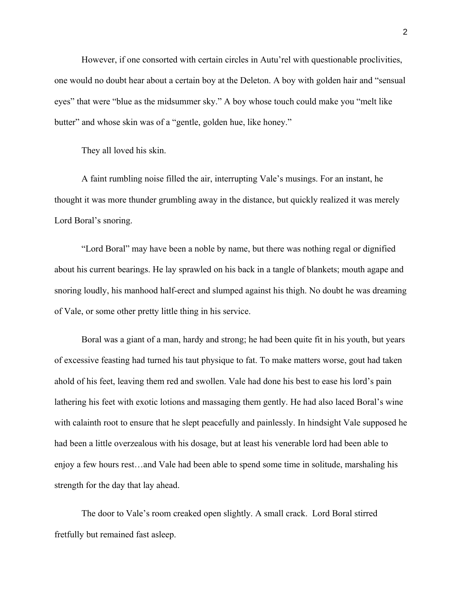However, if one consorted with certain circles in Autu'rel with questionable proclivities, one would no doubt hear about a certain boy at the Deleton. A boy with golden hair and "sensual eyes" that were "blue as the midsummer sky." A boy whose touch could make you "melt like butter" and whose skin was of a "gentle, golden hue, like honey."

They all loved his skin.

A faint rumbling noise filled the air, interrupting Vale's musings. For an instant, he thought it was more thunder grumbling away in the distance, but quickly realized it was merely Lord Boral's snoring.

"Lord Boral" may have been a noble by name, but there was nothing regal or dignified about his current bearings. He lay sprawled on his back in a tangle of blankets; mouth agape and snoring loudly, his manhood half-erect and slumped against his thigh. No doubt he was dreaming of Vale, or some other pretty little thing in his service.

Boral was a giant of a man, hardy and strong; he had been quite fit in his youth, but years of excessive feasting had turned his taut physique to fat. To make matters worse, gout had taken ahold of his feet, leaving them red and swollen. Vale had done his best to ease his lord's pain lathering his feet with exotic lotions and massaging them gently. He had also laced Boral's wine with calainth root to ensure that he slept peacefully and painlessly. In hindsight Vale supposed he had been a little overzealous with his dosage, but at least his venerable lord had been able to enjoy a few hours rest…and Vale had been able to spend some time in solitude, marshaling his strength for the day that lay ahead.

The door to Vale's room creaked open slightly. A small crack. Lord Boral stirred fretfully but remained fast asleep.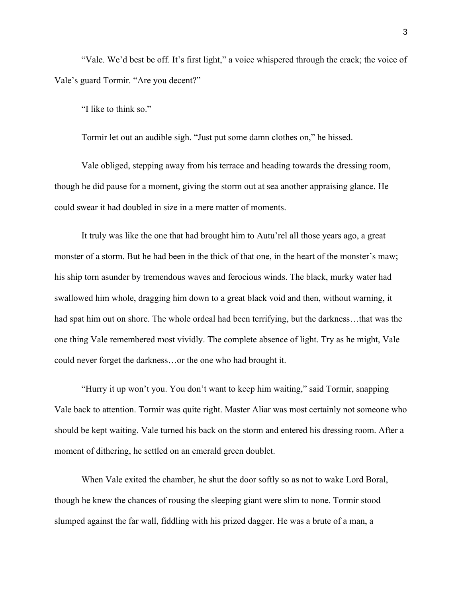"Vale. We'd best be off. It's first light," a voice whispered through the crack; the voice of Vale's guard Tormir. "Are you decent?"

"I like to think so."

Tormir let out an audible sigh. "Just put some damn clothes on," he hissed.

Vale obliged, stepping away from his terrace and heading towards the dressing room, though he did pause for a moment, giving the storm out at sea another appraising glance. He could swear it had doubled in size in a mere matter of moments.

It truly was like the one that had brought him to Autu'rel all those years ago, a great monster of a storm. But he had been in the thick of that one, in the heart of the monster's maw; his ship torn asunder by tremendous waves and ferocious winds. The black, murky water had swallowed him whole, dragging him down to a great black void and then, without warning, it had spat him out on shore. The whole ordeal had been terrifying, but the darkness...that was the one thing Vale remembered most vividly. The complete absence of light. Try as he might, Vale could never forget the darkness…or the one who had brought it.

"Hurry it up won't you. You don't want to keep him waiting," said Tormir, snapping Vale back to attention. Tormir was quite right. Master Aliar was most certainly not someone who should be kept waiting. Vale turned his back on the storm and entered his dressing room. After a moment of dithering, he settled on an emerald green doublet.

When Vale exited the chamber, he shut the door softly so as not to wake Lord Boral, though he knew the chances of rousing the sleeping giant were slim to none. Tormir stood slumped against the far wall, fiddling with his prized dagger. He was a brute of a man, a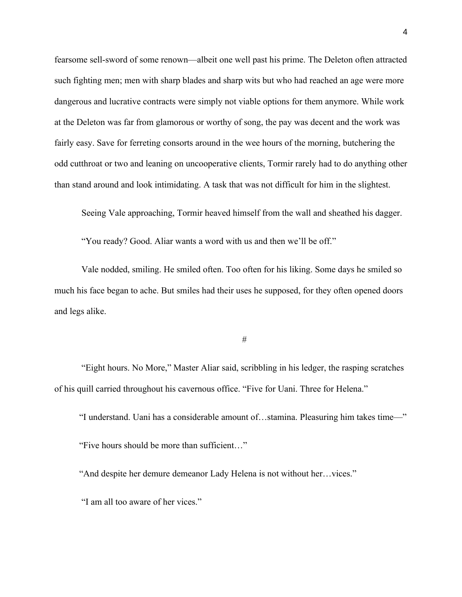fearsome sell-sword of some renown—albeit one well past his prime. The Deleton often attracted such fighting men; men with sharp blades and sharp wits but who had reached an age were more dangerous and lucrative contracts were simply not viable options for them anymore. While work at the Deleton was far from glamorous or worthy of song, the pay was decent and the work was fairly easy. Save for ferreting consorts around in the wee hours of the morning, butchering the odd cutthroat or two and leaning on uncooperative clients, Tormir rarely had to do anything other than stand around and look intimidating. A task that was not difficult for him in the slightest.

Seeing Vale approaching, Tormir heaved himself from the wall and sheathed his dagger.

"You ready? Good. Aliar wants a word with us and then we'll be off."

Vale nodded, smiling. He smiled often. Too often for his liking. Some days he smiled so much his face began to ache. But smiles had their uses he supposed, for they often opened doors and legs alike.

#

"Eight hours. No More," Master Aliar said, scribbling in his ledger, the rasping scratches of his quill carried throughout his cavernous office. "Five for Uani. Three for Helena."

 "I understand. Uani has a considerable amount of…stamina. Pleasuring him takes time—" "Five hours should be more than sufficient…"

"And despite her demure demeanor Lady Helena is not without her…vices."

"I am all too aware of her vices."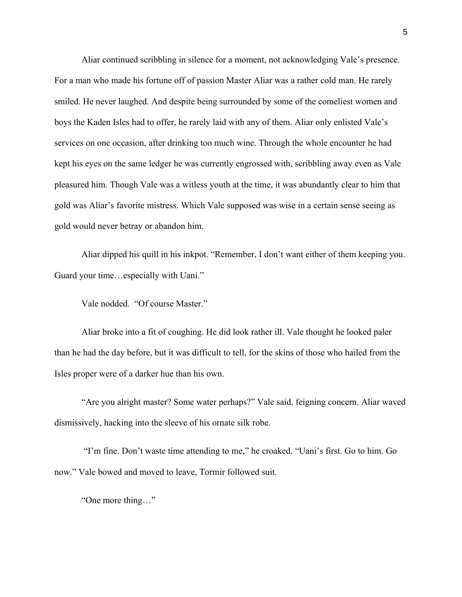Aliar continued scribbling in silence for a moment, not acknowledging Vale's presence. For a man who made his fortune off of passion Master Aliar was a rather cold man. He rarely smiled. He never laughed. And despite being surrounded by some of the comeliest women and boys the Kaden Isles had to offer, he rarely laid with any of them. Aliar only enlisted Vale's services on one occasion, after drinking too much wine. Through the whole encounter he had kept his eyes on the same ledger he was currently engrossed with, scribbling away even as Vale pleasured him. Though Vale was a witless youth at the time, it was abundantly clear to him that gold was Aliar's favorite mistress. Which Vale supposed was wise in a certain sense seeing as gold would never betray or abandon him.

Aliar dipped his quill in his inkpot. "Remember, I don't want either of them keeping you. Guard your time…especially with Uani."

Vale nodded. "Of course Master."

Aliar broke into a fit of coughing. He did look rather ill. Vale thought he looked paler than he had the day before, but it was difficult to tell, for the skins of those who hailed from the Isles proper were of a darker hue than his own.

"Are you alright master? Some water perhaps?" Vale said, feigning concern. Aliar waved dismissively, hacking into the sleeve of his ornate silk robe.

"I'm fine. Don't waste time attending to me," he croaked. "Uani's first. Go to him. Go now." Vale bowed and moved to leave, Tormir followed suit.

"One more thing…"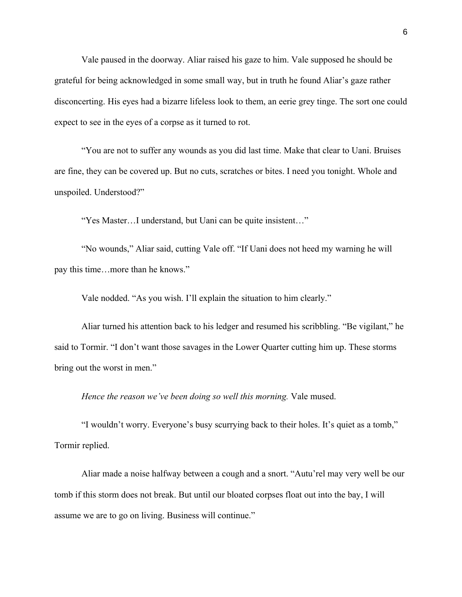Vale paused in the doorway. Aliar raised his gaze to him. Vale supposed he should be grateful for being acknowledged in some small way, but in truth he found Aliar's gaze rather disconcerting. His eyes had a bizarre lifeless look to them, an eerie grey tinge. The sort one could expect to see in the eyes of a corpse as it turned to rot.

"You are not to suffer any wounds as you did last time. Make that clear to Uani. Bruises are fine, they can be covered up. But no cuts, scratches or bites. I need you tonight. Whole and unspoiled. Understood?"

"Yes Master…I understand, but Uani can be quite insistent…"

"No wounds," Aliar said, cutting Vale off. "If Uani does not heed my warning he will pay this time…more than he knows."

Vale nodded. "As you wish. I'll explain the situation to him clearly."

Aliar turned his attention back to his ledger and resumed his scribbling. "Be vigilant," he said to Tormir. "I don't want those savages in the Lower Quarter cutting him up. These storms bring out the worst in men."

*Hence the reason we've been doing so well this morning.* Vale mused.

"I wouldn't worry. Everyone's busy scurrying back to their holes. It's quiet as a tomb," Tormir replied.

Aliar made a noise halfway between a cough and a snort. "Autu'rel may very well be our tomb if this storm does not break. But until our bloated corpses float out into the bay, I will assume we are to go on living. Business will continue."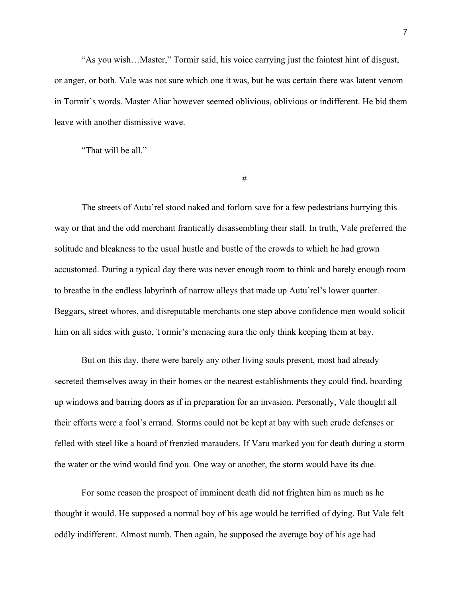"As you wish…Master," Tormir said, his voice carrying just the faintest hint of disgust, or anger, or both. Vale was not sure which one it was, but he was certain there was latent venom in Tormir's words. Master Aliar however seemed oblivious, oblivious or indifferent. He bid them leave with another dismissive wave.

"That will be all."

#

The streets of Autu'rel stood naked and forlorn save for a few pedestrians hurrying this way or that and the odd merchant frantically disassembling their stall. In truth, Vale preferred the solitude and bleakness to the usual hustle and bustle of the crowds to which he had grown accustomed. During a typical day there was never enough room to think and barely enough room to breathe in the endless labyrinth of narrow alleys that made up Autu'rel's lower quarter. Beggars, street whores, and disreputable merchants one step above confidence men would solicit him on all sides with gusto, Tormir's menacing aura the only think keeping them at bay.

But on this day, there were barely any other living souls present, most had already secreted themselves away in their homes or the nearest establishments they could find, boarding up windows and barring doors as if in preparation for an invasion. Personally, Vale thought all their efforts were a fool's errand. Storms could not be kept at bay with such crude defenses or felled with steel like a hoard of frenzied marauders. If Varu marked you for death during a storm the water or the wind would find you. One way or another, the storm would have its due.

For some reason the prospect of imminent death did not frighten him as much as he thought it would. He supposed a normal boy of his age would be terrified of dying. But Vale felt oddly indifferent. Almost numb. Then again, he supposed the average boy of his age had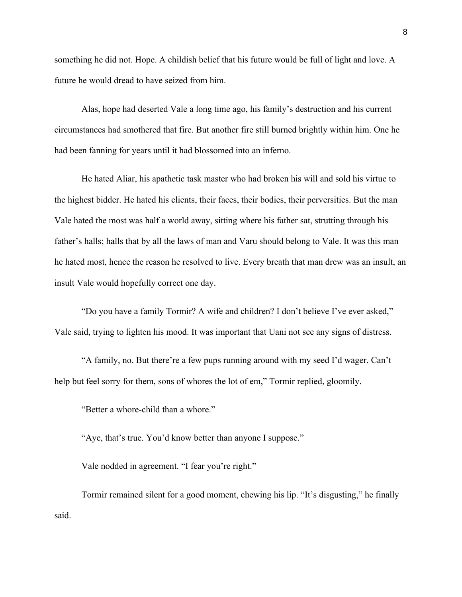something he did not. Hope. A childish belief that his future would be full of light and love. A future he would dread to have seized from him.

Alas, hope had deserted Vale a long time ago, his family's destruction and his current circumstances had smothered that fire. But another fire still burned brightly within him. One he had been fanning for years until it had blossomed into an inferno.

He hated Aliar, his apathetic task master who had broken his will and sold his virtue to the highest bidder. He hated his clients, their faces, their bodies, their perversities. But the man Vale hated the most was half a world away, sitting where his father sat, strutting through his father's halls; halls that by all the laws of man and Varu should belong to Vale. It was this man he hated most, hence the reason he resolved to live. Every breath that man drew was an insult, an insult Vale would hopefully correct one day.

"Do you have a family Tormir? A wife and children? I don't believe I've ever asked," Vale said, trying to lighten his mood. It was important that Uani not see any signs of distress.

"A family, no. But there're a few pups running around with my seed I'd wager. Can't help but feel sorry for them, sons of whores the lot of em," Tormir replied, gloomily.

"Better a whore-child than a whore."

"Aye, that's true. You'd know better than anyone I suppose."

Vale nodded in agreement. "I fear you're right."

Tormir remained silent for a good moment, chewing his lip. "It's disgusting," he finally said.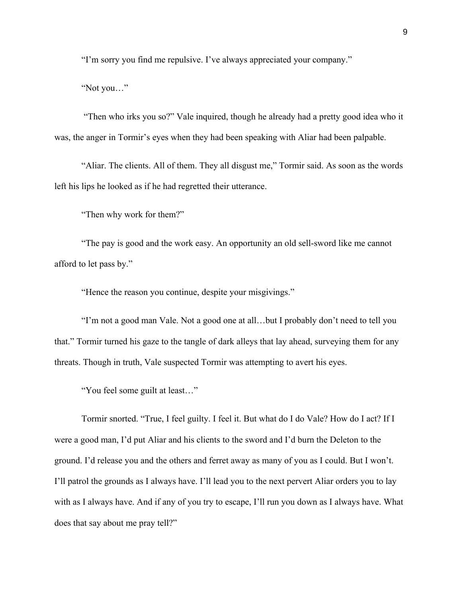"I'm sorry you find me repulsive. I've always appreciated your company."

"Not you…"

"Then who irks you so?" Vale inquired, though he already had a pretty good idea who it was, the anger in Tormir's eyes when they had been speaking with Aliar had been palpable.

"Aliar. The clients. All of them. They all disgust me," Tormir said. As soon as the words left his lips he looked as if he had regretted their utterance.

"Then why work for them?"

"The pay is good and the work easy. An opportunity an old sell-sword like me cannot afford to let pass by."

"Hence the reason you continue, despite your misgivings."

"I'm not a good man Vale. Not a good one at all…but I probably don't need to tell you that." Tormir turned his gaze to the tangle of dark alleys that lay ahead, surveying them for any threats. Though in truth, Vale suspected Tormir was attempting to avert his eyes.

"You feel some guilt at least…"

Tormir snorted. "True, I feel guilty. I feel it. But what do I do Vale? How do I act? If I were a good man, I'd put Aliar and his clients to the sword and I'd burn the Deleton to the ground. I'd release you and the others and ferret away as many of you as I could. But I won't. I'll patrol the grounds as I always have. I'll lead you to the next pervert Aliar orders you to lay with as I always have. And if any of you try to escape, I'll run you down as I always have. What does that say about me pray tell?"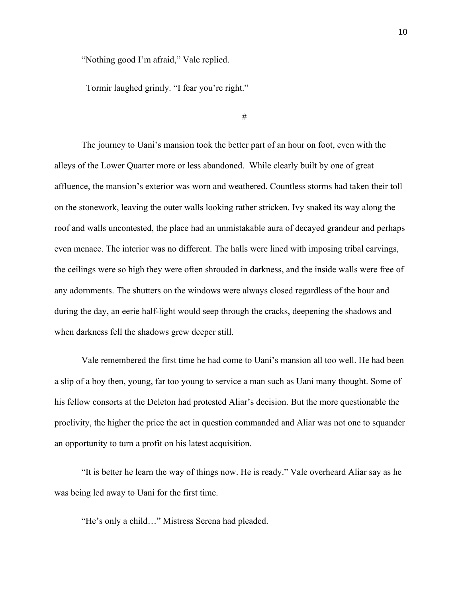"Nothing good I'm afraid," Vale replied.

Tormir laughed grimly. "I fear you're right."

#

The journey to Uani's mansion took the better part of an hour on foot, even with the alleys of the Lower Quarter more or less abandoned. While clearly built by one of great affluence, the mansion's exterior was worn and weathered. Countless storms had taken their toll on the stonework, leaving the outer walls looking rather stricken. Ivy snaked its way along the roof and walls uncontested, the place had an unmistakable aura of decayed grandeur and perhaps even menace. The interior was no different. The halls were lined with imposing tribal carvings, the ceilings were so high they were often shrouded in darkness, and the inside walls were free of any adornments. The shutters on the windows were always closed regardless of the hour and during the day, an eerie half-light would seep through the cracks, deepening the shadows and when darkness fell the shadows grew deeper still.

Vale remembered the first time he had come to Uani's mansion all too well. He had been a slip of a boy then, young, far too young to service a man such as Uani many thought. Some of his fellow consorts at the Deleton had protested Aliar's decision. But the more questionable the proclivity, the higher the price the act in question commanded and Aliar was not one to squander an opportunity to turn a profit on his latest acquisition.

"It is better he learn the way of things now. He is ready." Vale overheard Aliar say as he was being led away to Uani for the first time.

"He's only a child…" Mistress Serena had pleaded.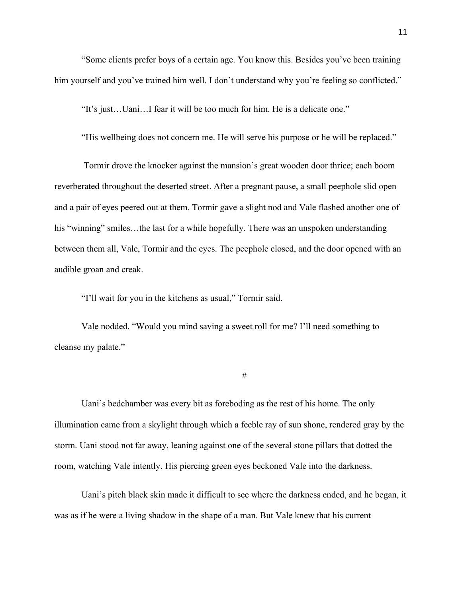"Some clients prefer boys of a certain age. You know this. Besides you've been training him yourself and you've trained him well. I don't understand why you're feeling so conflicted."

"It's just…Uani…I fear it will be too much for him. He is a delicate one."

"His wellbeing does not concern me. He will serve his purpose or he will be replaced."

Tormir drove the knocker against the mansion's great wooden door thrice; each boom reverberated throughout the deserted street. After a pregnant pause, a small peephole slid open and a pair of eyes peered out at them. Tormir gave a slight nod and Vale flashed another one of his "winning" smiles...the last for a while hopefully. There was an unspoken understanding between them all, Vale, Tormir and the eyes. The peephole closed, and the door opened with an audible groan and creak.

"I'll wait for you in the kitchens as usual," Tormir said.

Vale nodded. "Would you mind saving a sweet roll for me? I'll need something to cleanse my palate."

#

Uani's bedchamber was every bit as foreboding as the rest of his home. The only illumination came from a skylight through which a feeble ray of sun shone, rendered gray by the storm. Uani stood not far away, leaning against one of the several stone pillars that dotted the room, watching Vale intently. His piercing green eyes beckoned Vale into the darkness.

Uani's pitch black skin made it difficult to see where the darkness ended, and he began, it was as if he were a living shadow in the shape of a man. But Vale knew that his current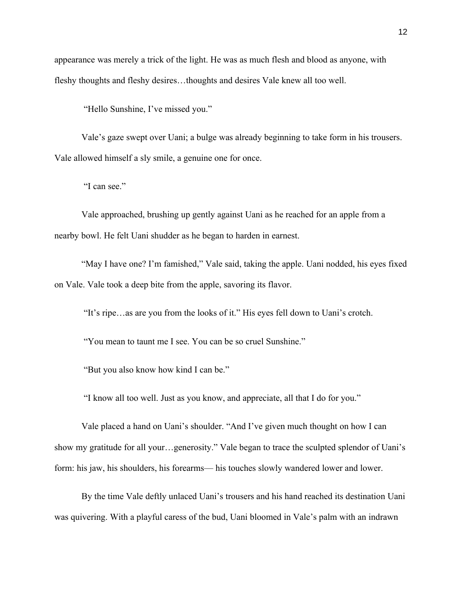appearance was merely a trick of the light. He was as much flesh and blood as anyone, with fleshy thoughts and fleshy desires…thoughts and desires Vale knew all too well.

"Hello Sunshine, I've missed you."

Vale's gaze swept over Uani; a bulge was already beginning to take form in his trousers. Vale allowed himself a sly smile, a genuine one for once.

"I can see."

Vale approached, brushing up gently against Uani as he reached for an apple from a nearby bowl. He felt Uani shudder as he began to harden in earnest.

"May I have one? I'm famished," Vale said, taking the apple. Uani nodded, his eyes fixed on Vale. Vale took a deep bite from the apple, savoring its flavor.

"It's ripe…as are you from the looks of it." His eyes fell down to Uani's crotch.

"You mean to taunt me I see. You can be so cruel Sunshine."

"But you also know how kind I can be."

"I know all too well. Just as you know, and appreciate, all that I do for you."

Vale placed a hand on Uani's shoulder. "And I've given much thought on how I can show my gratitude for all your…generosity." Vale began to trace the sculpted splendor of Uani's form: his jaw, his shoulders, his forearms— his touches slowly wandered lower and lower.

By the time Vale deftly unlaced Uani's trousers and his hand reached its destination Uani was quivering. With a playful caress of the bud, Uani bloomed in Vale's palm with an indrawn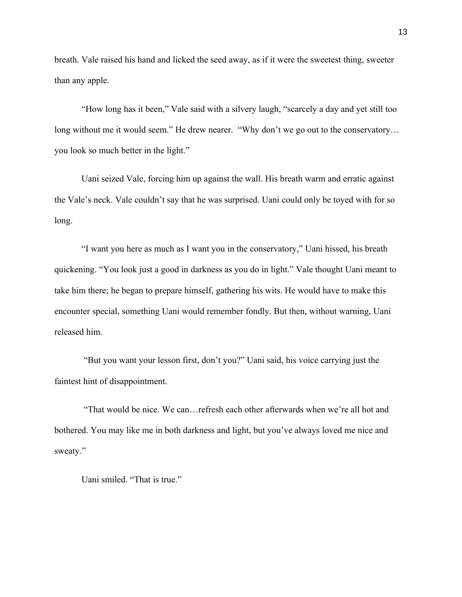breath. Vale raised his hand and licked the seed away, as if it were the sweetest thing, sweeter than any apple.

"How long has it been," Vale said with a silvery laugh, "scarcely a day and yet still too long without me it would seem." He drew nearer. "Why don't we go out to the conservatory... you look so much better in the light."

Uani seized Vale, forcing him up against the wall. His breath warm and erratic against the Vale's neck. Vale couldn't say that he was surprised. Uani could only be toyed with for so long.

"I want you here as much as I want you in the conservatory," Uani hissed, his breath quickening. "You look just a good in darkness as you do in light." Vale thought Uani meant to take him there; he began to prepare himself, gathering his wits. He would have to make this encounter special, something Uani would remember fondly. But then, without warning, Uani released him.

"But you want your lesson first, don't you?" Uani said, his voice carrying just the faintest hint of disappointment.

"That would be nice. We can…refresh each other afterwards when we're all hot and bothered. You may like me in both darkness and light, but you've always loved me nice and sweaty."

Uani smiled. "That is true."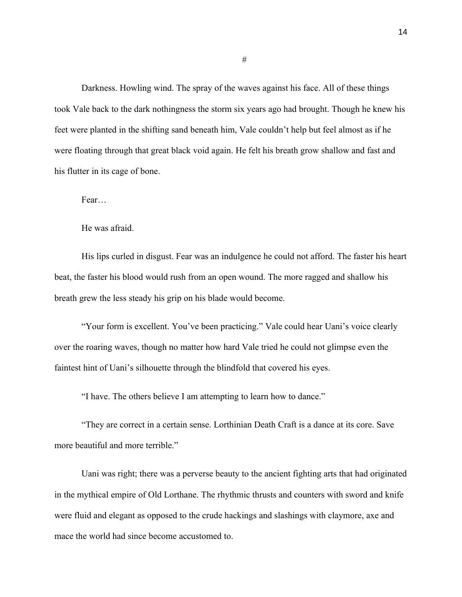Darkness. Howling wind. The spray of the waves against his face. All of these things took Vale back to the dark nothingness the storm six years ago had brought. Though he knew his feet were planted in the shifting sand beneath him, Vale couldn't help but feel almost as if he were floating through that great black void again. He felt his breath grow shallow and fast and his flutter in its cage of bone.

Fear…

He was afraid.

His lips curled in disgust. Fear was an indulgence he could not afford. The faster his heart beat, the faster his blood would rush from an open wound. The more ragged and shallow his breath grew the less steady his grip on his blade would become.

"Your form is excellent. You've been practicing." Vale could hear Uani's voice clearly over the roaring waves, though no matter how hard Vale tried he could not glimpse even the faintest hint of Uani's silhouette through the blindfold that covered his eyes.

"I have. The others believe I am attempting to learn how to dance."

"They are correct in a certain sense. Lorthinian Death Craft is a dance at its core. Save more beautiful and more terrible."

Uani was right; there was a perverse beauty to the ancient fighting arts that had originated in the mythical empire of Old Lorthane. The rhythmic thrusts and counters with sword and knife were fluid and elegant as opposed to the crude hackings and slashings with claymore, axe and mace the world had since become accustomed to.

#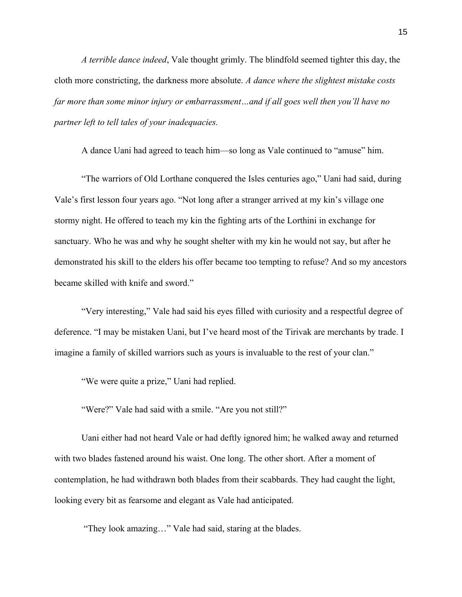*A terrible dance indeed*, Vale thought grimly. The blindfold seemed tighter this day, the cloth more constricting, the darkness more absolute. *A dance where the slightest mistake costs far more than some minor injury or embarrassment…and if all goes well then you'll have no partner left to tell tales of your inadequacies.* 

A dance Uani had agreed to teach him—so long as Vale continued to "amuse" him.

"The warriors of Old Lorthane conquered the Isles centuries ago," Uani had said, during Vale's first lesson four years ago. "Not long after a stranger arrived at my kin's village one stormy night. He offered to teach my kin the fighting arts of the Lorthini in exchange for sanctuary. Who he was and why he sought shelter with my kin he would not say, but after he demonstrated his skill to the elders his offer became too tempting to refuse? And so my ancestors became skilled with knife and sword."

"Very interesting," Vale had said his eyes filled with curiosity and a respectful degree of deference. "I may be mistaken Uani, but I've heard most of the Tirivak are merchants by trade. I imagine a family of skilled warriors such as yours is invaluable to the rest of your clan."

"We were quite a prize," Uani had replied.

"Were?" Vale had said with a smile. "Are you not still?"

Uani either had not heard Vale or had deftly ignored him; he walked away and returned with two blades fastened around his waist. One long. The other short. After a moment of contemplation, he had withdrawn both blades from their scabbards. They had caught the light, looking every bit as fearsome and elegant as Vale had anticipated.

"They look amazing…" Vale had said, staring at the blades.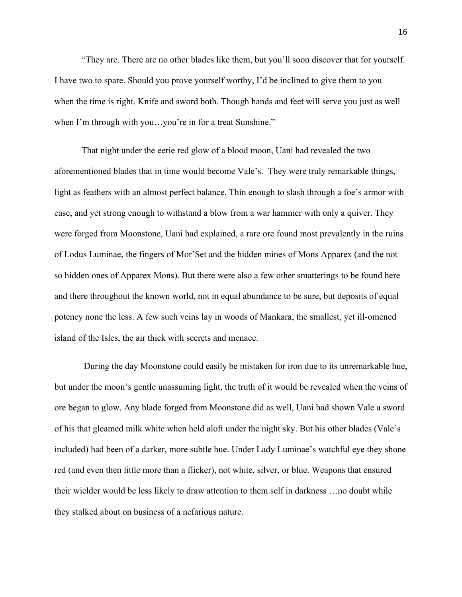"They are. There are no other blades like them, but you'll soon discover that for yourself. I have two to spare. Should you prove yourself worthy, I'd be inclined to give them to you when the time is right. Knife and sword both. Though hands and feet will serve you just as well when I'm through with you…you're in for a treat Sunshine."

That night under the eerie red glow of a blood moon, Uani had revealed the two aforementioned blades that in time would become Vale's. They were truly remarkable things, light as feathers with an almost perfect balance. Thin enough to slash through a foe's armor with ease, and yet strong enough to withstand a blow from a war hammer with only a quiver. They were forged from Moonstone, Uani had explained, a rare ore found most prevalently in the ruins of Lodus Luminae, the fingers of Mor'Set and the hidden mines of Mons Apparex (and the not so hidden ones of Apparex Mons). But there were also a few other smatterings to be found here and there throughout the known world, not in equal abundance to be sure, but deposits of equal potency none the less. A few such veins lay in woods of Mankara, the smallest, yet ill-omened island of the Isles, the air thick with secrets and menace.

During the day Moonstone could easily be mistaken for iron due to its unremarkable hue, but under the moon's gentle unassuming light, the truth of it would be revealed when the veins of ore began to glow. Any blade forged from Moonstone did as well, Uani had shown Vale a sword of his that gleamed milk white when held aloft under the night sky. But his other blades (Vale's included) had been of a darker, more subtle hue. Under Lady Luminae's watchful eye they shone red (and even then little more than a flicker), not white, silver, or blue. Weapons that ensured their wielder would be less likely to draw attention to them self in darkness …no doubt while they stalked about on business of a nefarious nature.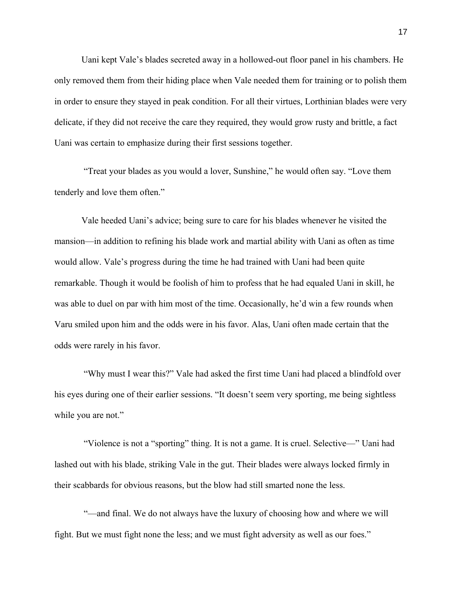Uani kept Vale's blades secreted away in a hollowed-out floor panel in his chambers. He only removed them from their hiding place when Vale needed them for training or to polish them in order to ensure they stayed in peak condition. For all their virtues, Lorthinian blades were very delicate, if they did not receive the care they required, they would grow rusty and brittle, a fact Uani was certain to emphasize during their first sessions together.

"Treat your blades as you would a lover, Sunshine," he would often say. "Love them tenderly and love them often."

Vale heeded Uani's advice; being sure to care for his blades whenever he visited the mansion—in addition to refining his blade work and martial ability with Uani as often as time would allow. Vale's progress during the time he had trained with Uani had been quite remarkable. Though it would be foolish of him to profess that he had equaled Uani in skill, he was able to duel on par with him most of the time. Occasionally, he'd win a few rounds when Varu smiled upon him and the odds were in his favor. Alas, Uani often made certain that the odds were rarely in his favor.

"Why must I wear this?" Vale had asked the first time Uani had placed a blindfold over his eyes during one of their earlier sessions. "It doesn't seem very sporting, me being sightless while you are not."

"Violence is not a "sporting" thing. It is not a game. It is cruel. Selective—" Uani had lashed out with his blade, striking Vale in the gut. Their blades were always locked firmly in their scabbards for obvious reasons, but the blow had still smarted none the less.

"-and final. We do not always have the luxury of choosing how and where we will fight. But we must fight none the less; and we must fight adversity as well as our foes."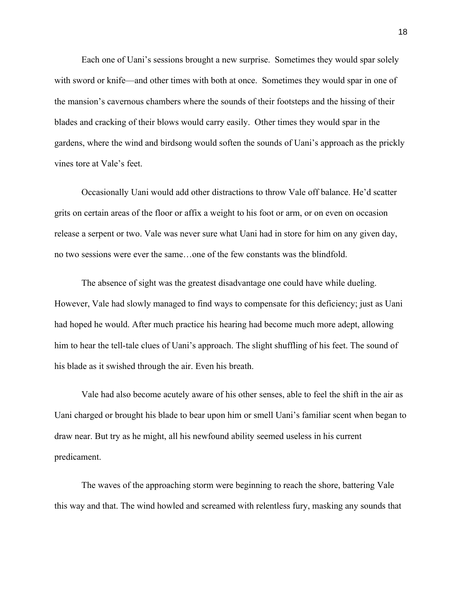Each one of Uani's sessions brought a new surprise. Sometimes they would spar solely with sword or knife—and other times with both at once. Sometimes they would spar in one of the mansion's cavernous chambers where the sounds of their footsteps and the hissing of their blades and cracking of their blows would carry easily. Other times they would spar in the gardens, where the wind and birdsong would soften the sounds of Uani's approach as the prickly vines tore at Vale's feet.

Occasionally Uani would add other distractions to throw Vale off balance. He'd scatter grits on certain areas of the floor or affix a weight to his foot or arm, or on even on occasion release a serpent or two. Vale was never sure what Uani had in store for him on any given day, no two sessions were ever the same…one of the few constants was the blindfold.

The absence of sight was the greatest disadvantage one could have while dueling. However, Vale had slowly managed to find ways to compensate for this deficiency; just as Uani had hoped he would. After much practice his hearing had become much more adept, allowing him to hear the tell-tale clues of Uani's approach. The slight shuffling of his feet. The sound of his blade as it swished through the air. Even his breath.

Vale had also become acutely aware of his other senses, able to feel the shift in the air as Uani charged or brought his blade to bear upon him or smell Uani's familiar scent when began to draw near. But try as he might, all his newfound ability seemed useless in his current predicament.

The waves of the approaching storm were beginning to reach the shore, battering Vale this way and that. The wind howled and screamed with relentless fury, masking any sounds that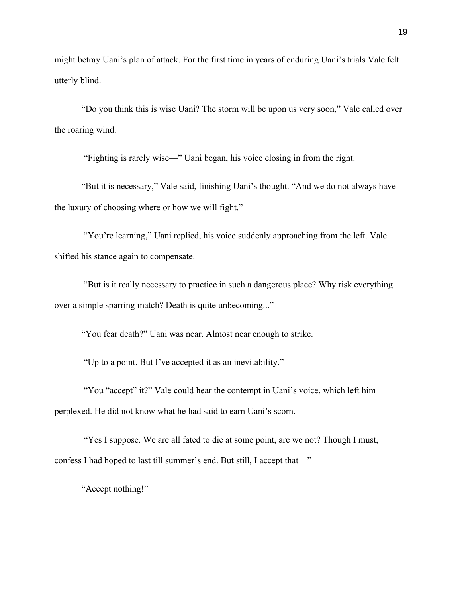might betray Uani's plan of attack. For the first time in years of enduring Uani's trials Vale felt utterly blind.

"Do you think this is wise Uani? The storm will be upon us very soon," Vale called over the roaring wind.

"Fighting is rarely wise—" Uani began, his voice closing in from the right.

"But it is necessary," Vale said, finishing Uani's thought. "And we do not always have the luxury of choosing where or how we will fight."

"You're learning," Uani replied, his voice suddenly approaching from the left. Vale shifted his stance again to compensate.

"But is it really necessary to practice in such a dangerous place? Why risk everything over a simple sparring match? Death is quite unbecoming..."

"You fear death?" Uani was near. Almost near enough to strike.

"Up to a point. But I've accepted it as an inevitability."

"You "accept" it?" Vale could hear the contempt in Uani's voice, which left him perplexed. He did not know what he had said to earn Uani's scorn.

"Yes I suppose. We are all fated to die at some point, are we not? Though I must, confess I had hoped to last till summer's end. But still, I accept that—"

"Accept nothing!"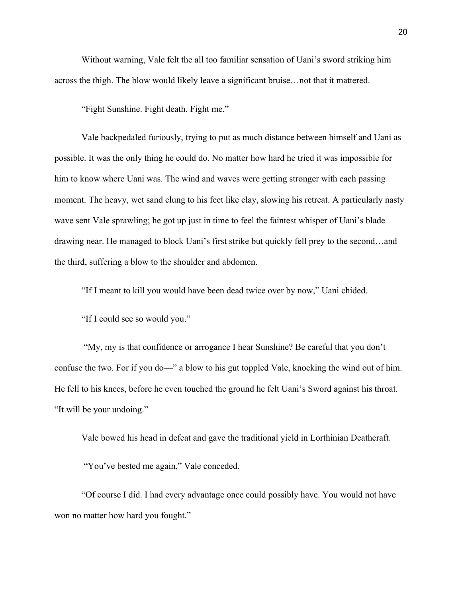Without warning, Vale felt the all too familiar sensation of Uani's sword striking him across the thigh. The blow would likely leave a significant bruise…not that it mattered.

"Fight Sunshine. Fight death. Fight me."

Vale backpedaled furiously, trying to put as much distance between himself and Uani as possible. It was the only thing he could do. No matter how hard he tried it was impossible for him to know where Uani was. The wind and waves were getting stronger with each passing moment. The heavy, wet sand clung to his feet like clay, slowing his retreat. A particularly nasty wave sent Vale sprawling; he got up just in time to feel the faintest whisper of Uani's blade drawing near. He managed to block Uani's first strike but quickly fell prey to the second…and the third, suffering a blow to the shoulder and abdomen.

"If I meant to kill you would have been dead twice over by now," Uani chided.

"If I could see so would you."

"My, my is that confidence or arrogance I hear Sunshine? Be careful that you don't confuse the two. For if you do—" a blow to his gut toppled Vale, knocking the wind out of him. He fell to his knees, before he even touched the ground he felt Uani's Sword against his throat. "It will be your undoing."

Vale bowed his head in defeat and gave the traditional yield in Lorthinian Deathcraft.

"You've bested me again," Vale conceded.

"Of course I did. I had every advantage once could possibly have. You would not have won no matter how hard you fought."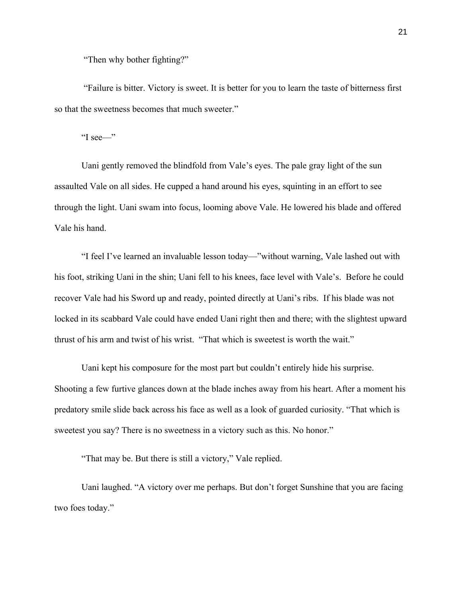"Then why bother fighting?"

"Failure is bitter. Victory is sweet. It is better for you to learn the taste of bitterness first so that the sweetness becomes that much sweeter."

"I see—"

Uani gently removed the blindfold from Vale's eyes. The pale gray light of the sun assaulted Vale on all sides. He cupped a hand around his eyes, squinting in an effort to see through the light. Uani swam into focus, looming above Vale. He lowered his blade and offered Vale his hand.

"I feel I've learned an invaluable lesson today—"without warning, Vale lashed out with his foot, striking Uani in the shin; Uani fell to his knees, face level with Vale's. Before he could recover Vale had his Sword up and ready, pointed directly at Uani's ribs. If his blade was not locked in its scabbard Vale could have ended Uani right then and there; with the slightest upward thrust of his arm and twist of his wrist. "That which is sweetest is worth the wait."

Uani kept his composure for the most part but couldn't entirely hide his surprise. Shooting a few furtive glances down at the blade inches away from his heart. After a moment his predatory smile slide back across his face as well as a look of guarded curiosity. "That which is sweetest you say? There is no sweetness in a victory such as this. No honor."

"That may be. But there is still a victory," Vale replied.

Uani laughed. "A victory over me perhaps. But don't forget Sunshine that you are facing two foes today."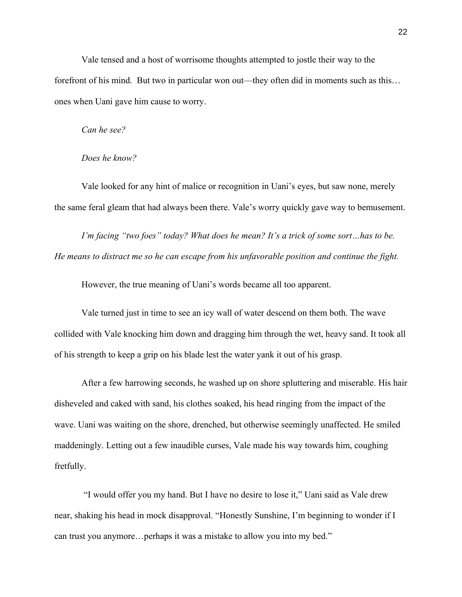Vale tensed and a host of worrisome thoughts attempted to jostle their way to the forefront of his mind. But two in particular won out—they often did in moments such as this… ones when Uani gave him cause to worry.

## *Can he see?*

### *Does he know?*

Vale looked for any hint of malice or recognition in Uani's eyes, but saw none, merely the same feral gleam that had always been there. Vale's worry quickly gave way to bemusement.

*I'm facing "two foes" today? What does he mean? It's a trick of some sort…has to be. He means to distract me so he can escape from his unfavorable position and continue the fight.* 

However, the true meaning of Uani's words became all too apparent.

Vale turned just in time to see an icy wall of water descend on them both. The wave collided with Vale knocking him down and dragging him through the wet, heavy sand. It took all of his strength to keep a grip on his blade lest the water yank it out of his grasp.

After a few harrowing seconds, he washed up on shore spluttering and miserable. His hair disheveled and caked with sand, his clothes soaked, his head ringing from the impact of the wave. Uani was waiting on the shore, drenched, but otherwise seemingly unaffected. He smiled maddeningly. Letting out a few inaudible curses, Vale made his way towards him, coughing fretfully.

"I would offer you my hand. But I have no desire to lose it," Uani said as Vale drew near, shaking his head in mock disapproval. "Honestly Sunshine, I'm beginning to wonder if I can trust you anymore…perhaps it was a mistake to allow you into my bed."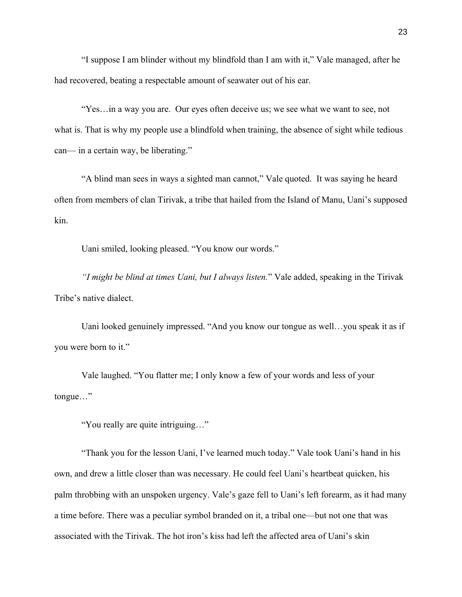"I suppose I am blinder without my blindfold than I am with it," Vale managed, after he had recovered, beating a respectable amount of seawater out of his ear.

"Yes…in a way you are. Our eyes often deceive us; we see what we want to see, not what is. That is why my people use a blindfold when training, the absence of sight while tedious can— in a certain way, be liberating."

"A blind man sees in ways a sighted man cannot," Vale quoted. It was saying he heard often from members of clan Tirivak, a tribe that hailed from the Island of Manu, Uani's supposed kin.

Uani smiled, looking pleased. "You know our words."

*"I might be blind at times Uani, but I always listen.*" Vale added, speaking in the Tirivak Tribe's native dialect.

Uani looked genuinely impressed. "And you know our tongue as well…you speak it as if you were born to it."

Vale laughed. "You flatter me; I only know a few of your words and less of your tongue…"

"You really are quite intriguing…"

"Thank you for the lesson Uani, I've learned much today." Vale took Uani's hand in his own, and drew a little closer than was necessary. He could feel Uani's heartbeat quicken, his palm throbbing with an unspoken urgency. Vale's gaze fell to Uani's left forearm, as it had many a time before. There was a peculiar symbol branded on it, a tribal one—but not one that was associated with the Tirivak. The hot iron's kiss had left the affected area of Uani's skin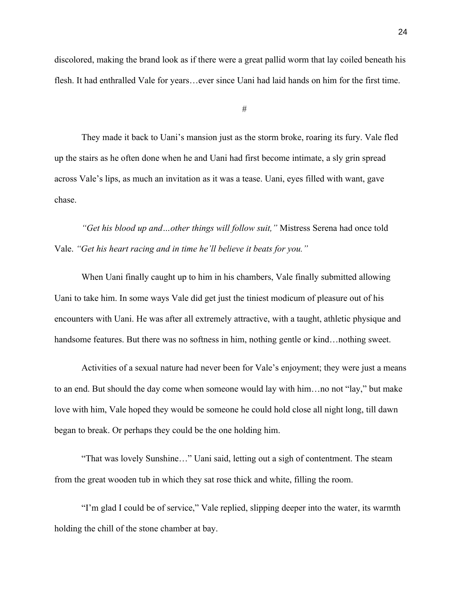discolored, making the brand look as if there were a great pallid worm that lay coiled beneath his flesh. It had enthralled Vale for years…ever since Uani had laid hands on him for the first time.

#

They made it back to Uani's mansion just as the storm broke, roaring its fury. Vale fled up the stairs as he often done when he and Uani had first become intimate, a sly grin spread across Vale's lips, as much an invitation as it was a tease. Uani, eyes filled with want, gave chase.

*"Get his blood up and…other things will follow suit,"* Mistress Serena had once told Vale. *"Get his heart racing and in time he'll believe it beats for you."*

When Uani finally caught up to him in his chambers, Vale finally submitted allowing Uani to take him. In some ways Vale did get just the tiniest modicum of pleasure out of his encounters with Uani. He was after all extremely attractive, with a taught, athletic physique and handsome features. But there was no softness in him, nothing gentle or kind…nothing sweet.

Activities of a sexual nature had never been for Vale's enjoyment; they were just a means to an end. But should the day come when someone would lay with him…no not "lay," but make love with him, Vale hoped they would be someone he could hold close all night long, till dawn began to break. Or perhaps they could be the one holding him.

"That was lovely Sunshine…" Uani said, letting out a sigh of contentment. The steam from the great wooden tub in which they sat rose thick and white, filling the room.

"I'm glad I could be of service," Vale replied, slipping deeper into the water, its warmth holding the chill of the stone chamber at bay.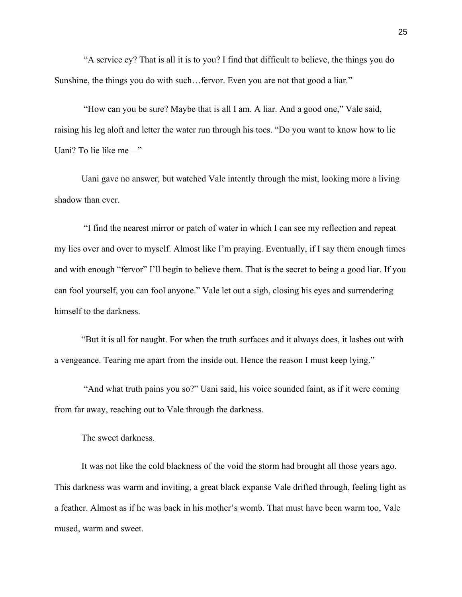"A service ey? That is all it is to you? I find that difficult to believe, the things you do Sunshine, the things you do with such…fervor. Even you are not that good a liar."

"How can you be sure? Maybe that is all I am. A liar. And a good one," Vale said, raising his leg aloft and letter the water run through his toes. "Do you want to know how to lie Uani? To lie like me—"

Uani gave no answer, but watched Vale intently through the mist, looking more a living shadow than ever.

"I find the nearest mirror or patch of water in which I can see my reflection and repeat my lies over and over to myself. Almost like I'm praying. Eventually, if I say them enough times and with enough "fervor" I'll begin to believe them. That is the secret to being a good liar. If you can fool yourself, you can fool anyone." Vale let out a sigh, closing his eyes and surrendering himself to the darkness.

"But it is all for naught. For when the truth surfaces and it always does, it lashes out with a vengeance. Tearing me apart from the inside out. Hence the reason I must keep lying."

"And what truth pains you so?" Uani said, his voice sounded faint, as if it were coming from far away, reaching out to Vale through the darkness.

The sweet darkness.

It was not like the cold blackness of the void the storm had brought all those years ago. This darkness was warm and inviting, a great black expanse Vale drifted through, feeling light as a feather. Almost as if he was back in his mother's womb. That must have been warm too, Vale mused, warm and sweet.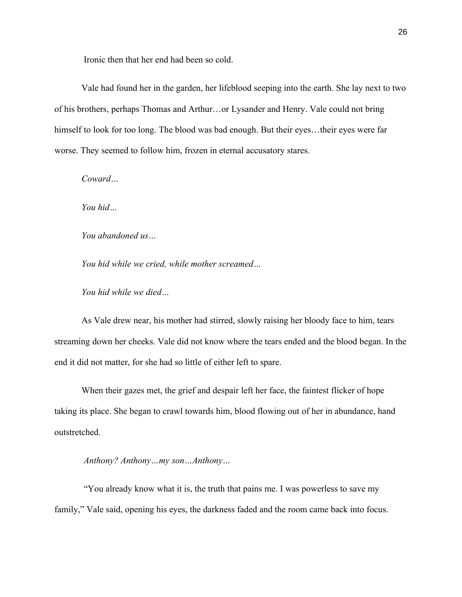Ironic then that her end had been so cold.

Vale had found her in the garden, her lifeblood seeping into the earth. She lay next to two of his brothers, perhaps Thomas and Arthur…or Lysander and Henry. Vale could not bring himself to look for too long. The blood was bad enough. But their eyes...their eyes were far worse. They seemed to follow him, frozen in eternal accusatory stares.

*Coward…*

*You hid…*

*You abandoned us…*

*You hid while we cried, while mother screamed…*

*You hid while we died…*

As Vale drew near, his mother had stirred, slowly raising her bloody face to him, tears streaming down her cheeks. Vale did not know where the tears ended and the blood began. In the end it did not matter, for she had so little of either left to spare.

When their gazes met, the grief and despair left her face, the faintest flicker of hope taking its place. She began to crawl towards him, blood flowing out of her in abundance, hand outstretched.

*Anthony? Anthony…my son…Anthony…*

"You already know what it is, the truth that pains me. I was powerless to save my family," Vale said, opening his eyes, the darkness faded and the room came back into focus.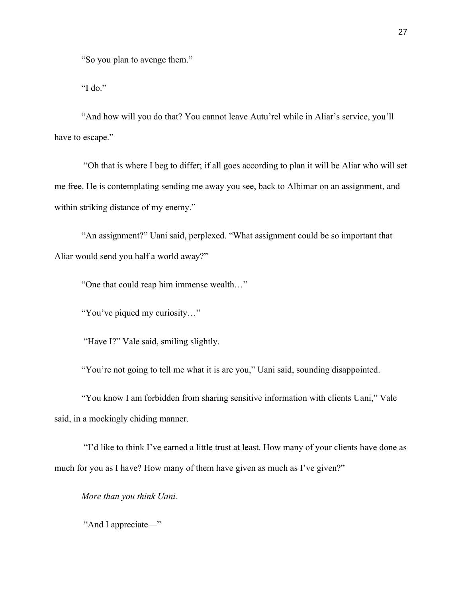"So you plan to avenge them."

"I do."

"And how will you do that? You cannot leave Autu'rel while in Aliar's service, you'll have to escape."

"Oh that is where I beg to differ; if all goes according to plan it will be Aliar who will set me free. He is contemplating sending me away you see, back to Albimar on an assignment, and within striking distance of my enemy."

"An assignment?" Uani said, perplexed. "What assignment could be so important that Aliar would send you half a world away?"

"One that could reap him immense wealth…"

"You've piqued my curiosity…"

"Have I?" Vale said, smiling slightly.

"You're not going to tell me what it is are you," Uani said, sounding disappointed.

"You know I am forbidden from sharing sensitive information with clients Uani," Vale said, in a mockingly chiding manner.

"I'd like to think I've earned a little trust at least. How many of your clients have done as much for you as I have? How many of them have given as much as I've given?"

*More than you think Uani.*

"And I appreciate—"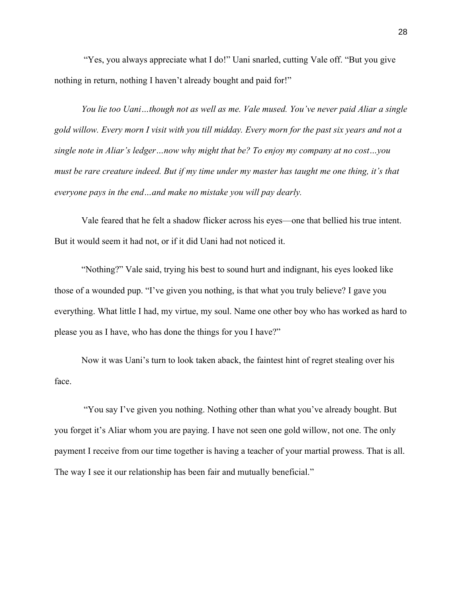"Yes, you always appreciate what I do!" Uani snarled, cutting Vale off. "But you give nothing in return, nothing I haven't already bought and paid for!"

*You lie too Uani…though not as well as me. Vale mused. You've never paid Aliar a single gold willow. Every morn I visit with you till midday. Every morn for the past six years and not a single note in Aliar's ledger…now why might that be? To enjoy my company at no cost…you must be rare creature indeed. But if my time under my master has taught me one thing, it's that everyone pays in the end…and make no mistake you will pay dearly.* 

Vale feared that he felt a shadow flicker across his eyes—one that bellied his true intent. But it would seem it had not, or if it did Uani had not noticed it.

"Nothing?" Vale said, trying his best to sound hurt and indignant, his eyes looked like those of a wounded pup. "I've given you nothing, is that what you truly believe? I gave you everything. What little I had, my virtue, my soul. Name one other boy who has worked as hard to please you as I have, who has done the things for you I have?"

Now it was Uani's turn to look taken aback, the faintest hint of regret stealing over his face.

"You say I've given you nothing. Nothing other than what you've already bought. But you forget it's Aliar whom you are paying. I have not seen one gold willow, not one. The only payment I receive from our time together is having a teacher of your martial prowess. That is all. The way I see it our relationship has been fair and mutually beneficial."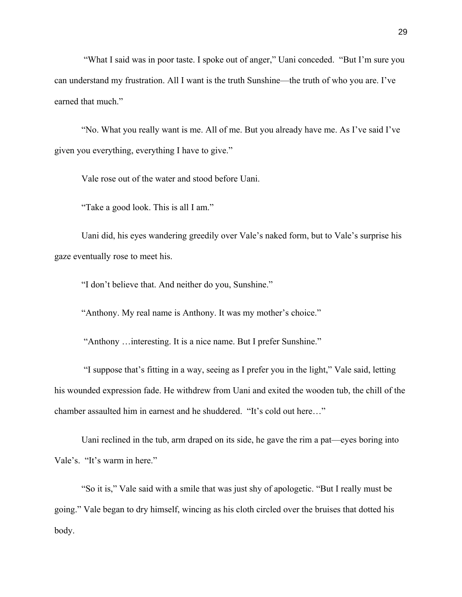"What I said was in poor taste. I spoke out of anger," Uani conceded. "But I'm sure you can understand my frustration. All I want is the truth Sunshine—the truth of who you are. I've earned that much."

"No. What you really want is me. All of me. But you already have me. As I've said I've given you everything, everything I have to give."

Vale rose out of the water and stood before Uani.

"Take a good look. This is all I am."

Uani did, his eyes wandering greedily over Vale's naked form, but to Vale's surprise his gaze eventually rose to meet his.

"I don't believe that. And neither do you, Sunshine."

"Anthony. My real name is Anthony. It was my mother's choice."

"Anthony …interesting. It is a nice name. But I prefer Sunshine."

"I suppose that's fitting in a way, seeing as I prefer you in the light," Vale said, letting his wounded expression fade. He withdrew from Uani and exited the wooden tub, the chill of the chamber assaulted him in earnest and he shuddered. "It's cold out here…"

Uani reclined in the tub, arm draped on its side, he gave the rim a pat—eyes boring into Vale's. "It's warm in here."

"So it is," Vale said with a smile that was just shy of apologetic. "But I really must be going." Vale began to dry himself, wincing as his cloth circled over the bruises that dotted his body.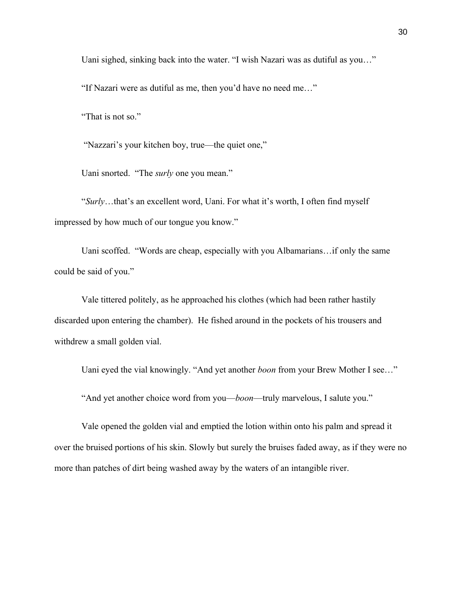Uani sighed, sinking back into the water. "I wish Nazari was as dutiful as you…"

"If Nazari were as dutiful as me, then you'd have no need me…"

"That is not so."

"Nazzari's your kitchen boy, true—the quiet one,"

Uani snorted. "The *surly* one you mean."

"*Surly*…that's an excellent word, Uani. For what it's worth, I often find myself impressed by how much of our tongue you know."

Uani scoffed. "Words are cheap, especially with you Albamarians…if only the same could be said of you."

Vale tittered politely, as he approached his clothes (which had been rather hastily discarded upon entering the chamber). He fished around in the pockets of his trousers and withdrew a small golden vial.

Uani eyed the vial knowingly. "And yet another *boon* from your Brew Mother I see…"

"And yet another choice word from you—*boon*—truly marvelous, I salute you."

Vale opened the golden vial and emptied the lotion within onto his palm and spread it over the bruised portions of his skin. Slowly but surely the bruises faded away, as if they were no more than patches of dirt being washed away by the waters of an intangible river.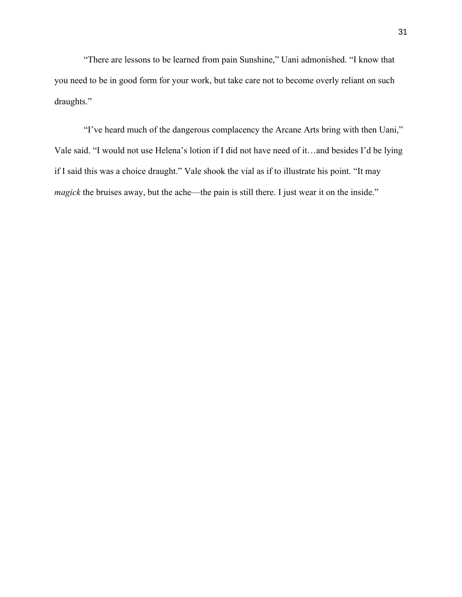"There are lessons to be learned from pain Sunshine," Uani admonished. "I know that you need to be in good form for your work, but take care not to become overly reliant on such draughts."

"I've heard much of the dangerous complacency the Arcane Arts bring with then Uani," Vale said. "I would not use Helena's lotion if I did not have need of it…and besides I'd be lying if I said this was a choice draught." Vale shook the vial as if to illustrate his point. "It may *magick* the bruises away, but the ache—the pain is still there. I just wear it on the inside."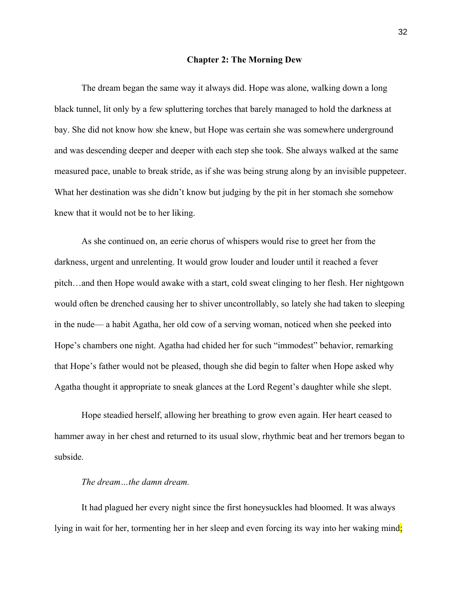#### **Chapter 2: The Morning Dew**

The dream began the same way it always did. Hope was alone, walking down a long black tunnel, lit only by a few spluttering torches that barely managed to hold the darkness at bay. She did not know how she knew, but Hope was certain she was somewhere underground and was descending deeper and deeper with each step she took. She always walked at the same measured pace, unable to break stride, as if she was being strung along by an invisible puppeteer. What her destination was she didn't know but judging by the pit in her stomach she somehow knew that it would not be to her liking.

As she continued on, an eerie chorus of whispers would rise to greet her from the darkness, urgent and unrelenting. It would grow louder and louder until it reached a fever pitch…and then Hope would awake with a start, cold sweat clinging to her flesh. Her nightgown would often be drenched causing her to shiver uncontrollably, so lately she had taken to sleeping in the nude— a habit Agatha, her old cow of a serving woman, noticed when she peeked into Hope's chambers one night. Agatha had chided her for such "immodest" behavior, remarking that Hope's father would not be pleased, though she did begin to falter when Hope asked why Agatha thought it appropriate to sneak glances at the Lord Regent's daughter while she slept.

Hope steadied herself, allowing her breathing to grow even again. Her heart ceased to hammer away in her chest and returned to its usual slow, rhythmic beat and her tremors began to subside.

# *The dream…the damn dream.*

It had plagued her every night since the first honeysuckles had bloomed. It was always lying in wait for her, tormenting her in her sleep and even forcing its way into her waking mind;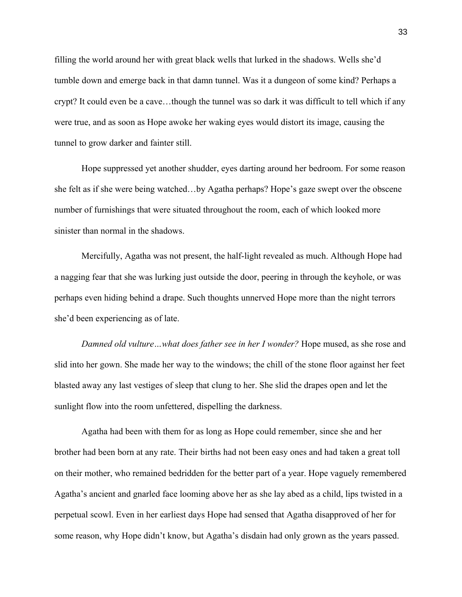filling the world around her with great black wells that lurked in the shadows. Wells she'd tumble down and emerge back in that damn tunnel. Was it a dungeon of some kind? Perhaps a crypt? It could even be a cave…though the tunnel was so dark it was difficult to tell which if any were true, and as soon as Hope awoke her waking eyes would distort its image, causing the tunnel to grow darker and fainter still.

Hope suppressed yet another shudder, eyes darting around her bedroom. For some reason she felt as if she were being watched…by Agatha perhaps? Hope's gaze swept over the obscene number of furnishings that were situated throughout the room, each of which looked more sinister than normal in the shadows.

Mercifully, Agatha was not present, the half-light revealed as much. Although Hope had a nagging fear that she was lurking just outside the door, peering in through the keyhole, or was perhaps even hiding behind a drape. Such thoughts unnerved Hope more than the night terrors she'd been experiencing as of late.

*Damned old vulture…what does father see in her I wonder?* Hope mused, as she rose and slid into her gown. She made her way to the windows; the chill of the stone floor against her feet blasted away any last vestiges of sleep that clung to her. She slid the drapes open and let the sunlight flow into the room unfettered, dispelling the darkness.

Agatha had been with them for as long as Hope could remember, since she and her brother had been born at any rate. Their births had not been easy ones and had taken a great toll on their mother, who remained bedridden for the better part of a year. Hope vaguely remembered Agatha's ancient and gnarled face looming above her as she lay abed as a child, lips twisted in a perpetual scowl. Even in her earliest days Hope had sensed that Agatha disapproved of her for some reason, why Hope didn't know, but Agatha's disdain had only grown as the years passed.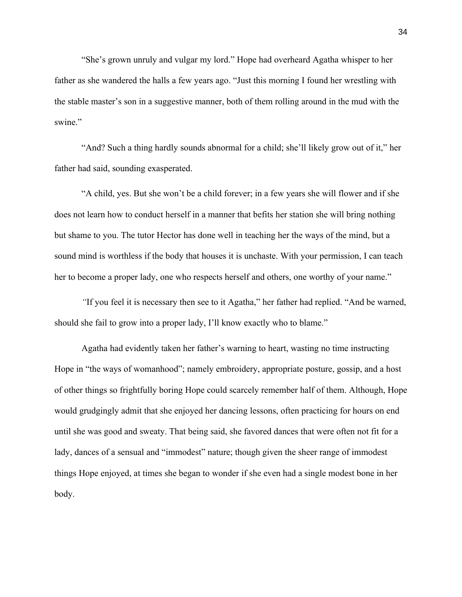"She's grown unruly and vulgar my lord." Hope had overheard Agatha whisper to her father as she wandered the halls a few years ago. "Just this morning I found her wrestling with the stable master's son in a suggestive manner, both of them rolling around in the mud with the swine."

"And? Such a thing hardly sounds abnormal for a child; she'll likely grow out of it," her father had said, sounding exasperated.

"A child, yes. But she won't be a child forever; in a few years she will flower and if she does not learn how to conduct herself in a manner that befits her station she will bring nothing but shame to you. The tutor Hector has done well in teaching her the ways of the mind, but a sound mind is worthless if the body that houses it is unchaste. With your permission, I can teach her to become a proper lady, one who respects herself and others, one worthy of your name."

*"*If you feel it is necessary then see to it Agatha," her father had replied. "And be warned, should she fail to grow into a proper lady, I'll know exactly who to blame."

Agatha had evidently taken her father's warning to heart, wasting no time instructing Hope in "the ways of womanhood"; namely embroidery, appropriate posture, gossip, and a host of other things so frightfully boring Hope could scarcely remember half of them. Although, Hope would grudgingly admit that she enjoyed her dancing lessons, often practicing for hours on end until she was good and sweaty. That being said, she favored dances that were often not fit for a lady, dances of a sensual and "immodest" nature; though given the sheer range of immodest things Hope enjoyed, at times she began to wonder if she even had a single modest bone in her body.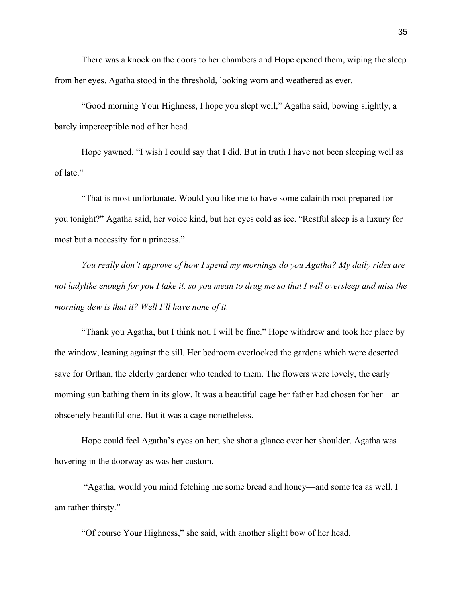There was a knock on the doors to her chambers and Hope opened them, wiping the sleep from her eyes. Agatha stood in the threshold, looking worn and weathered as ever.

"Good morning Your Highness, I hope you slept well," Agatha said, bowing slightly, a barely imperceptible nod of her head.

Hope yawned. "I wish I could say that I did. But in truth I have not been sleeping well as of late."

"That is most unfortunate. Would you like me to have some calainth root prepared for you tonight?" Agatha said, her voice kind, but her eyes cold as ice. "Restful sleep is a luxury for most but a necessity for a princess."

*You really don't approve of how I spend my mornings do you Agatha? My daily rides are not ladylike enough for you I take it, so you mean to drug me so that I will oversleep and miss the morning dew is that it? Well I'll have none of it.*

"Thank you Agatha, but I think not. I will be fine." Hope withdrew and took her place by the window, leaning against the sill. Her bedroom overlooked the gardens which were deserted save for Orthan, the elderly gardener who tended to them. The flowers were lovely, the early morning sun bathing them in its glow. It was a beautiful cage her father had chosen for her—an obscenely beautiful one. But it was a cage nonetheless.

Hope could feel Agatha's eyes on her; she shot a glance over her shoulder. Agatha was hovering in the doorway as was her custom.

"Agatha, would you mind fetching me some bread and honey—and some tea as well. I am rather thirsty."

"Of course Your Highness," she said, with another slight bow of her head.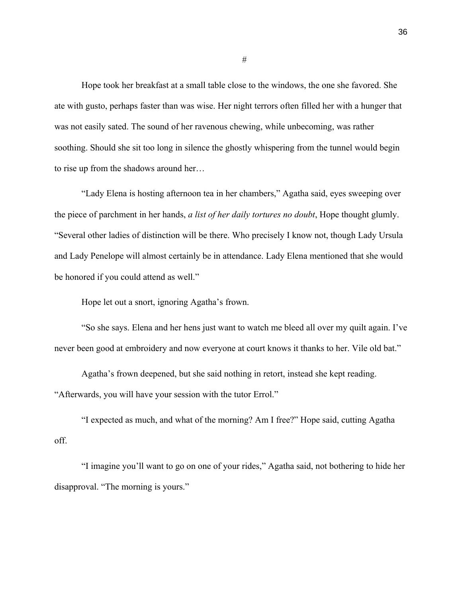Hope took her breakfast at a small table close to the windows, the one she favored. She ate with gusto, perhaps faster than was wise. Her night terrors often filled her with a hunger that was not easily sated. The sound of her ravenous chewing, while unbecoming, was rather soothing. Should she sit too long in silence the ghostly whispering from the tunnel would begin to rise up from the shadows around her…

"Lady Elena is hosting afternoon tea in her chambers," Agatha said, eyes sweeping over the piece of parchment in her hands, *a list of her daily tortures no doubt*, Hope thought glumly. "Several other ladies of distinction will be there. Who precisely I know not, though Lady Ursula and Lady Penelope will almost certainly be in attendance. Lady Elena mentioned that she would be honored if you could attend as well."

Hope let out a snort, ignoring Agatha's frown.

"So she says. Elena and her hens just want to watch me bleed all over my quilt again. I've never been good at embroidery and now everyone at court knows it thanks to her. Vile old bat."

Agatha's frown deepened, but she said nothing in retort, instead she kept reading. "Afterwards, you will have your session with the tutor Errol."

"I expected as much, and what of the morning? Am I free?" Hope said, cutting Agatha off.

"I imagine you'll want to go on one of your rides," Agatha said, not bothering to hide her disapproval. "The morning is yours."

#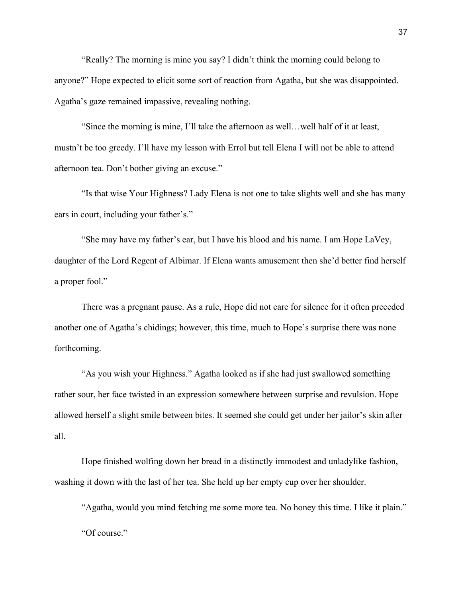"Really? The morning is mine you say? I didn't think the morning could belong to anyone?" Hope expected to elicit some sort of reaction from Agatha, but she was disappointed. Agatha's gaze remained impassive, revealing nothing.

"Since the morning is mine, I'll take the afternoon as well…well half of it at least, mustn't be too greedy. I'll have my lesson with Errol but tell Elena I will not be able to attend afternoon tea. Don't bother giving an excuse."

"Is that wise Your Highness? Lady Elena is not one to take slights well and she has many ears in court, including your father's."

"She may have my father's ear, but I have his blood and his name. I am Hope LaVey, daughter of the Lord Regent of Albimar. If Elena wants amusement then she'd better find herself a proper fool."

There was a pregnant pause. As a rule, Hope did not care for silence for it often preceded another one of Agatha's chidings; however, this time, much to Hope's surprise there was none forthcoming.

"As you wish your Highness." Agatha looked as if she had just swallowed something rather sour, her face twisted in an expression somewhere between surprise and revulsion. Hope allowed herself a slight smile between bites. It seemed she could get under her jailor's skin after all.

Hope finished wolfing down her bread in a distinctly immodest and unladylike fashion, washing it down with the last of her tea. She held up her empty cup over her shoulder.

"Agatha, would you mind fetching me some more tea. No honey this time. I like it plain." "Of course."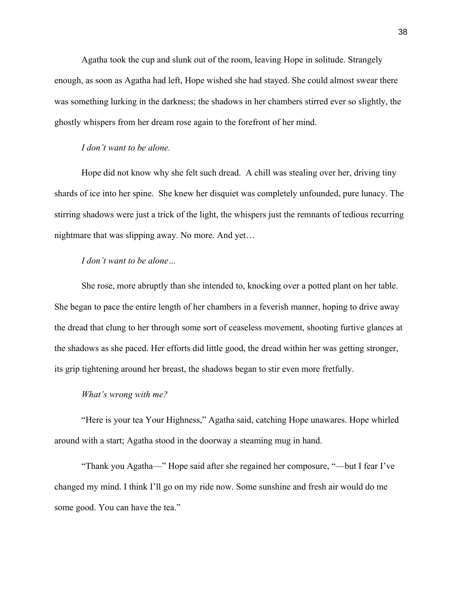Agatha took the cup and slunk out of the room, leaving Hope in solitude. Strangely enough, as soon as Agatha had left, Hope wished she had stayed. She could almost swear there was something lurking in the darkness; the shadows in her chambers stirred ever so slightly, the ghostly whispers from her dream rose again to the forefront of her mind.

# *I don't want to be alone.*

Hope did not know why she felt such dread. A chill was stealing over her, driving tiny shards of ice into her spine. She knew her disquiet was completely unfounded, pure lunacy. The stirring shadows were just a trick of the light, the whispers just the remnants of tedious recurring nightmare that was slipping away. No more. And yet…

# *I don't want to be alone…*

She rose, more abruptly than she intended to, knocking over a potted plant on her table. She began to pace the entire length of her chambers in a feverish manner, hoping to drive away the dread that clung to her through some sort of ceaseless movement, shooting furtive glances at the shadows as she paced. Her efforts did little good, the dread within her was getting stronger, its grip tightening around her breast, the shadows began to stir even more fretfully.

# *What's wrong with me?*

"Here is your tea Your Highness," Agatha said, catching Hope unawares. Hope whirled around with a start; Agatha stood in the doorway a steaming mug in hand.

"Thank you Agatha—" Hope said after she regained her composure, "—but I fear I've changed my mind. I think I'll go on my ride now. Some sunshine and fresh air would do me some good. You can have the tea."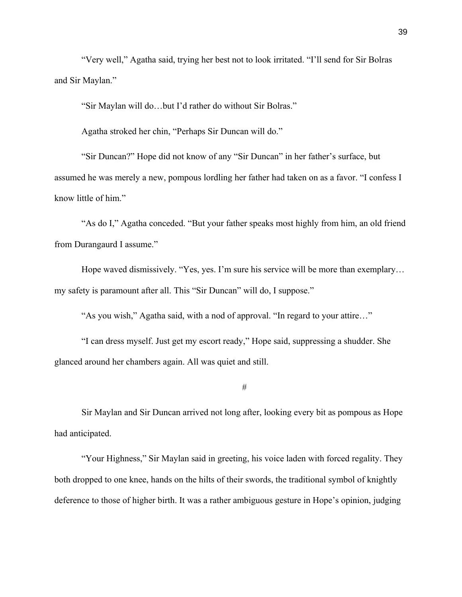"Very well," Agatha said, trying her best not to look irritated. "I'll send for Sir Bolras and Sir Maylan."

"Sir Maylan will do…but I'd rather do without Sir Bolras."

Agatha stroked her chin, "Perhaps Sir Duncan will do."

"Sir Duncan?" Hope did not know of any "Sir Duncan" in her father's surface, but assumed he was merely a new, pompous lordling her father had taken on as a favor. "I confess I know little of him."

"As do I," Agatha conceded. "But your father speaks most highly from him, an old friend from Durangaurd I assume."

Hope waved dismissively. "Yes, yes. I'm sure his service will be more than exemplary... my safety is paramount after all. This "Sir Duncan" will do, I suppose."

"As you wish," Agatha said, with a nod of approval. "In regard to your attire…"

"I can dress myself. Just get my escort ready," Hope said, suppressing a shudder. She glanced around her chambers again. All was quiet and still.

#

Sir Maylan and Sir Duncan arrived not long after, looking every bit as pompous as Hope had anticipated.

"Your Highness," Sir Maylan said in greeting, his voice laden with forced regality. They both dropped to one knee, hands on the hilts of their swords, the traditional symbol of knightly deference to those of higher birth. It was a rather ambiguous gesture in Hope's opinion, judging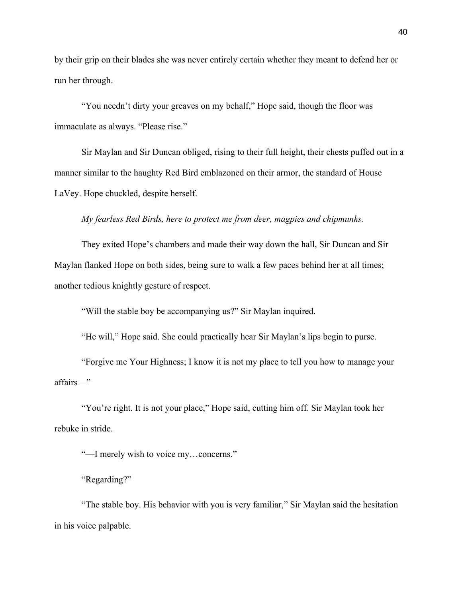by their grip on their blades she was never entirely certain whether they meant to defend her or run her through.

"You needn't dirty your greaves on my behalf," Hope said, though the floor was immaculate as always. "Please rise."

Sir Maylan and Sir Duncan obliged, rising to their full height, their chests puffed out in a manner similar to the haughty Red Bird emblazoned on their armor, the standard of House LaVey. Hope chuckled, despite herself.

## *My fearless Red Birds, here to protect me from deer, magpies and chipmunks.*

They exited Hope's chambers and made their way down the hall, Sir Duncan and Sir Maylan flanked Hope on both sides, being sure to walk a few paces behind her at all times; another tedious knightly gesture of respect.

"Will the stable boy be accompanying us?" Sir Maylan inquired.

"He will," Hope said. She could practically hear Sir Maylan's lips begin to purse.

"Forgive me Your Highness; I know it is not my place to tell you how to manage your affairs—"

"You're right. It is not your place," Hope said, cutting him off. Sir Maylan took her rebuke in stride.

"—I merely wish to voice my…concerns."

"Regarding?"

"The stable boy. His behavior with you is very familiar," Sir Maylan said the hesitation in his voice palpable.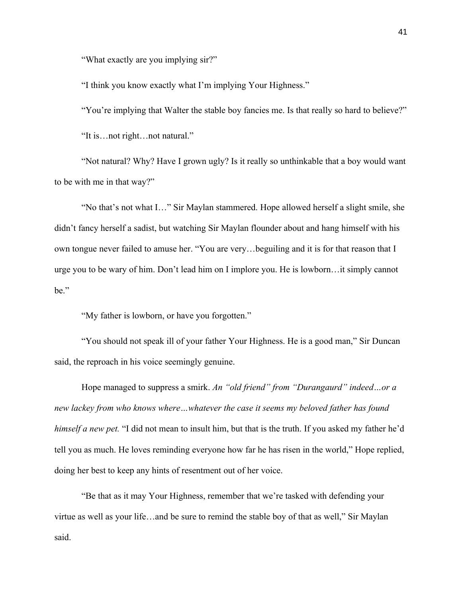"What exactly are you implying sir?"

"I think you know exactly what I'm implying Your Highness."

"You're implying that Walter the stable boy fancies me. Is that really so hard to believe?" "It is…not right…not natural."

"Not natural? Why? Have I grown ugly? Is it really so unthinkable that a boy would want to be with me in that way?"

"No that's not what I…" Sir Maylan stammered. Hope allowed herself a slight smile, she didn't fancy herself a sadist, but watching Sir Maylan flounder about and hang himself with his own tongue never failed to amuse her. "You are very…beguiling and it is for that reason that I urge you to be wary of him. Don't lead him on I implore you. He is lowborn…it simply cannot be."

"My father is lowborn, or have you forgotten."

"You should not speak ill of your father Your Highness. He is a good man," Sir Duncan said, the reproach in his voice seemingly genuine.

Hope managed to suppress a smirk. *An "old friend" from "Durangaurd" indeed…or a new lackey from who knows where…whatever the case it seems my beloved father has found himself a new pet.* "I did not mean to insult him, but that is the truth. If you asked my father he'd tell you as much. He loves reminding everyone how far he has risen in the world," Hope replied, doing her best to keep any hints of resentment out of her voice.

"Be that as it may Your Highness, remember that we're tasked with defending your virtue as well as your life…and be sure to remind the stable boy of that as well," Sir Maylan said.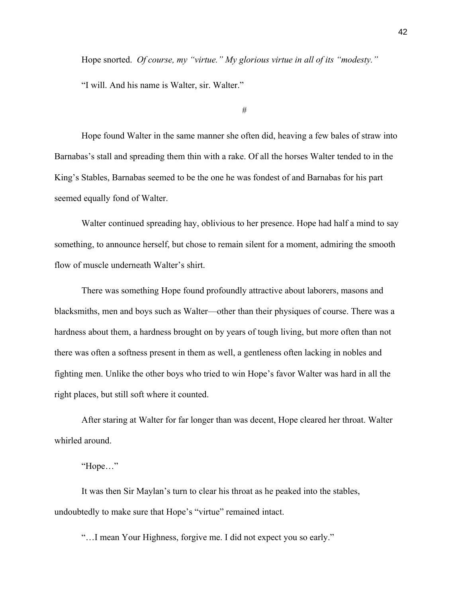Hope snorted. *Of course, my "virtue." My glorious virtue in all of its "modesty."*

"I will. And his name is Walter, sir. Walter."

#

Hope found Walter in the same manner she often did, heaving a few bales of straw into Barnabas's stall and spreading them thin with a rake. Of all the horses Walter tended to in the King's Stables, Barnabas seemed to be the one he was fondest of and Barnabas for his part seemed equally fond of Walter.

Walter continued spreading hay, oblivious to her presence. Hope had half a mind to say something, to announce herself, but chose to remain silent for a moment, admiring the smooth flow of muscle underneath Walter's shirt.

There was something Hope found profoundly attractive about laborers, masons and blacksmiths, men and boys such as Walter—other than their physiques of course. There was a hardness about them, a hardness brought on by years of tough living, but more often than not there was often a softness present in them as well, a gentleness often lacking in nobles and fighting men. Unlike the other boys who tried to win Hope's favor Walter was hard in all the right places, but still soft where it counted.

After staring at Walter for far longer than was decent, Hope cleared her throat. Walter whirled around.

"Hope…"

It was then Sir Maylan's turn to clear his throat as he peaked into the stables, undoubtedly to make sure that Hope's "virtue" remained intact.

"…I mean Your Highness, forgive me. I did not expect you so early."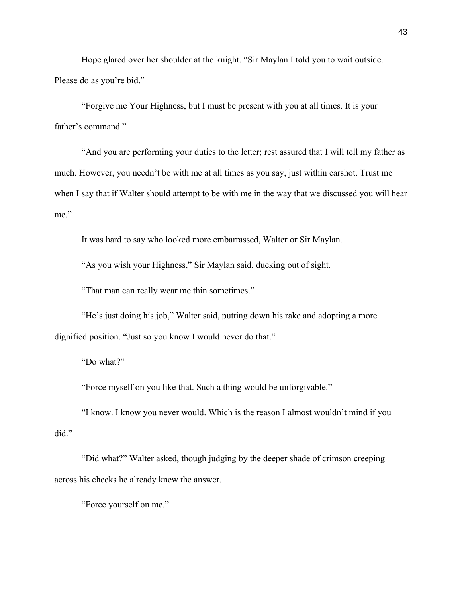Hope glared over her shoulder at the knight. "Sir Maylan I told you to wait outside. Please do as you're bid."

"Forgive me Your Highness, but I must be present with you at all times. It is your father's command."

"And you are performing your duties to the letter; rest assured that I will tell my father as much. However, you needn't be with me at all times as you say, just within earshot. Trust me when I say that if Walter should attempt to be with me in the way that we discussed you will hear me."

It was hard to say who looked more embarrassed, Walter or Sir Maylan.

"As you wish your Highness," Sir Maylan said, ducking out of sight.

"That man can really wear me thin sometimes."

"He's just doing his job," Walter said, putting down his rake and adopting a more dignified position. "Just so you know I would never do that."

"Do what?"

"Force myself on you like that. Such a thing would be unforgivable."

"I know. I know you never would. Which is the reason I almost wouldn't mind if you did."

"Did what?" Walter asked, though judging by the deeper shade of crimson creeping across his cheeks he already knew the answer.

"Force yourself on me."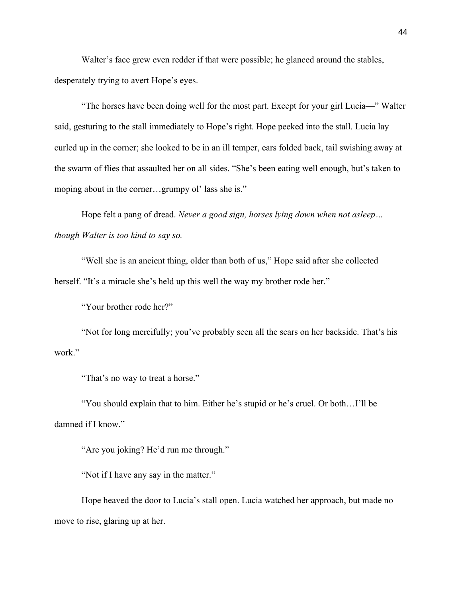Walter's face grew even redder if that were possible; he glanced around the stables, desperately trying to avert Hope's eyes.

"The horses have been doing well for the most part. Except for your girl Lucia—" Walter said, gesturing to the stall immediately to Hope's right. Hope peeked into the stall. Lucia lay curled up in the corner; she looked to be in an ill temper, ears folded back, tail swishing away at the swarm of flies that assaulted her on all sides. "She's been eating well enough, but's taken to moping about in the corner…grumpy ol' lass she is."

Hope felt a pang of dread. *Never a good sign, horses lying down when not asleep… though Walter is too kind to say so.*

"Well she is an ancient thing, older than both of us," Hope said after she collected herself. "It's a miracle she's held up this well the way my brother rode her."

"Your brother rode her?"

"Not for long mercifully; you've probably seen all the scars on her backside. That's his work."

"That's no way to treat a horse."

"You should explain that to him. Either he's stupid or he's cruel. Or both…I'll be damned if I know."

"Are you joking? He'd run me through."

"Not if I have any say in the matter."

Hope heaved the door to Lucia's stall open. Lucia watched her approach, but made no move to rise, glaring up at her.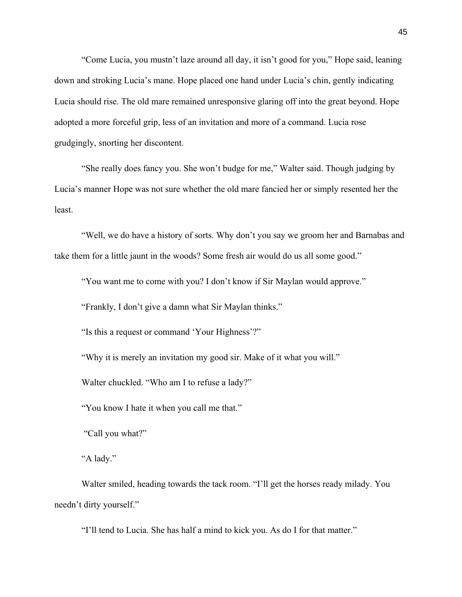"Come Lucia, you mustn't laze around all day, it isn't good for you," Hope said, leaning down and stroking Lucia's mane. Hope placed one hand under Lucia's chin, gently indicating Lucia should rise. The old mare remained unresponsive glaring off into the great beyond. Hope adopted a more forceful grip, less of an invitation and more of a command. Lucia rose grudgingly, snorting her discontent.

"She really does fancy you. She won't budge for me," Walter said. Though judging by Lucia's manner Hope was not sure whether the old mare fancied her or simply resented her the least.

"Well, we do have a history of sorts. Why don't you say we groom her and Barnabas and take them for a little jaunt in the woods? Some fresh air would do us all some good."

"You want me to come with you? I don't know if Sir Maylan would approve."

"Frankly, I don't give a damn what Sir Maylan thinks."

"Is this a request or command 'Your Highness'?"

"Why it is merely an invitation my good sir. Make of it what you will."

Walter chuckled. "Who am I to refuse a lady?"

"You know I hate it when you call me that."

"Call you what?"

"A lady."

Walter smiled, heading towards the tack room. "I'll get the horses ready milady. You needn't dirty yourself."

"I'll tend to Lucia. She has half a mind to kick you. As do I for that matter."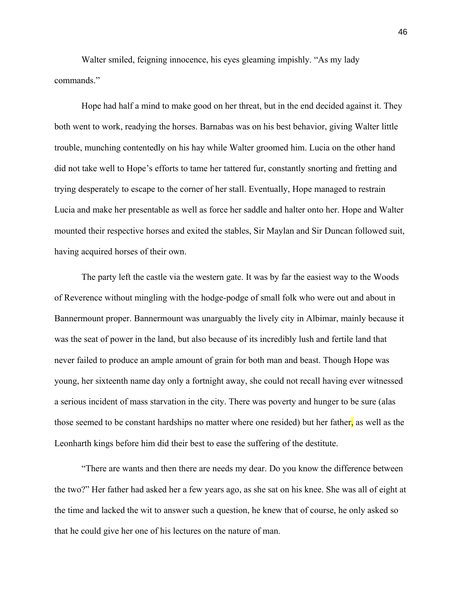Walter smiled, feigning innocence, his eyes gleaming impishly. "As my lady commands."

Hope had half a mind to make good on her threat, but in the end decided against it. They both went to work, readying the horses. Barnabas was on his best behavior, giving Walter little trouble, munching contentedly on his hay while Walter groomed him. Lucia on the other hand did not take well to Hope's efforts to tame her tattered fur, constantly snorting and fretting and trying desperately to escape to the corner of her stall. Eventually, Hope managed to restrain Lucia and make her presentable as well as force her saddle and halter onto her. Hope and Walter mounted their respective horses and exited the stables, Sir Maylan and Sir Duncan followed suit, having acquired horses of their own.

The party left the castle via the western gate. It was by far the easiest way to the Woods of Reverence without mingling with the hodge-podge of small folk who were out and about in Bannermount proper. Bannermount was unarguably the lively city in Albimar, mainly because it was the seat of power in the land, but also because of its incredibly lush and fertile land that never failed to produce an ample amount of grain for both man and beast. Though Hope was young, her sixteenth name day only a fortnight away, she could not recall having ever witnessed a serious incident of mass starvation in the city. There was poverty and hunger to be sure (alas those seemed to be constant hardships no matter where one resided) but her father, as well as the Leonharth kings before him did their best to ease the suffering of the destitute.

"There are wants and then there are needs my dear. Do you know the difference between the two?" Her father had asked her a few years ago, as she sat on his knee. She was all of eight at the time and lacked the wit to answer such a question, he knew that of course, he only asked so that he could give her one of his lectures on the nature of man.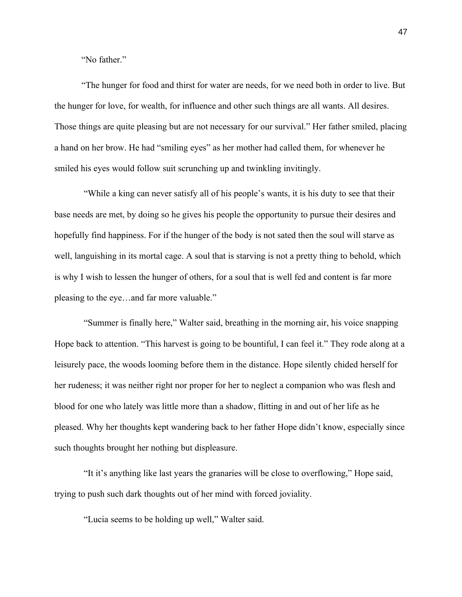"No father"

"The hunger for food and thirst for water are needs, for we need both in order to live. But the hunger for love, for wealth, for influence and other such things are all wants. All desires. Those things are quite pleasing but are not necessary for our survival." Her father smiled, placing a hand on her brow. He had "smiling eyes" as her mother had called them, for whenever he smiled his eyes would follow suit scrunching up and twinkling invitingly.

"While a king can never satisfy all of his people's wants, it is his duty to see that their base needs are met, by doing so he gives his people the opportunity to pursue their desires and hopefully find happiness. For if the hunger of the body is not sated then the soul will starve as well, languishing in its mortal cage. A soul that is starving is not a pretty thing to behold, which is why I wish to lessen the hunger of others, for a soul that is well fed and content is far more pleasing to the eye…and far more valuable."

"Summer is finally here," Walter said, breathing in the morning air, his voice snapping Hope back to attention. "This harvest is going to be bountiful, I can feel it." They rode along at a leisurely pace, the woods looming before them in the distance. Hope silently chided herself for her rudeness; it was neither right nor proper for her to neglect a companion who was flesh and blood for one who lately was little more than a shadow, flitting in and out of her life as he pleased. Why her thoughts kept wandering back to her father Hope didn't know, especially since such thoughts brought her nothing but displeasure.

"It it's anything like last years the granaries will be close to overflowing," Hope said, trying to push such dark thoughts out of her mind with forced joviality.

"Lucia seems to be holding up well," Walter said.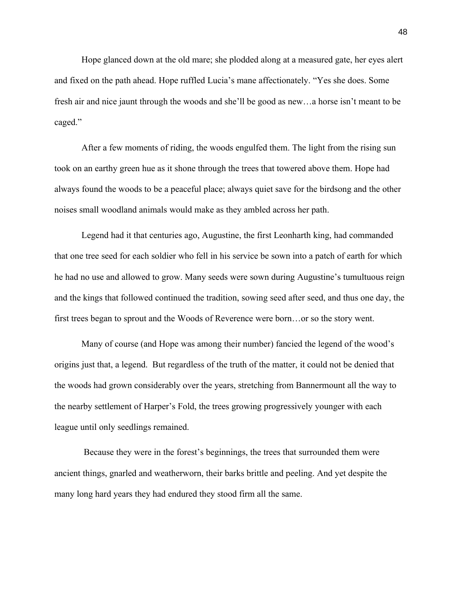Hope glanced down at the old mare; she plodded along at a measured gate, her eyes alert and fixed on the path ahead. Hope ruffled Lucia's mane affectionately. "Yes she does. Some fresh air and nice jaunt through the woods and she'll be good as new…a horse isn't meant to be caged."

After a few moments of riding, the woods engulfed them. The light from the rising sun took on an earthy green hue as it shone through the trees that towered above them. Hope had always found the woods to be a peaceful place; always quiet save for the birdsong and the other noises small woodland animals would make as they ambled across her path.

Legend had it that centuries ago, Augustine, the first Leonharth king, had commanded that one tree seed for each soldier who fell in his service be sown into a patch of earth for which he had no use and allowed to grow. Many seeds were sown during Augustine's tumultuous reign and the kings that followed continued the tradition, sowing seed after seed, and thus one day, the first trees began to sprout and the Woods of Reverence were born…or so the story went.

Many of course (and Hope was among their number) fancied the legend of the wood's origins just that, a legend. But regardless of the truth of the matter, it could not be denied that the woods had grown considerably over the years, stretching from Bannermount all the way to the nearby settlement of Harper's Fold, the trees growing progressively younger with each league until only seedlings remained.

Because they were in the forest's beginnings, the trees that surrounded them were ancient things, gnarled and weatherworn, their barks brittle and peeling. And yet despite the many long hard years they had endured they stood firm all the same.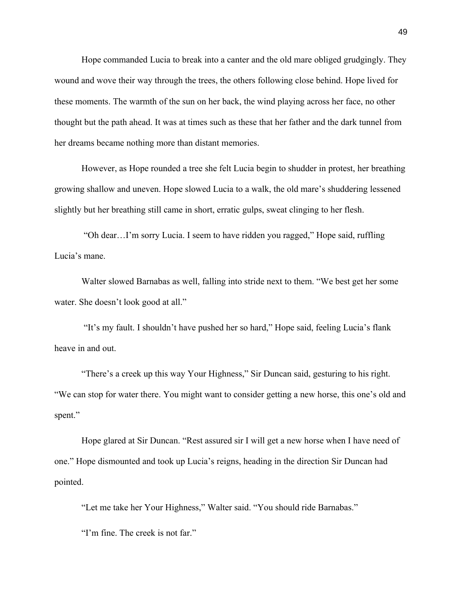Hope commanded Lucia to break into a canter and the old mare obliged grudgingly. They wound and wove their way through the trees, the others following close behind. Hope lived for these moments. The warmth of the sun on her back, the wind playing across her face, no other thought but the path ahead. It was at times such as these that her father and the dark tunnel from her dreams became nothing more than distant memories.

However, as Hope rounded a tree she felt Lucia begin to shudder in protest, her breathing growing shallow and uneven. Hope slowed Lucia to a walk, the old mare's shuddering lessened slightly but her breathing still came in short, erratic gulps, sweat clinging to her flesh.

"Oh dear…I'm sorry Lucia. I seem to have ridden you ragged," Hope said, ruffling Lucia's mane.

Walter slowed Barnabas as well, falling into stride next to them. "We best get her some water. She doesn't look good at all."

"It's my fault. I shouldn't have pushed her so hard," Hope said, feeling Lucia's flank heave in and out.

"There's a creek up this way Your Highness," Sir Duncan said, gesturing to his right. "We can stop for water there. You might want to consider getting a new horse, this one's old and spent."

Hope glared at Sir Duncan. "Rest assured sir I will get a new horse when I have need of one." Hope dismounted and took up Lucia's reigns, heading in the direction Sir Duncan had pointed.

"Let me take her Your Highness," Walter said. "You should ride Barnabas."

"I'm fine. The creek is not far."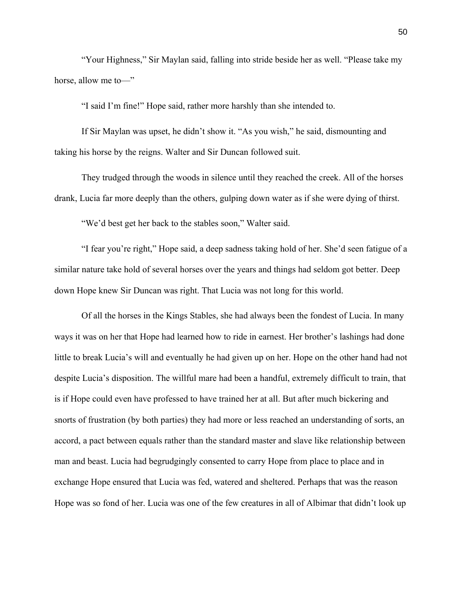"Your Highness," Sir Maylan said, falling into stride beside her as well. "Please take my horse, allow me to—"

"I said I'm fine!" Hope said, rather more harshly than she intended to.

If Sir Maylan was upset, he didn't show it. "As you wish," he said, dismounting and taking his horse by the reigns. Walter and Sir Duncan followed suit.

They trudged through the woods in silence until they reached the creek. All of the horses drank, Lucia far more deeply than the others, gulping down water as if she were dying of thirst.

"We'd best get her back to the stables soon," Walter said.

"I fear you're right," Hope said, a deep sadness taking hold of her. She'd seen fatigue of a similar nature take hold of several horses over the years and things had seldom got better. Deep down Hope knew Sir Duncan was right. That Lucia was not long for this world.

Of all the horses in the Kings Stables, she had always been the fondest of Lucia. In many ways it was on her that Hope had learned how to ride in earnest. Her brother's lashings had done little to break Lucia's will and eventually he had given up on her. Hope on the other hand had not despite Lucia's disposition. The willful mare had been a handful, extremely difficult to train, that is if Hope could even have professed to have trained her at all. But after much bickering and snorts of frustration (by both parties) they had more or less reached an understanding of sorts, an accord, a pact between equals rather than the standard master and slave like relationship between man and beast. Lucia had begrudgingly consented to carry Hope from place to place and in exchange Hope ensured that Lucia was fed, watered and sheltered. Perhaps that was the reason Hope was so fond of her. Lucia was one of the few creatures in all of Albimar that didn't look up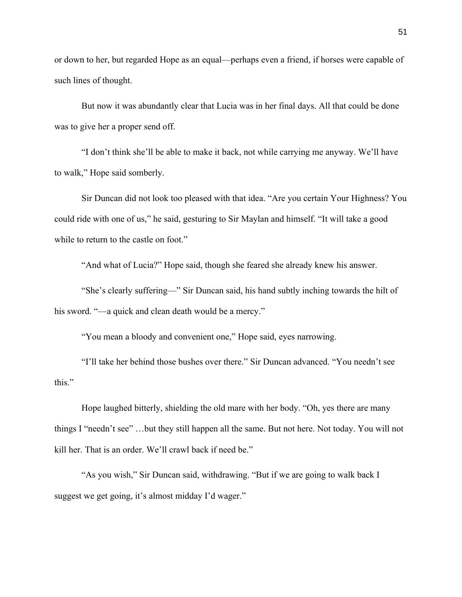or down to her, but regarded Hope as an equal—perhaps even a friend, if horses were capable of such lines of thought.

But now it was abundantly clear that Lucia was in her final days. All that could be done was to give her a proper send off.

"I don't think she'll be able to make it back, not while carrying me anyway. We'll have to walk," Hope said somberly.

Sir Duncan did not look too pleased with that idea. "Are you certain Your Highness? You could ride with one of us," he said, gesturing to Sir Maylan and himself. "It will take a good while to return to the castle on foot."

"And what of Lucia?" Hope said, though she feared she already knew his answer.

"She's clearly suffering—" Sir Duncan said, his hand subtly inching towards the hilt of his sword. "—a quick and clean death would be a mercy."

"You mean a bloody and convenient one," Hope said, eyes narrowing.

"I'll take her behind those bushes over there." Sir Duncan advanced. "You needn't see this."

Hope laughed bitterly, shielding the old mare with her body. "Oh, yes there are many things I "needn't see" …but they still happen all the same. But not here. Not today. You will not kill her. That is an order. We'll crawl back if need be."

"As you wish," Sir Duncan said, withdrawing. "But if we are going to walk back I suggest we get going, it's almost midday I'd wager."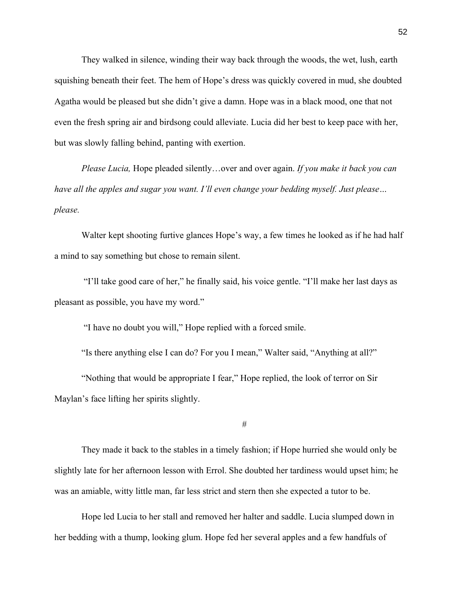They walked in silence, winding their way back through the woods, the wet, lush, earth squishing beneath their feet. The hem of Hope's dress was quickly covered in mud, she doubted Agatha would be pleased but she didn't give a damn. Hope was in a black mood, one that not even the fresh spring air and birdsong could alleviate. Lucia did her best to keep pace with her, but was slowly falling behind, panting with exertion.

*Please Lucia,* Hope pleaded silently…over and over again. *If you make it back you can have all the apples and sugar you want. I'll even change your bedding myself. Just please… please.*

Walter kept shooting furtive glances Hope's way, a few times he looked as if he had half a mind to say something but chose to remain silent.

"I'll take good care of her," he finally said, his voice gentle. "I'll make her last days as pleasant as possible, you have my word."

"I have no doubt you will," Hope replied with a forced smile.

"Is there anything else I can do? For you I mean," Walter said, "Anything at all?"

"Nothing that would be appropriate I fear," Hope replied, the look of terror on Sir Maylan's face lifting her spirits slightly.

#

They made it back to the stables in a timely fashion; if Hope hurried she would only be slightly late for her afternoon lesson with Errol. She doubted her tardiness would upset him; he was an amiable, witty little man, far less strict and stern then she expected a tutor to be.

Hope led Lucia to her stall and removed her halter and saddle. Lucia slumped down in her bedding with a thump, looking glum. Hope fed her several apples and a few handfuls of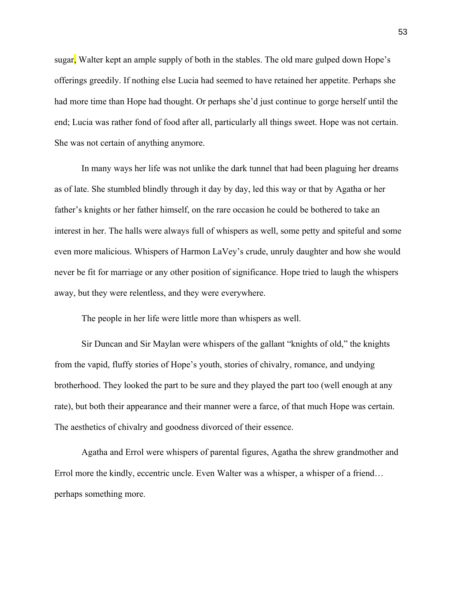sugar, Walter kept an ample supply of both in the stables. The old mare gulped down Hope's offerings greedily. If nothing else Lucia had seemed to have retained her appetite. Perhaps she had more time than Hope had thought. Or perhaps she'd just continue to gorge herself until the end; Lucia was rather fond of food after all, particularly all things sweet. Hope was not certain. She was not certain of anything anymore.

In many ways her life was not unlike the dark tunnel that had been plaguing her dreams as of late. She stumbled blindly through it day by day, led this way or that by Agatha or her father's knights or her father himself, on the rare occasion he could be bothered to take an interest in her. The halls were always full of whispers as well, some petty and spiteful and some even more malicious. Whispers of Harmon LaVey's crude, unruly daughter and how she would never be fit for marriage or any other position of significance. Hope tried to laugh the whispers away, but they were relentless, and they were everywhere.

The people in her life were little more than whispers as well.

Sir Duncan and Sir Maylan were whispers of the gallant "knights of old," the knights from the vapid, fluffy stories of Hope's youth, stories of chivalry, romance, and undying brotherhood. They looked the part to be sure and they played the part too (well enough at any rate), but both their appearance and their manner were a farce, of that much Hope was certain. The aesthetics of chivalry and goodness divorced of their essence.

Agatha and Errol were whispers of parental figures, Agatha the shrew grandmother and Errol more the kindly, eccentric uncle. Even Walter was a whisper, a whisper of a friend… perhaps something more.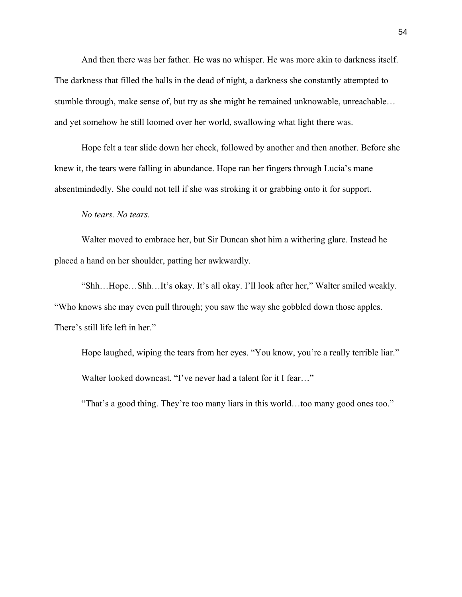And then there was her father. He was no whisper. He was more akin to darkness itself. The darkness that filled the halls in the dead of night, a darkness she constantly attempted to stumble through, make sense of, but try as she might he remained unknowable, unreachable… and yet somehow he still loomed over her world, swallowing what light there was.

Hope felt a tear slide down her cheek, followed by another and then another. Before she knew it, the tears were falling in abundance. Hope ran her fingers through Lucia's mane absentmindedly. She could not tell if she was stroking it or grabbing onto it for support.

## *No tears. No tears.*

Walter moved to embrace her, but Sir Duncan shot him a withering glare. Instead he placed a hand on her shoulder, patting her awkwardly.

"Shh…Hope…Shh…It's okay. It's all okay. I'll look after her," Walter smiled weakly. "Who knows she may even pull through; you saw the way she gobbled down those apples. There's still life left in her."

Hope laughed, wiping the tears from her eyes. "You know, you're a really terrible liar." Walter looked downcast. "I've never had a talent for it I fear…"

"That's a good thing. They're too many liars in this world…too many good ones too."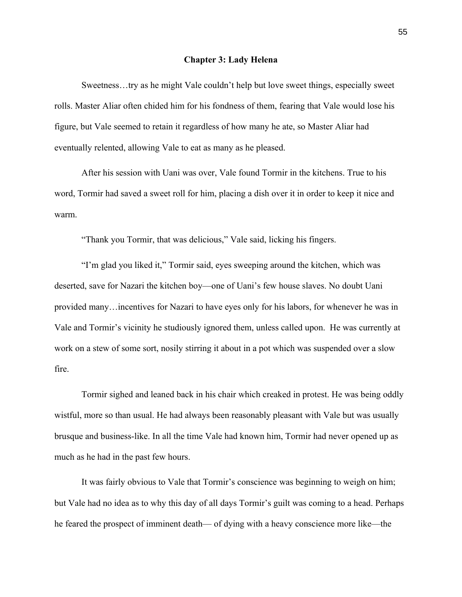#### **Chapter 3: Lady Helena**

Sweetness…try as he might Vale couldn't help but love sweet things, especially sweet rolls. Master Aliar often chided him for his fondness of them, fearing that Vale would lose his figure, but Vale seemed to retain it regardless of how many he ate, so Master Aliar had eventually relented, allowing Vale to eat as many as he pleased.

After his session with Uani was over, Vale found Tormir in the kitchens. True to his word, Tormir had saved a sweet roll for him, placing a dish over it in order to keep it nice and warm.

"Thank you Tormir, that was delicious," Vale said, licking his fingers.

"I'm glad you liked it," Tormir said, eyes sweeping around the kitchen, which was deserted, save for Nazari the kitchen boy—one of Uani's few house slaves. No doubt Uani provided many…incentives for Nazari to have eyes only for his labors, for whenever he was in Vale and Tormir's vicinity he studiously ignored them, unless called upon. He was currently at work on a stew of some sort, nosily stirring it about in a pot which was suspended over a slow fire.

Tormir sighed and leaned back in his chair which creaked in protest. He was being oddly wistful, more so than usual. He had always been reasonably pleasant with Vale but was usually brusque and business-like. In all the time Vale had known him, Tormir had never opened up as much as he had in the past few hours.

It was fairly obvious to Vale that Tormir's conscience was beginning to weigh on him; but Vale had no idea as to why this day of all days Tormir's guilt was coming to a head. Perhaps he feared the prospect of imminent death— of dying with a heavy conscience more like—the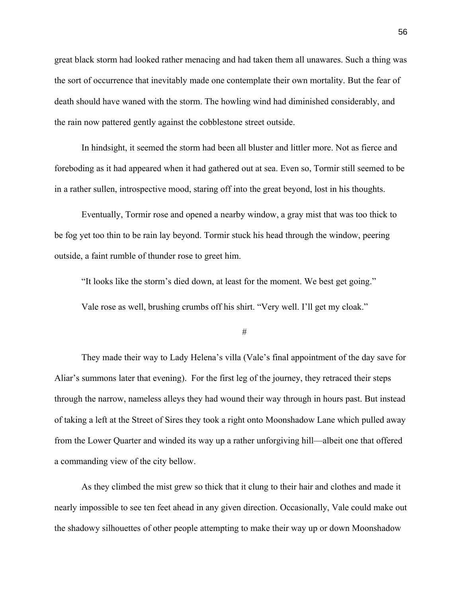great black storm had looked rather menacing and had taken them all unawares. Such a thing was the sort of occurrence that inevitably made one contemplate their own mortality. But the fear of death should have waned with the storm. The howling wind had diminished considerably, and the rain now pattered gently against the cobblestone street outside.

In hindsight, it seemed the storm had been all bluster and littler more. Not as fierce and foreboding as it had appeared when it had gathered out at sea. Even so, Tormir still seemed to be in a rather sullen, introspective mood, staring off into the great beyond, lost in his thoughts.

Eventually, Tormir rose and opened a nearby window, a gray mist that was too thick to be fog yet too thin to be rain lay beyond. Tormir stuck his head through the window, peering outside, a faint rumble of thunder rose to greet him.

"It looks like the storm's died down, at least for the moment. We best get going."

Vale rose as well, brushing crumbs off his shirt. "Very well. I'll get my cloak."

#

They made their way to Lady Helena's villa (Vale's final appointment of the day save for Aliar's summons later that evening). For the first leg of the journey, they retraced their steps through the narrow, nameless alleys they had wound their way through in hours past. But instead of taking a left at the Street of Sires they took a right onto Moonshadow Lane which pulled away from the Lower Quarter and winded its way up a rather unforgiving hill—albeit one that offered a commanding view of the city bellow.

As they climbed the mist grew so thick that it clung to their hair and clothes and made it nearly impossible to see ten feet ahead in any given direction. Occasionally, Vale could make out the shadowy silhouettes of other people attempting to make their way up or down Moonshadow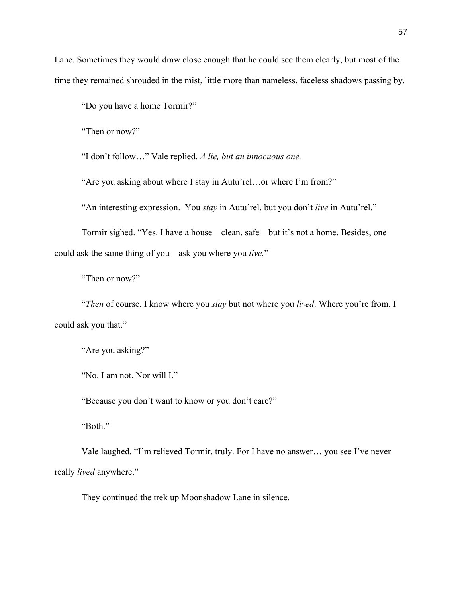Lane. Sometimes they would draw close enough that he could see them clearly, but most of the time they remained shrouded in the mist, little more than nameless, faceless shadows passing by.

"Do you have a home Tormir?"

"Then or now?"

"I don't follow…" Vale replied. *A lie, but an innocuous one.* 

"Are you asking about where I stay in Autu'rel…or where I'm from?"

"An interesting expression. You *stay* in Autu'rel, but you don't *live* in Autu'rel."

Tormir sighed. "Yes. I have a house—clean, safe—but it's not a home. Besides, one could ask the same thing of you—ask you where you *live.*"

"Then or now?"

"*Then* of course. I know where you *stay* but not where you *lived*. Where you're from. I could ask you that."

"Are you asking?"

"No. I am not. Nor will I."

"Because you don't want to know or you don't care?"

"Both."

Vale laughed. "I'm relieved Tormir, truly. For I have no answer… you see I've never really *lived* anywhere."

They continued the trek up Moonshadow Lane in silence.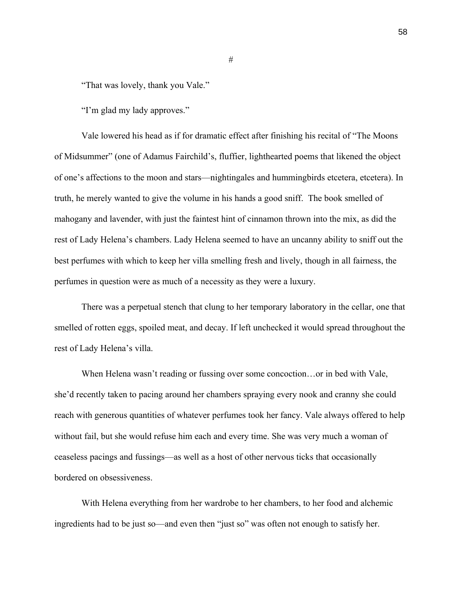"That was lovely, thank you Vale."

"I'm glad my lady approves."

Vale lowered his head as if for dramatic effect after finishing his recital of "The Moons of Midsummer" (one of Adamus Fairchild's, fluffier, lighthearted poems that likened the object of one's affections to the moon and stars—nightingales and hummingbirds etcetera, etcetera). In truth, he merely wanted to give the volume in his hands a good sniff. The book smelled of mahogany and lavender, with just the faintest hint of cinnamon thrown into the mix, as did the rest of Lady Helena's chambers. Lady Helena seemed to have an uncanny ability to sniff out the best perfumes with which to keep her villa smelling fresh and lively, though in all fairness, the perfumes in question were as much of a necessity as they were a luxury.

There was a perpetual stench that clung to her temporary laboratory in the cellar, one that smelled of rotten eggs, spoiled meat, and decay. If left unchecked it would spread throughout the rest of Lady Helena's villa.

When Helena wasn't reading or fussing over some concoction…or in bed with Vale, she'd recently taken to pacing around her chambers spraying every nook and cranny she could reach with generous quantities of whatever perfumes took her fancy. Vale always offered to help without fail, but she would refuse him each and every time. She was very much a woman of ceaseless pacings and fussings—as well as a host of other nervous ticks that occasionally bordered on obsessiveness.

With Helena everything from her wardrobe to her chambers, to her food and alchemic ingredients had to be just so—and even then "just so" was often not enough to satisfy her.

#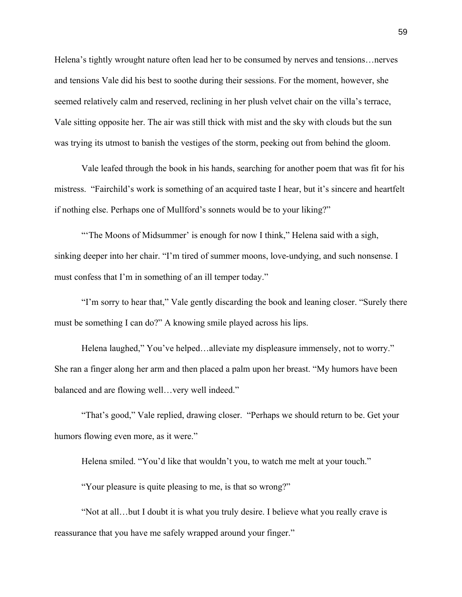Helena's tightly wrought nature often lead her to be consumed by nerves and tensions…nerves and tensions Vale did his best to soothe during their sessions. For the moment, however, she seemed relatively calm and reserved, reclining in her plush velvet chair on the villa's terrace, Vale sitting opposite her. The air was still thick with mist and the sky with clouds but the sun was trying its utmost to banish the vestiges of the storm, peeking out from behind the gloom.

Vale leafed through the book in his hands, searching for another poem that was fit for his mistress. "Fairchild's work is something of an acquired taste I hear, but it's sincere and heartfelt if nothing else. Perhaps one of Mullford's sonnets would be to your liking?"

"The Moons of Midsummer' is enough for now I think," Helena said with a sigh, sinking deeper into her chair. "I'm tired of summer moons, love-undying, and such nonsense. I must confess that I'm in something of an ill temper today."

"I'm sorry to hear that," Vale gently discarding the book and leaning closer. "Surely there must be something I can do?" A knowing smile played across his lips.

Helena laughed," You've helped…alleviate my displeasure immensely, not to worry." She ran a finger along her arm and then placed a palm upon her breast. "My humors have been balanced and are flowing well…very well indeed."

"That's good," Vale replied, drawing closer. "Perhaps we should return to be. Get your humors flowing even more, as it were."

Helena smiled. "You'd like that wouldn't you, to watch me melt at your touch."

"Your pleasure is quite pleasing to me, is that so wrong?"

"Not at all…but I doubt it is what you truly desire. I believe what you really crave is reassurance that you have me safely wrapped around your finger."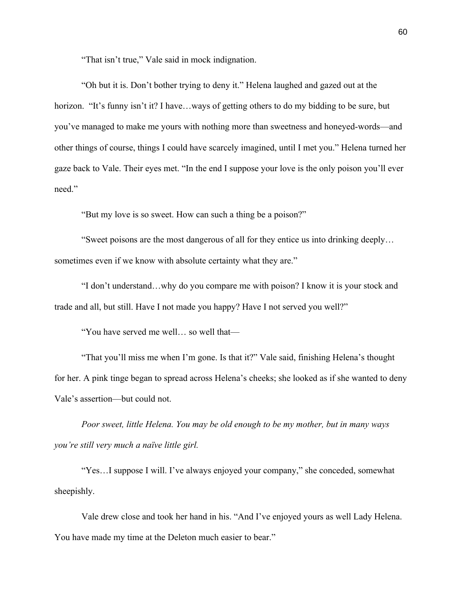"That isn't true," Vale said in mock indignation.

"Oh but it is. Don't bother trying to deny it." Helena laughed and gazed out at the horizon. "It's funny isn't it? I have...ways of getting others to do my bidding to be sure, but you've managed to make me yours with nothing more than sweetness and honeyed-words—and other things of course, things I could have scarcely imagined, until I met you." Helena turned her gaze back to Vale. Their eyes met. "In the end I suppose your love is the only poison you'll ever need."

"But my love is so sweet. How can such a thing be a poison?"

"Sweet poisons are the most dangerous of all for they entice us into drinking deeply… sometimes even if we know with absolute certainty what they are."

"I don't understand…why do you compare me with poison? I know it is your stock and trade and all, but still. Have I not made you happy? Have I not served you well?"

"You have served me well… so well that—

"That you'll miss me when I'm gone. Is that it?" Vale said, finishing Helena's thought for her. A pink tinge began to spread across Helena's cheeks; she looked as if she wanted to deny Vale's assertion—but could not.

*Poor sweet, little Helena. You may be old enough to be my mother, but in many ways you're still very much a naïve little girl.*

"Yes…I suppose I will. I've always enjoyed your company," she conceded, somewhat sheepishly.

Vale drew close and took her hand in his. "And I've enjoyed yours as well Lady Helena. You have made my time at the Deleton much easier to bear."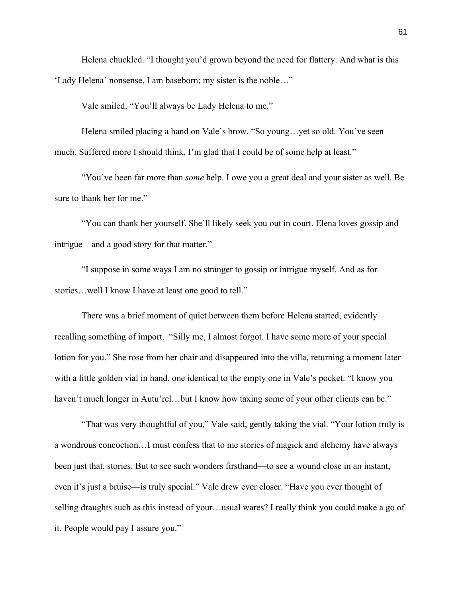Helena chuckled. "I thought you'd grown beyond the need for flattery. And what is this 'Lady Helena' nonsense, I am baseborn; my sister is the noble…"

Vale smiled. "You'll always be Lady Helena to me."

Helena smiled placing a hand on Vale's brow. "So young…yet so old. You've seen much. Suffered more I should think. I'm glad that I could be of some help at least."

"You've been far more than *some* help. I owe you a great deal and your sister as well. Be sure to thank her for me."

"You can thank her yourself. She'll likely seek you out in court. Elena loves gossip and intrigue—and a good story for that matter."

"I suppose in some ways I am no stranger to gossip or intrigue myself. And as for stories…well I know I have at least one good to tell."

There was a brief moment of quiet between them before Helena started, evidently recalling something of import. "Silly me, I almost forgot. I have some more of your special lotion for you." She rose from her chair and disappeared into the villa, returning a moment later with a little golden vial in hand, one identical to the empty one in Vale's pocket. "I know you haven't much longer in Autu'rel...but I know how taxing some of your other clients can be."

"That was very thoughtful of you," Vale said, gently taking the vial. "Your lotion truly is a wondrous concoction…I must confess that to me stories of magick and alchemy have always been just that, stories. But to see such wonders firsthand—to see a wound close in an instant, even it's just a bruise—is truly special." Vale drew ever closer. "Have you ever thought of selling draughts such as this instead of your…usual wares? I really think you could make a go of it. People would pay I assure you."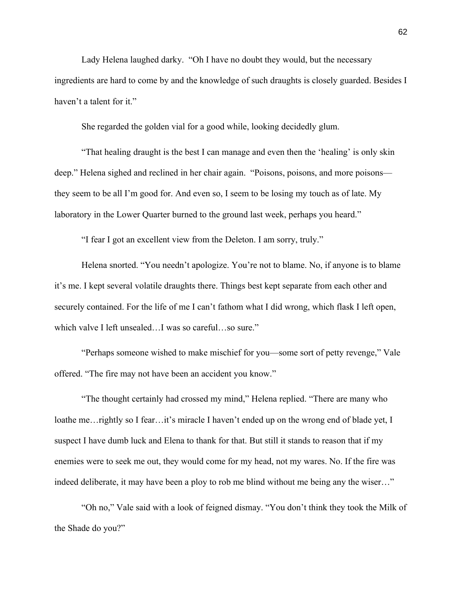Lady Helena laughed darky. "Oh I have no doubt they would, but the necessary ingredients are hard to come by and the knowledge of such draughts is closely guarded. Besides I haven't a talent for it."

She regarded the golden vial for a good while, looking decidedly glum.

"That healing draught is the best I can manage and even then the 'healing' is only skin deep." Helena sighed and reclined in her chair again. "Poisons, poisons, and more poisons they seem to be all I'm good for. And even so, I seem to be losing my touch as of late. My laboratory in the Lower Quarter burned to the ground last week, perhaps you heard."

"I fear I got an excellent view from the Deleton. I am sorry, truly."

Helena snorted. "You needn't apologize. You're not to blame. No, if anyone is to blame it's me. I kept several volatile draughts there. Things best kept separate from each other and securely contained. For the life of me I can't fathom what I did wrong, which flask I left open, which valve I left unsealed…I was so careful…so sure."

"Perhaps someone wished to make mischief for you—some sort of petty revenge," Vale offered. "The fire may not have been an accident you know."

"The thought certainly had crossed my mind," Helena replied. "There are many who loathe me... rightly so I fear... it's miracle I haven't ended up on the wrong end of blade yet, I suspect I have dumb luck and Elena to thank for that. But still it stands to reason that if my enemies were to seek me out, they would come for my head, not my wares. No. If the fire was indeed deliberate, it may have been a ploy to rob me blind without me being any the wiser…"

"Oh no," Vale said with a look of feigned dismay. "You don't think they took the Milk of the Shade do you?"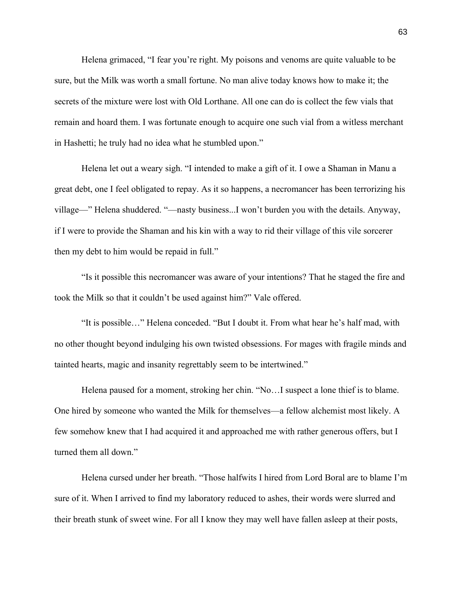Helena grimaced, "I fear you're right. My poisons and venoms are quite valuable to be sure, but the Milk was worth a small fortune. No man alive today knows how to make it; the secrets of the mixture were lost with Old Lorthane. All one can do is collect the few vials that remain and hoard them. I was fortunate enough to acquire one such vial from a witless merchant in Hashetti; he truly had no idea what he stumbled upon."

Helena let out a weary sigh. "I intended to make a gift of it. I owe a Shaman in Manu a great debt, one I feel obligated to repay. As it so happens, a necromancer has been terrorizing his village—" Helena shuddered. "—nasty business...I won't burden you with the details. Anyway, if I were to provide the Shaman and his kin with a way to rid their village of this vile sorcerer then my debt to him would be repaid in full."

"Is it possible this necromancer was aware of your intentions? That he staged the fire and took the Milk so that it couldn't be used against him?" Vale offered.

"It is possible…" Helena conceded. "But I doubt it. From what hear he's half mad, with no other thought beyond indulging his own twisted obsessions. For mages with fragile minds and tainted hearts, magic and insanity regrettably seem to be intertwined."

Helena paused for a moment, stroking her chin. "No…I suspect a lone thief is to blame. One hired by someone who wanted the Milk for themselves—a fellow alchemist most likely. A few somehow knew that I had acquired it and approached me with rather generous offers, but I turned them all down."

Helena cursed under her breath. "Those halfwits I hired from Lord Boral are to blame I'm sure of it. When I arrived to find my laboratory reduced to ashes, their words were slurred and their breath stunk of sweet wine. For all I know they may well have fallen asleep at their posts,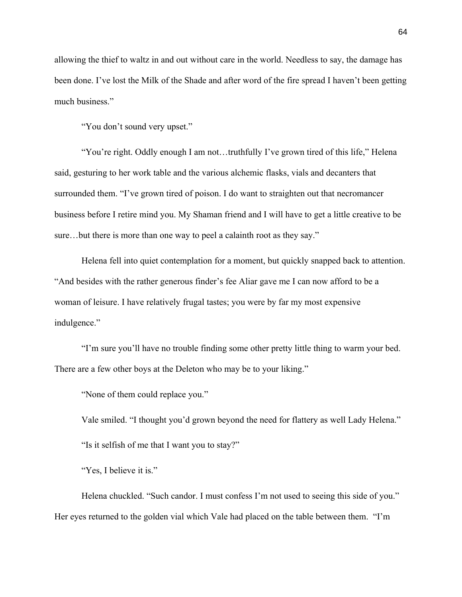allowing the thief to waltz in and out without care in the world. Needless to say, the damage has been done. I've lost the Milk of the Shade and after word of the fire spread I haven't been getting much business."

"You don't sound very upset."

"You're right. Oddly enough I am not…truthfully I've grown tired of this life," Helena said, gesturing to her work table and the various alchemic flasks, vials and decanters that surrounded them. "I've grown tired of poison. I do want to straighten out that necromancer business before I retire mind you. My Shaman friend and I will have to get a little creative to be sure…but there is more than one way to peel a calainth root as they say."

Helena fell into quiet contemplation for a moment, but quickly snapped back to attention. "And besides with the rather generous finder's fee Aliar gave me I can now afford to be a woman of leisure. I have relatively frugal tastes; you were by far my most expensive indulgence."

"I'm sure you'll have no trouble finding some other pretty little thing to warm your bed. There are a few other boys at the Deleton who may be to your liking."

"None of them could replace you."

Vale smiled. "I thought you'd grown beyond the need for flattery as well Lady Helena." "Is it selfish of me that I want you to stay?"

"Yes, I believe it is."

Helena chuckled. "Such candor. I must confess I'm not used to seeing this side of you." Her eyes returned to the golden vial which Vale had placed on the table between them. "I'm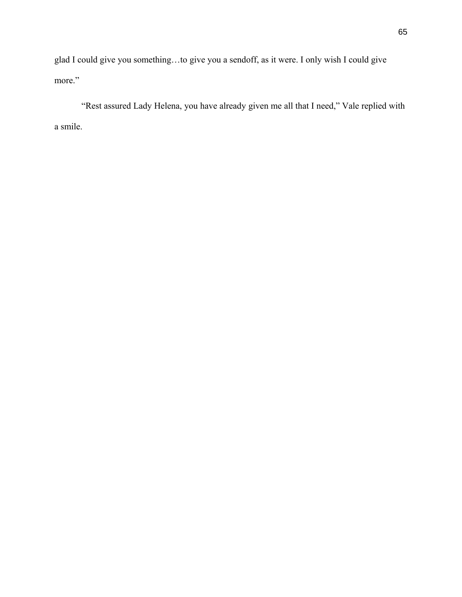glad I could give you something…to give you a sendoff, as it were. I only wish I could give more."

"Rest assured Lady Helena, you have already given me all that I need," Vale replied with a smile.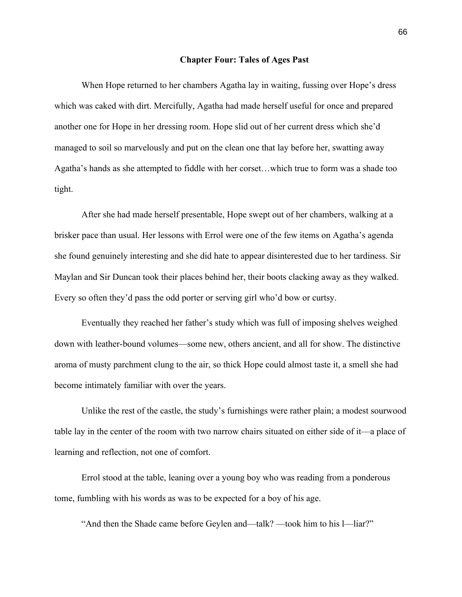### **Chapter Four: Tales of Ages Past**

When Hope returned to her chambers Agatha lay in waiting, fussing over Hope's dress which was caked with dirt. Mercifully, Agatha had made herself useful for once and prepared another one for Hope in her dressing room. Hope slid out of her current dress which she'd managed to soil so marvelously and put on the clean one that lay before her, swatting away Agatha's hands as she attempted to fiddle with her corset…which true to form was a shade too tight.

After she had made herself presentable, Hope swept out of her chambers, walking at a brisker pace than usual. Her lessons with Errol were one of the few items on Agatha's agenda she found genuinely interesting and she did hate to appear disinterested due to her tardiness. Sir Maylan and Sir Duncan took their places behind her, their boots clacking away as they walked. Every so often they'd pass the odd porter or serving girl who'd bow or curtsy.

Eventually they reached her father's study which was full of imposing shelves weighed down with leather-bound volumes—some new, others ancient, and all for show. The distinctive aroma of musty parchment clung to the air, so thick Hope could almost taste it, a smell she had become intimately familiar with over the years.

Unlike the rest of the castle, the study's furnishings were rather plain; a modest sourwood table lay in the center of the room with two narrow chairs situated on either side of it—a place of learning and reflection, not one of comfort.

Errol stood at the table, leaning over a young boy who was reading from a ponderous tome, fumbling with his words as was to be expected for a boy of his age.

"And then the Shade came before Geylen and—talk? —took him to his l—liar?"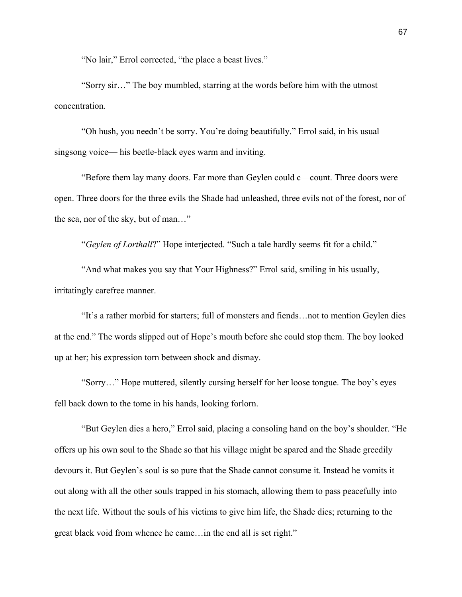"No lair," Errol corrected, "the place a beast lives."

"Sorry sir…" The boy mumbled, starring at the words before him with the utmost concentration.

"Oh hush, you needn't be sorry. You're doing beautifully." Errol said, in his usual singsong voice— his beetle-black eyes warm and inviting.

"Before them lay many doors. Far more than Geylen could c—count. Three doors were open. Three doors for the three evils the Shade had unleashed, three evils not of the forest, nor of the sea, nor of the sky, but of man…"

"*Geylen of Lorthall*?" Hope interjected. "Such a tale hardly seems fit for a child."

"And what makes you say that Your Highness?" Errol said, smiling in his usually, irritatingly carefree manner.

"It's a rather morbid for starters; full of monsters and fiends…not to mention Geylen dies at the end." The words slipped out of Hope's mouth before she could stop them. The boy looked up at her; his expression torn between shock and dismay.

"Sorry…" Hope muttered, silently cursing herself for her loose tongue. The boy's eyes fell back down to the tome in his hands, looking forlorn.

"But Geylen dies a hero," Errol said, placing a consoling hand on the boy's shoulder. "He offers up his own soul to the Shade so that his village might be spared and the Shade greedily devours it. But Geylen's soul is so pure that the Shade cannot consume it. Instead he vomits it out along with all the other souls trapped in his stomach, allowing them to pass peacefully into the next life. Without the souls of his victims to give him life, the Shade dies; returning to the great black void from whence he came…in the end all is set right."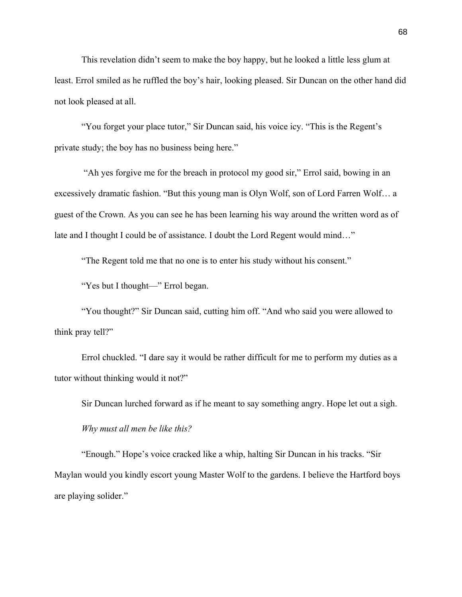This revelation didn't seem to make the boy happy, but he looked a little less glum at least. Errol smiled as he ruffled the boy's hair, looking pleased. Sir Duncan on the other hand did not look pleased at all.

"You forget your place tutor," Sir Duncan said, his voice icy. "This is the Regent's private study; the boy has no business being here."

"Ah yes forgive me for the breach in protocol my good sir," Errol said, bowing in an excessively dramatic fashion. "But this young man is Olyn Wolf, son of Lord Farren Wolf… a guest of the Crown. As you can see he has been learning his way around the written word as of late and I thought I could be of assistance. I doubt the Lord Regent would mind…"

"The Regent told me that no one is to enter his study without his consent."

"Yes but I thought—" Errol began.

"You thought?" Sir Duncan said, cutting him off. "And who said you were allowed to think pray tell?"

Errol chuckled. "I dare say it would be rather difficult for me to perform my duties as a tutor without thinking would it not?"

Sir Duncan lurched forward as if he meant to say something angry. Hope let out a sigh.

*Why must all men be like this?*

"Enough." Hope's voice cracked like a whip, halting Sir Duncan in his tracks. "Sir Maylan would you kindly escort young Master Wolf to the gardens. I believe the Hartford boys are playing solider."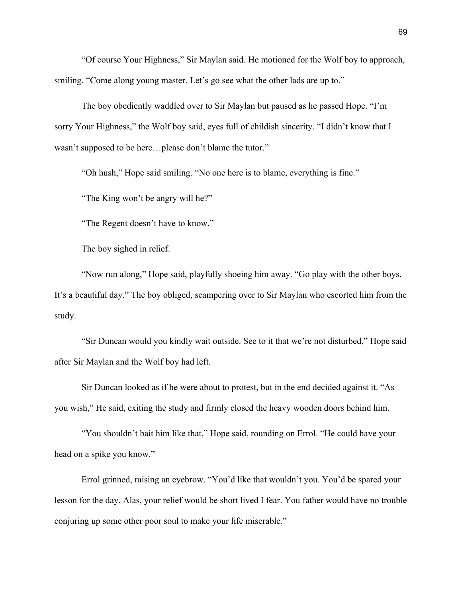"Of course Your Highness," Sir Maylan said. He motioned for the Wolf boy to approach, smiling. "Come along young master. Let's go see what the other lads are up to."

The boy obediently waddled over to Sir Maylan but paused as he passed Hope. "I'm sorry Your Highness," the Wolf boy said, eyes full of childish sincerity. "I didn't know that I wasn't supposed to be here…please don't blame the tutor."

"Oh hush," Hope said smiling. "No one here is to blame, everything is fine."

"The King won't be angry will he?"

"The Regent doesn't have to know."

The boy sighed in relief.

"Now run along," Hope said, playfully shoeing him away. "Go play with the other boys. It's a beautiful day." The boy obliged, scampering over to Sir Maylan who escorted him from the study.

"Sir Duncan would you kindly wait outside. See to it that we're not disturbed," Hope said after Sir Maylan and the Wolf boy had left.

Sir Duncan looked as if he were about to protest, but in the end decided against it. "As you wish," He said, exiting the study and firmly closed the heavy wooden doors behind him.

"You shouldn't bait him like that," Hope said, rounding on Errol. "He could have your head on a spike you know."

Errol grinned, raising an eyebrow. "You'd like that wouldn't you. You'd be spared your lesson for the day. Alas, your relief would be short lived I fear. You father would have no trouble conjuring up some other poor soul to make your life miserable."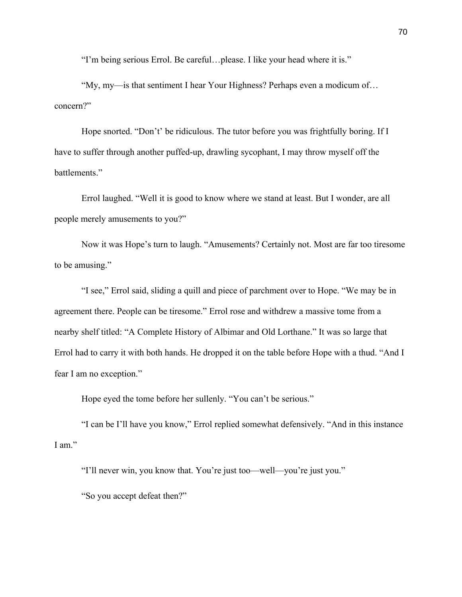"I'm being serious Errol. Be careful…please. I like your head where it is."

"My, my—is that sentiment I hear Your Highness? Perhaps even a modicum of… concern?"

Hope snorted. "Don't' be ridiculous. The tutor before you was frightfully boring. If I have to suffer through another puffed-up, drawling sycophant, I may throw myself off the battlements."

Errol laughed. "Well it is good to know where we stand at least. But I wonder, are all people merely amusements to you?"

Now it was Hope's turn to laugh. "Amusements? Certainly not. Most are far too tiresome to be amusing."

"I see," Errol said, sliding a quill and piece of parchment over to Hope. "We may be in agreement there. People can be tiresome." Errol rose and withdrew a massive tome from a nearby shelf titled: "A Complete History of Albimar and Old Lorthane." It was so large that Errol had to carry it with both hands. He dropped it on the table before Hope with a thud. "And I fear I am no exception."

Hope eyed the tome before her sullenly. "You can't be serious."

"I can be I'll have you know," Errol replied somewhat defensively. "And in this instance I am."

"I'll never win, you know that. You're just too—well—you're just you."

"So you accept defeat then?"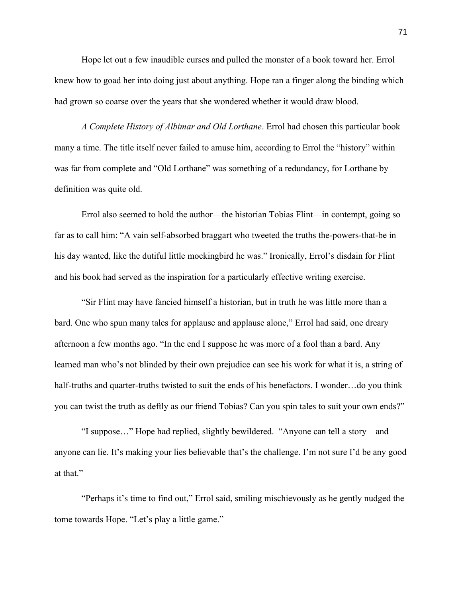Hope let out a few inaudible curses and pulled the monster of a book toward her. Errol knew how to goad her into doing just about anything. Hope ran a finger along the binding which had grown so coarse over the years that she wondered whether it would draw blood.

*A Complete History of Albimar and Old Lorthane*. Errol had chosen this particular book many a time. The title itself never failed to amuse him, according to Errol the "history" within was far from complete and "Old Lorthane" was something of a redundancy, for Lorthane by definition was quite old.

Errol also seemed to hold the author—the historian Tobias Flint—in contempt, going so far as to call him: "A vain self-absorbed braggart who tweeted the truths the-powers-that-be in his day wanted, like the dutiful little mockingbird he was." Ironically, Errol's disdain for Flint and his book had served as the inspiration for a particularly effective writing exercise.

"Sir Flint may have fancied himself a historian, but in truth he was little more than a bard. One who spun many tales for applause and applause alone," Errol had said, one dreary afternoon a few months ago. "In the end I suppose he was more of a fool than a bard. Any learned man who's not blinded by their own prejudice can see his work for what it is, a string of half-truths and quarter-truths twisted to suit the ends of his benefactors. I wonder...do you think you can twist the truth as deftly as our friend Tobias? Can you spin tales to suit your own ends?"

"I suppose…" Hope had replied, slightly bewildered. "Anyone can tell a story—and anyone can lie. It's making your lies believable that's the challenge. I'm not sure I'd be any good at that."

"Perhaps it's time to find out," Errol said, smiling mischievously as he gently nudged the tome towards Hope. "Let's play a little game."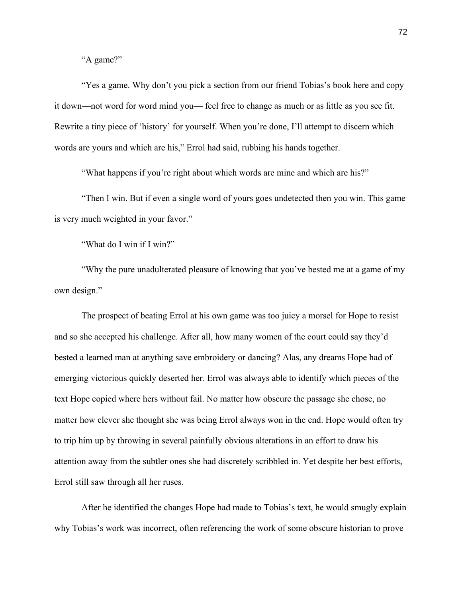"A game?"

"Yes a game. Why don't you pick a section from our friend Tobias's book here and copy it down—not word for word mind you— feel free to change as much or as little as you see fit. Rewrite a tiny piece of 'history' for yourself. When you're done, I'll attempt to discern which words are yours and which are his," Errol had said, rubbing his hands together.

"What happens if you're right about which words are mine and which are his?"

"Then I win. But if even a single word of yours goes undetected then you win. This game is very much weighted in your favor."

"What do I win if I win?"

"Why the pure unadulterated pleasure of knowing that you've bested me at a game of my own design."

The prospect of beating Errol at his own game was too juicy a morsel for Hope to resist and so she accepted his challenge. After all, how many women of the court could say they'd bested a learned man at anything save embroidery or dancing? Alas, any dreams Hope had of emerging victorious quickly deserted her. Errol was always able to identify which pieces of the text Hope copied where hers without fail. No matter how obscure the passage she chose, no matter how clever she thought she was being Errol always won in the end. Hope would often try to trip him up by throwing in several painfully obvious alterations in an effort to draw his attention away from the subtler ones she had discretely scribbled in. Yet despite her best efforts, Errol still saw through all her ruses.

After he identified the changes Hope had made to Tobias's text, he would smugly explain why Tobias's work was incorrect, often referencing the work of some obscure historian to prove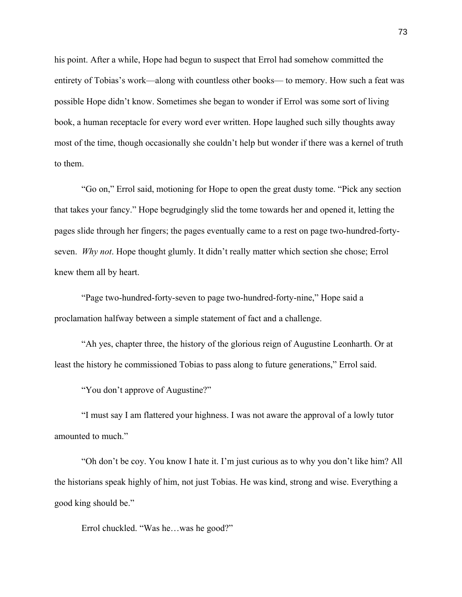his point. After a while, Hope had begun to suspect that Errol had somehow committed the entirety of Tobias's work—along with countless other books— to memory. How such a feat was possible Hope didn't know. Sometimes she began to wonder if Errol was some sort of living book, a human receptacle for every word ever written. Hope laughed such silly thoughts away most of the time, though occasionally she couldn't help but wonder if there was a kernel of truth to them.

"Go on," Errol said, motioning for Hope to open the great dusty tome. "Pick any section that takes your fancy." Hope begrudgingly slid the tome towards her and opened it, letting the pages slide through her fingers; the pages eventually came to a rest on page two-hundred-fortyseven. *Why not*. Hope thought glumly. It didn't really matter which section she chose; Errol knew them all by heart.

"Page two-hundred-forty-seven to page two-hundred-forty-nine," Hope said a proclamation halfway between a simple statement of fact and a challenge.

"Ah yes, chapter three, the history of the glorious reign of Augustine Leonharth. Or at least the history he commissioned Tobias to pass along to future generations," Errol said.

"You don't approve of Augustine?"

"I must say I am flattered your highness. I was not aware the approval of a lowly tutor amounted to much."

"Oh don't be coy. You know I hate it. I'm just curious as to why you don't like him? All the historians speak highly of him, not just Tobias. He was kind, strong and wise. Everything a good king should be."

Errol chuckled. "Was he…was he good?"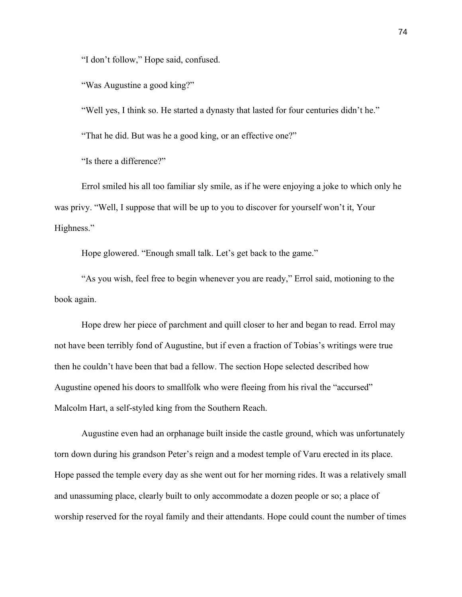"I don't follow," Hope said, confused.

"Was Augustine a good king?"

"Well yes, I think so. He started a dynasty that lasted for four centuries didn't he."

"That he did. But was he a good king, or an effective one?"

"Is there a difference?"

Errol smiled his all too familiar sly smile, as if he were enjoying a joke to which only he was privy. "Well, I suppose that will be up to you to discover for yourself won't it, Your Highness."

Hope glowered. "Enough small talk. Let's get back to the game."

"As you wish, feel free to begin whenever you are ready," Errol said, motioning to the book again.

Hope drew her piece of parchment and quill closer to her and began to read. Errol may not have been terribly fond of Augustine, but if even a fraction of Tobias's writings were true then he couldn't have been that bad a fellow. The section Hope selected described how Augustine opened his doors to smallfolk who were fleeing from his rival the "accursed" Malcolm Hart, a self-styled king from the Southern Reach.

Augustine even had an orphanage built inside the castle ground, which was unfortunately torn down during his grandson Peter's reign and a modest temple of Varu erected in its place. Hope passed the temple every day as she went out for her morning rides. It was a relatively small and unassuming place, clearly built to only accommodate a dozen people or so; a place of worship reserved for the royal family and their attendants. Hope could count the number of times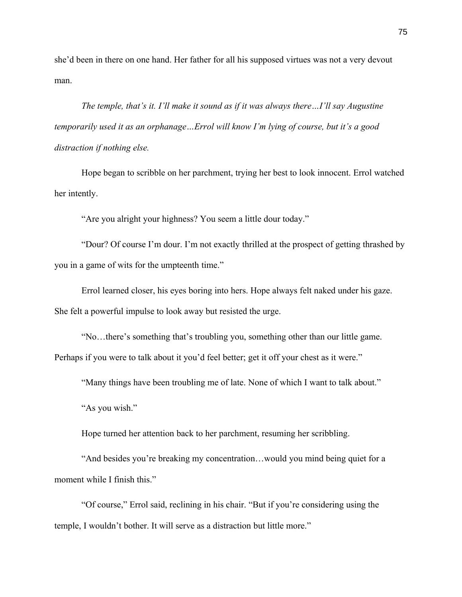she'd been in there on one hand. Her father for all his supposed virtues was not a very devout man.

*The temple, that's it. I'll make it sound as if it was always there…I'll say Augustine temporarily used it as an orphanage…Errol will know I'm lying of course, but it's a good distraction if nothing else.*

Hope began to scribble on her parchment, trying her best to look innocent. Errol watched her intently.

"Are you alright your highness? You seem a little dour today."

"Dour? Of course I'm dour. I'm not exactly thrilled at the prospect of getting thrashed by you in a game of wits for the umpteenth time."

Errol learned closer, his eyes boring into hers. Hope always felt naked under his gaze. She felt a powerful impulse to look away but resisted the urge.

"No…there's something that's troubling you, something other than our little game. Perhaps if you were to talk about it you'd feel better; get it off your chest as it were."

"Many things have been troubling me of late. None of which I want to talk about."

"As you wish."

Hope turned her attention back to her parchment, resuming her scribbling.

"And besides you're breaking my concentration…would you mind being quiet for a moment while I finish this."

"Of course," Errol said, reclining in his chair. "But if you're considering using the temple, I wouldn't bother. It will serve as a distraction but little more."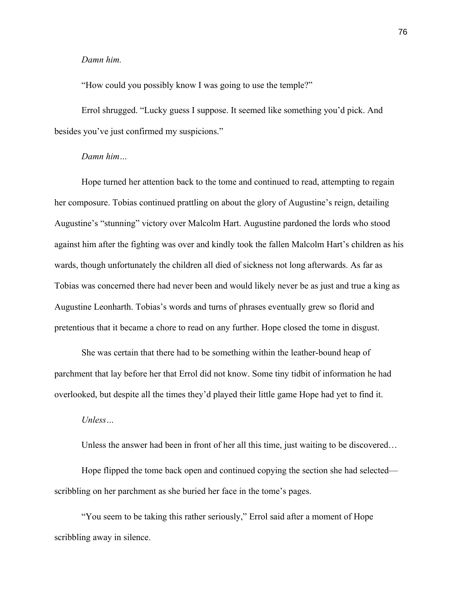# *Damn him.*

"How could you possibly know I was going to use the temple?"

Errol shrugged. "Lucky guess I suppose. It seemed like something you'd pick. And besides you've just confirmed my suspicions."

# *Damn him…*

Hope turned her attention back to the tome and continued to read, attempting to regain her composure. Tobias continued prattling on about the glory of Augustine's reign, detailing Augustine's "stunning" victory over Malcolm Hart. Augustine pardoned the lords who stood against him after the fighting was over and kindly took the fallen Malcolm Hart's children as his wards, though unfortunately the children all died of sickness not long afterwards. As far as Tobias was concerned there had never been and would likely never be as just and true a king as Augustine Leonharth. Tobias's words and turns of phrases eventually grew so florid and pretentious that it became a chore to read on any further. Hope closed the tome in disgust.

She was certain that there had to be something within the leather-bound heap of parchment that lay before her that Errol did not know. Some tiny tidbit of information he had overlooked, but despite all the times they'd played their little game Hope had yet to find it.

# *Unless…*

Unless the answer had been in front of her all this time, just waiting to be discovered…

Hope flipped the tome back open and continued copying the section she had selected scribbling on her parchment as she buried her face in the tome's pages.

"You seem to be taking this rather seriously," Errol said after a moment of Hope scribbling away in silence.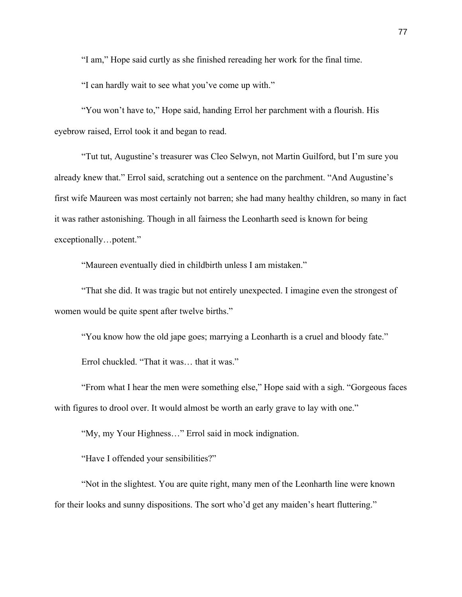"I am," Hope said curtly as she finished rereading her work for the final time.

"I can hardly wait to see what you've come up with."

"You won't have to," Hope said, handing Errol her parchment with a flourish. His eyebrow raised, Errol took it and began to read.

"Tut tut, Augustine's treasurer was Cleo Selwyn, not Martin Guilford, but I'm sure you already knew that." Errol said, scratching out a sentence on the parchment. "And Augustine's first wife Maureen was most certainly not barren; she had many healthy children, so many in fact it was rather astonishing. Though in all fairness the Leonharth seed is known for being exceptionally…potent."

"Maureen eventually died in childbirth unless I am mistaken."

"That she did. It was tragic but not entirely unexpected. I imagine even the strongest of women would be quite spent after twelve births."

"You know how the old jape goes; marrying a Leonharth is a cruel and bloody fate."

Errol chuckled. "That it was… that it was."

"From what I hear the men were something else," Hope said with a sigh. "Gorgeous faces with figures to drool over. It would almost be worth an early grave to lay with one."

"My, my Your Highness…" Errol said in mock indignation.

"Have I offended your sensibilities?"

"Not in the slightest. You are quite right, many men of the Leonharth line were known for their looks and sunny dispositions. The sort who'd get any maiden's heart fluttering."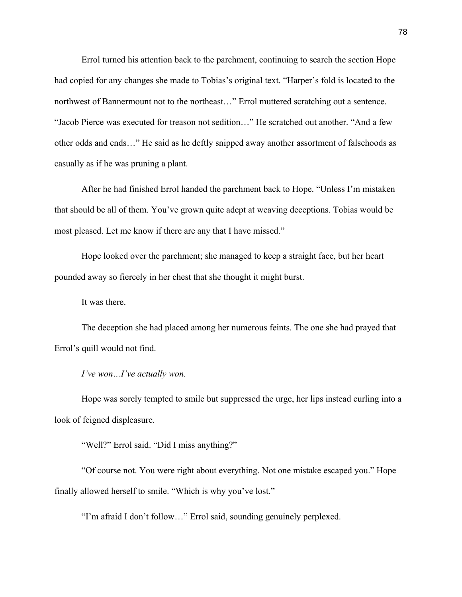Errol turned his attention back to the parchment, continuing to search the section Hope had copied for any changes she made to Tobias's original text. "Harper's fold is located to the northwest of Bannermount not to the northeast…" Errol muttered scratching out a sentence. "Jacob Pierce was executed for treason not sedition…" He scratched out another. "And a few other odds and ends…" He said as he deftly snipped away another assortment of falsehoods as casually as if he was pruning a plant.

After he had finished Errol handed the parchment back to Hope. "Unless I'm mistaken that should be all of them. You've grown quite adept at weaving deceptions. Tobias would be most pleased. Let me know if there are any that I have missed."

Hope looked over the parchment; she managed to keep a straight face, but her heart pounded away so fiercely in her chest that she thought it might burst.

It was there.

The deception she had placed among her numerous feints. The one she had prayed that Errol's quill would not find.

*I've won…I've actually won.*

Hope was sorely tempted to smile but suppressed the urge, her lips instead curling into a look of feigned displeasure.

"Well?" Errol said. "Did I miss anything?"

"Of course not. You were right about everything. Not one mistake escaped you." Hope finally allowed herself to smile. "Which is why you've lost."

"I'm afraid I don't follow…" Errol said, sounding genuinely perplexed.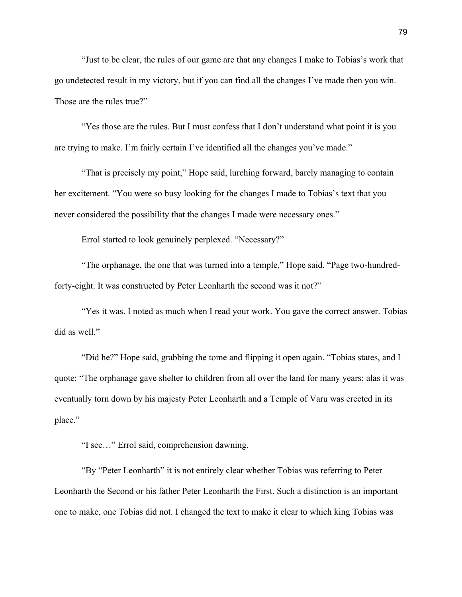"Just to be clear, the rules of our game are that any changes I make to Tobias's work that go undetected result in my victory, but if you can find all the changes I've made then you win. Those are the rules true?"

"Yes those are the rules. But I must confess that I don't understand what point it is you are trying to make. I'm fairly certain I've identified all the changes you've made."

"That is precisely my point," Hope said, lurching forward, barely managing to contain her excitement. "You were so busy looking for the changes I made to Tobias's text that you never considered the possibility that the changes I made were necessary ones."

Errol started to look genuinely perplexed. "Necessary?"

"The orphanage, the one that was turned into a temple," Hope said. "Page two-hundredforty-eight. It was constructed by Peter Leonharth the second was it not?"

"Yes it was. I noted as much when I read your work. You gave the correct answer. Tobias did as well."

"Did he?" Hope said, grabbing the tome and flipping it open again. "Tobias states, and I quote: "The orphanage gave shelter to children from all over the land for many years; alas it was eventually torn down by his majesty Peter Leonharth and a Temple of Varu was erected in its place."

"I see…" Errol said, comprehension dawning.

"By "Peter Leonharth" it is not entirely clear whether Tobias was referring to Peter Leonharth the Second or his father Peter Leonharth the First. Such a distinction is an important one to make, one Tobias did not. I changed the text to make it clear to which king Tobias was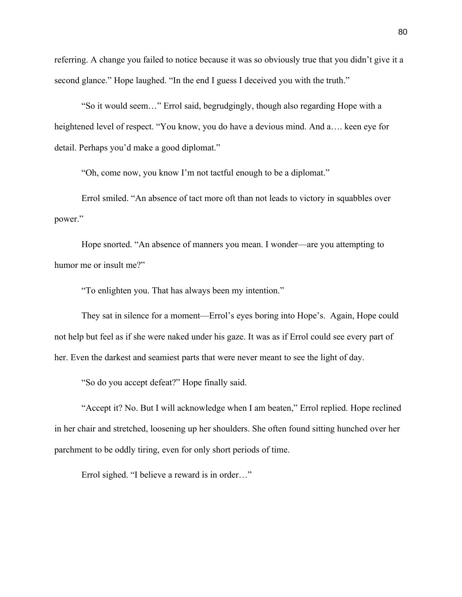referring. A change you failed to notice because it was so obviously true that you didn't give it a second glance." Hope laughed. "In the end I guess I deceived you with the truth."

"So it would seem…" Errol said, begrudgingly, though also regarding Hope with a heightened level of respect. "You know, you do have a devious mind. And a…. keen eye for detail. Perhaps you'd make a good diplomat."

"Oh, come now, you know I'm not tactful enough to be a diplomat."

Errol smiled. "An absence of tact more oft than not leads to victory in squabbles over power."

Hope snorted. "An absence of manners you mean. I wonder—are you attempting to humor me or insult me?"

"To enlighten you. That has always been my intention."

They sat in silence for a moment—Errol's eyes boring into Hope's. Again, Hope could not help but feel as if she were naked under his gaze. It was as if Errol could see every part of her. Even the darkest and seamiest parts that were never meant to see the light of day.

"So do you accept defeat?" Hope finally said.

"Accept it? No. But I will acknowledge when I am beaten," Errol replied. Hope reclined in her chair and stretched, loosening up her shoulders. She often found sitting hunched over her parchment to be oddly tiring, even for only short periods of time.

Errol sighed. "I believe a reward is in order…"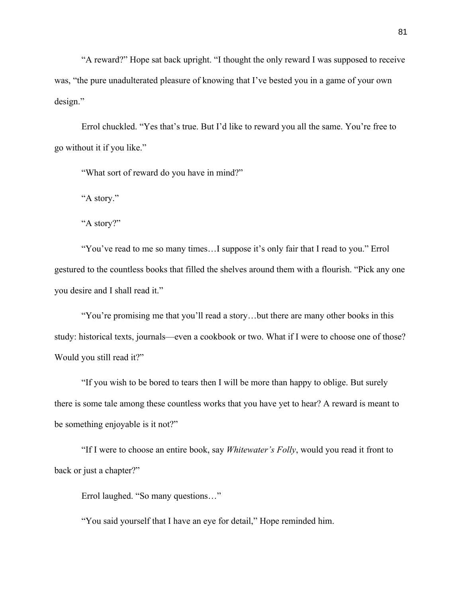"A reward?" Hope sat back upright. "I thought the only reward I was supposed to receive was, "the pure unadulterated pleasure of knowing that I've bested you in a game of your own design."

Errol chuckled. "Yes that's true. But I'd like to reward you all the same. You're free to go without it if you like."

"What sort of reward do you have in mind?"

"A story."

"A story?"

"You've read to me so many times…I suppose it's only fair that I read to you." Errol gestured to the countless books that filled the shelves around them with a flourish. "Pick any one you desire and I shall read it."

"You're promising me that you'll read a story…but there are many other books in this study: historical texts, journals—even a cookbook or two. What if I were to choose one of those? Would you still read it?"

"If you wish to be bored to tears then I will be more than happy to oblige. But surely there is some tale among these countless works that you have yet to hear? A reward is meant to be something enjoyable is it not?"

"If I were to choose an entire book, say *Whitewater's Folly*, would you read it front to back or just a chapter?"

Errol laughed. "So many questions…"

"You said yourself that I have an eye for detail," Hope reminded him.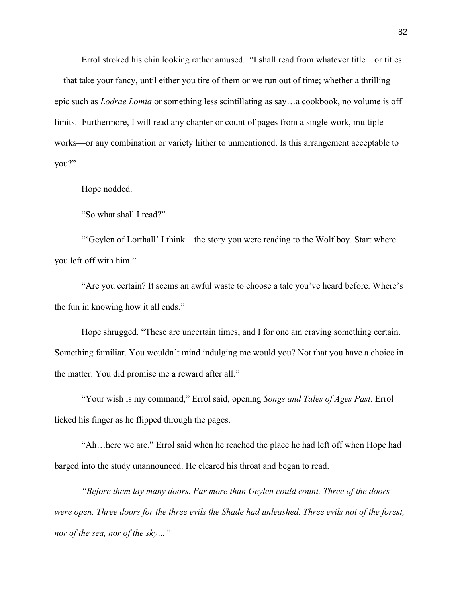Errol stroked his chin looking rather amused. "I shall read from whatever title—or titles —that take your fancy, until either you tire of them or we run out of time; whether a thrilling epic such as *Lodrae Lomia* or something less scintillating as say…a cookbook, no volume is off limits. Furthermore, I will read any chapter or count of pages from a single work, multiple works—or any combination or variety hither to unmentioned. Is this arrangement acceptable to you?"

Hope nodded.

"So what shall I read?"

"'Geylen of Lorthall' I think—the story you were reading to the Wolf boy. Start where you left off with him."

"Are you certain? It seems an awful waste to choose a tale you've heard before. Where's the fun in knowing how it all ends."

Hope shrugged. "These are uncertain times, and I for one am craving something certain. Something familiar. You wouldn't mind indulging me would you? Not that you have a choice in the matter. You did promise me a reward after all."

"Your wish is my command," Errol said, opening *Songs and Tales of Ages Past*. Errol licked his finger as he flipped through the pages.

"Ah…here we are," Errol said when he reached the place he had left off when Hope had barged into the study unannounced. He cleared his throat and began to read.

*"Before them lay many doors. Far more than Geylen could count. Three of the doors were open. Three doors for the three evils the Shade had unleashed. Three evils not of the forest, nor of the sea, nor of the sky…"*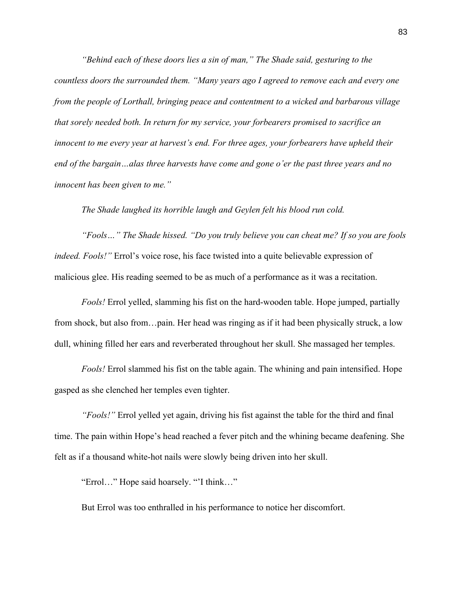*"Behind each of these doors lies a sin of man," The Shade said, gesturing to the countless doors the surrounded them. "Many years ago I agreed to remove each and every one from the people of Lorthall, bringing peace and contentment to a wicked and barbarous village that sorely needed both. In return for my service, your forbearers promised to sacrifice an innocent to me every year at harvest's end. For three ages, your forbearers have upheld their end of the bargain…alas three harvests have come and gone o'er the past three years and no innocent has been given to me."*

*The Shade laughed its horrible laugh and Geylen felt his blood run cold.*

*"Fools…" The Shade hissed. "Do you truly believe you can cheat me? If so you are fools indeed. Fools!"* Errol's voice rose, his face twisted into a quite believable expression of malicious glee. His reading seemed to be as much of a performance as it was a recitation.

*Fools!* Errol yelled, slamming his fist on the hard-wooden table. Hope jumped, partially from shock, but also from…pain. Her head was ringing as if it had been physically struck, a low dull, whining filled her ears and reverberated throughout her skull. She massaged her temples.

*Fools!* Errol slammed his fist on the table again. The whining and pain intensified. Hope gasped as she clenched her temples even tighter.

*"Fools!"* Errol yelled yet again, driving his fist against the table for the third and final time. The pain within Hope's head reached a fever pitch and the whining became deafening. She felt as if a thousand white-hot nails were slowly being driven into her skull.

"Errol…" Hope said hoarsely. "'I think…"

But Errol was too enthralled in his performance to notice her discomfort.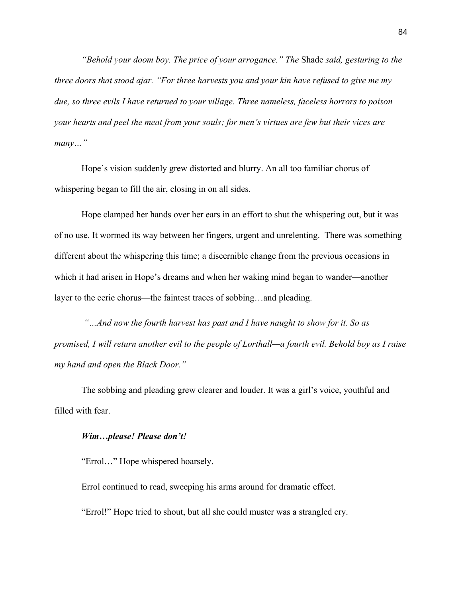*"Behold your doom boy. The price of your arrogance." The* Shade *said, gesturing to the three doors that stood ajar. "For three harvests you and your kin have refused to give me my due, so three evils I have returned to your village. Three nameless, faceless horrors to poison your hearts and peel the meat from your souls; for men's virtues are few but their vices are many…"*

Hope's vision suddenly grew distorted and blurry. An all too familiar chorus of whispering began to fill the air, closing in on all sides.

Hope clamped her hands over her ears in an effort to shut the whispering out, but it was of no use. It wormed its way between her fingers, urgent and unrelenting. There was something different about the whispering this time; a discernible change from the previous occasions in which it had arisen in Hope's dreams and when her waking mind began to wander—another layer to the eerie chorus—the faintest traces of sobbing…and pleading.

*"…And now the fourth harvest has past and I have naught to show for it. So as promised, I will return another evil to the people of Lorthall—a fourth evil. Behold boy as I raise my hand and open the Black Door."*

The sobbing and pleading grew clearer and louder. It was a girl's voice, youthful and filled with fear.

### *Wim…please! Please don't!*

"Errol…" Hope whispered hoarsely.

Errol continued to read, sweeping his arms around for dramatic effect.

"Errol!" Hope tried to shout, but all she could muster was a strangled cry.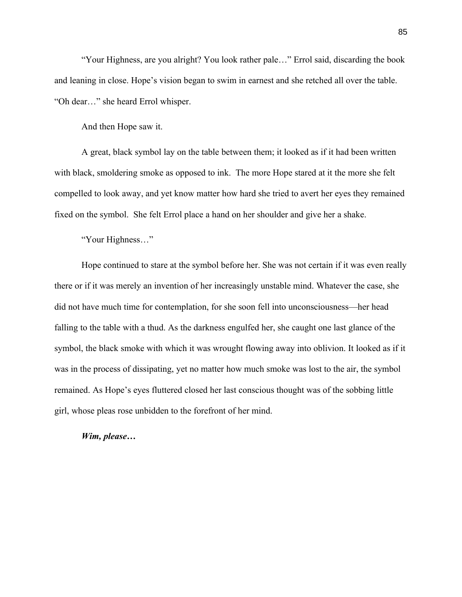"Your Highness, are you alright? You look rather pale…" Errol said, discarding the book and leaning in close. Hope's vision began to swim in earnest and she retched all over the table. "Oh dear…" she heard Errol whisper.

And then Hope saw it.

A great, black symbol lay on the table between them; it looked as if it had been written with black, smoldering smoke as opposed to ink. The more Hope stared at it the more she felt compelled to look away, and yet know matter how hard she tried to avert her eyes they remained fixed on the symbol. She felt Errol place a hand on her shoulder and give her a shake.

"Your Highness…"

Hope continued to stare at the symbol before her. She was not certain if it was even really there or if it was merely an invention of her increasingly unstable mind. Whatever the case, she did not have much time for contemplation, for she soon fell into unconsciousness—her head falling to the table with a thud. As the darkness engulfed her, she caught one last glance of the symbol, the black smoke with which it was wrought flowing away into oblivion. It looked as if it was in the process of dissipating, yet no matter how much smoke was lost to the air, the symbol remained. As Hope's eyes fluttered closed her last conscious thought was of the sobbing little girl, whose pleas rose unbidden to the forefront of her mind.

# *Wim, please…*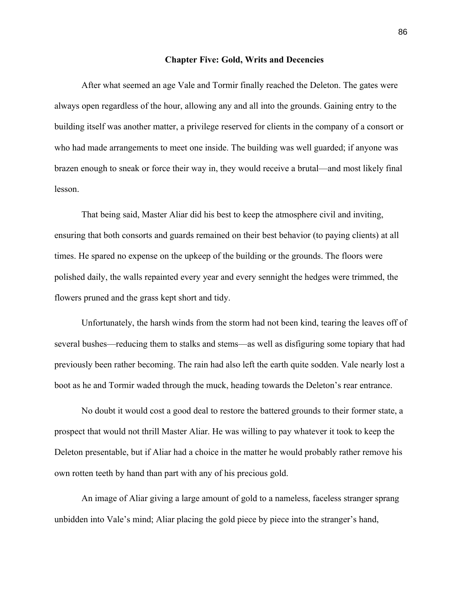#### **Chapter Five: Gold, Writs and Decencies**

After what seemed an age Vale and Tormir finally reached the Deleton. The gates were always open regardless of the hour, allowing any and all into the grounds. Gaining entry to the building itself was another matter, a privilege reserved for clients in the company of a consort or who had made arrangements to meet one inside. The building was well guarded; if anyone was brazen enough to sneak or force their way in, they would receive a brutal—and most likely final lesson.

That being said, Master Aliar did his best to keep the atmosphere civil and inviting, ensuring that both consorts and guards remained on their best behavior (to paying clients) at all times. He spared no expense on the upkeep of the building or the grounds. The floors were polished daily, the walls repainted every year and every sennight the hedges were trimmed, the flowers pruned and the grass kept short and tidy.

Unfortunately, the harsh winds from the storm had not been kind, tearing the leaves off of several bushes—reducing them to stalks and stems—as well as disfiguring some topiary that had previously been rather becoming. The rain had also left the earth quite sodden. Vale nearly lost a boot as he and Tormir waded through the muck, heading towards the Deleton's rear entrance.

No doubt it would cost a good deal to restore the battered grounds to their former state, a prospect that would not thrill Master Aliar. He was willing to pay whatever it took to keep the Deleton presentable, but if Aliar had a choice in the matter he would probably rather remove his own rotten teeth by hand than part with any of his precious gold.

An image of Aliar giving a large amount of gold to a nameless, faceless stranger sprang unbidden into Vale's mind; Aliar placing the gold piece by piece into the stranger's hand,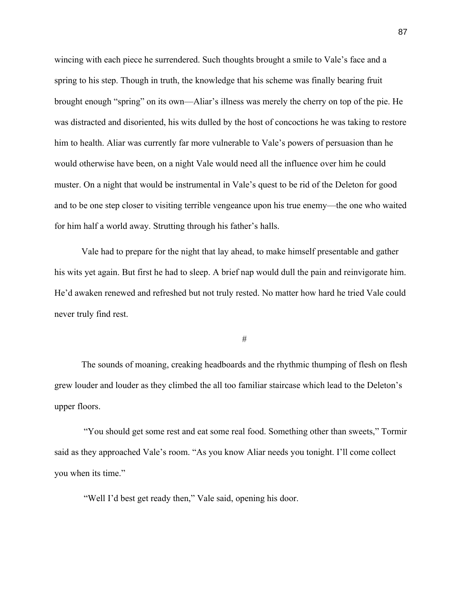wincing with each piece he surrendered. Such thoughts brought a smile to Vale's face and a spring to his step. Though in truth, the knowledge that his scheme was finally bearing fruit brought enough "spring" on its own—Aliar's illness was merely the cherry on top of the pie. He was distracted and disoriented, his wits dulled by the host of concoctions he was taking to restore him to health. Aliar was currently far more vulnerable to Vale's powers of persuasion than he would otherwise have been, on a night Vale would need all the influence over him he could muster. On a night that would be instrumental in Vale's quest to be rid of the Deleton for good and to be one step closer to visiting terrible vengeance upon his true enemy—the one who waited for him half a world away. Strutting through his father's halls.

Vale had to prepare for the night that lay ahead, to make himself presentable and gather his wits yet again. But first he had to sleep. A brief nap would dull the pain and reinvigorate him. He'd awaken renewed and refreshed but not truly rested. No matter how hard he tried Vale could never truly find rest.

#

The sounds of moaning, creaking headboards and the rhythmic thumping of flesh on flesh grew louder and louder as they climbed the all too familiar staircase which lead to the Deleton's upper floors.

"You should get some rest and eat some real food. Something other than sweets," Tormir said as they approached Vale's room. "As you know Aliar needs you tonight. I'll come collect you when its time."

"Well I'd best get ready then," Vale said, opening his door.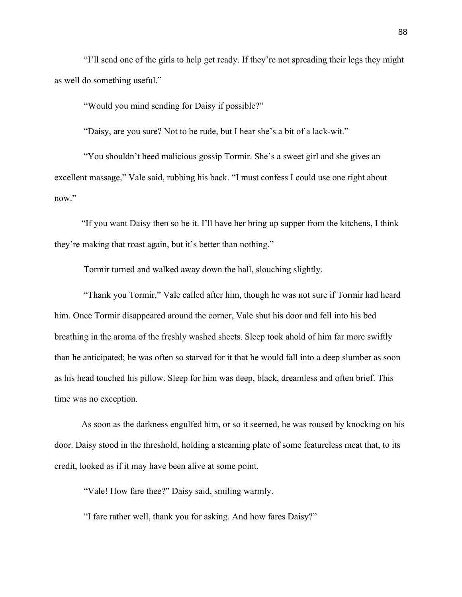"I'll send one of the girls to help get ready. If they're not spreading their legs they might as well do something useful."

"Would you mind sending for Daisy if possible?"

"Daisy, are you sure? Not to be rude, but I hear she's a bit of a lack-wit."

"You shouldn't heed malicious gossip Tormir. She's a sweet girl and she gives an excellent massage," Vale said, rubbing his back. "I must confess I could use one right about now."

"If you want Daisy then so be it. I'll have her bring up supper from the kitchens, I think they're making that roast again, but it's better than nothing."

Tormir turned and walked away down the hall, slouching slightly.

"Thank you Tormir," Vale called after him, though he was not sure if Tormir had heard him. Once Tormir disappeared around the corner, Vale shut his door and fell into his bed breathing in the aroma of the freshly washed sheets. Sleep took ahold of him far more swiftly than he anticipated; he was often so starved for it that he would fall into a deep slumber as soon as his head touched his pillow. Sleep for him was deep, black, dreamless and often brief. This time was no exception.

As soon as the darkness engulfed him, or so it seemed, he was roused by knocking on his door. Daisy stood in the threshold, holding a steaming plate of some featureless meat that, to its credit, looked as if it may have been alive at some point.

"Vale! How fare thee?" Daisy said, smiling warmly.

"I fare rather well, thank you for asking. And how fares Daisy?"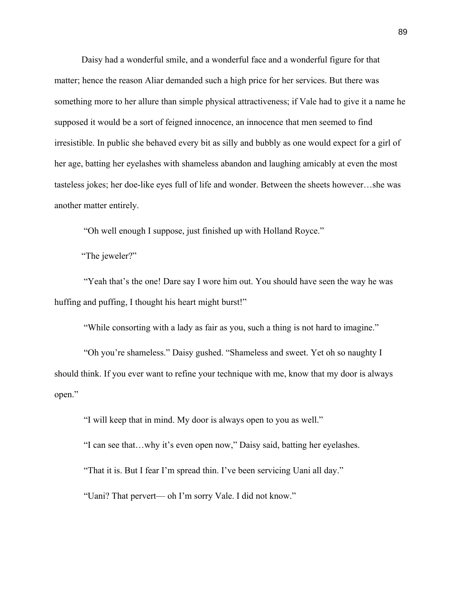Daisy had a wonderful smile, and a wonderful face and a wonderful figure for that matter; hence the reason Aliar demanded such a high price for her services. But there was something more to her allure than simple physical attractiveness; if Vale had to give it a name he supposed it would be a sort of feigned innocence, an innocence that men seemed to find irresistible. In public she behaved every bit as silly and bubbly as one would expect for a girl of her age, batting her eyelashes with shameless abandon and laughing amicably at even the most tasteless jokes; her doe-like eyes full of life and wonder. Between the sheets however…she was another matter entirely.

"Oh well enough I suppose, just finished up with Holland Royce."

"The jeweler?"

"Yeah that's the one! Dare say I wore him out. You should have seen the way he was huffing and puffing, I thought his heart might burst!"

"While consorting with a lady as fair as you, such a thing is not hard to imagine."

"Oh you're shameless." Daisy gushed. "Shameless and sweet. Yet oh so naughty I should think. If you ever want to refine your technique with me, know that my door is always open."

"I will keep that in mind. My door is always open to you as well."

"I can see that…why it's even open now," Daisy said, batting her eyelashes.

"That it is. But I fear I'm spread thin. I've been servicing Uani all day."

"Uani? That pervert— oh I'm sorry Vale. I did not know."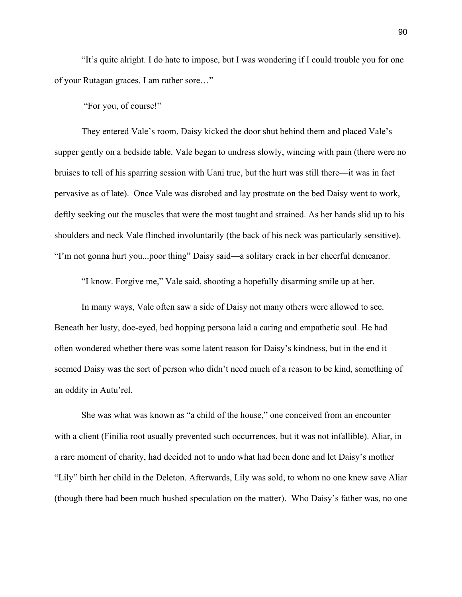"It's quite alright. I do hate to impose, but I was wondering if I could trouble you for one of your Rutagan graces. I am rather sore…"

"For you, of course!"

They entered Vale's room, Daisy kicked the door shut behind them and placed Vale's supper gently on a bedside table. Vale began to undress slowly, wincing with pain (there were no bruises to tell of his sparring session with Uani true, but the hurt was still there—it was in fact pervasive as of late). Once Vale was disrobed and lay prostrate on the bed Daisy went to work, deftly seeking out the muscles that were the most taught and strained. As her hands slid up to his shoulders and neck Vale flinched involuntarily (the back of his neck was particularly sensitive). "I'm not gonna hurt you...poor thing" Daisy said—a solitary crack in her cheerful demeanor.

"I know. Forgive me," Vale said, shooting a hopefully disarming smile up at her.

In many ways, Vale often saw a side of Daisy not many others were allowed to see. Beneath her lusty, doe-eyed, bed hopping persona laid a caring and empathetic soul. He had often wondered whether there was some latent reason for Daisy's kindness, but in the end it seemed Daisy was the sort of person who didn't need much of a reason to be kind, something of an oddity in Autu'rel.

She was what was known as "a child of the house," one conceived from an encounter with a client (Finilia root usually prevented such occurrences, but it was not infallible). Aliar, in a rare moment of charity, had decided not to undo what had been done and let Daisy's mother "Lily" birth her child in the Deleton. Afterwards, Lily was sold, to whom no one knew save Aliar (though there had been much hushed speculation on the matter). Who Daisy's father was, no one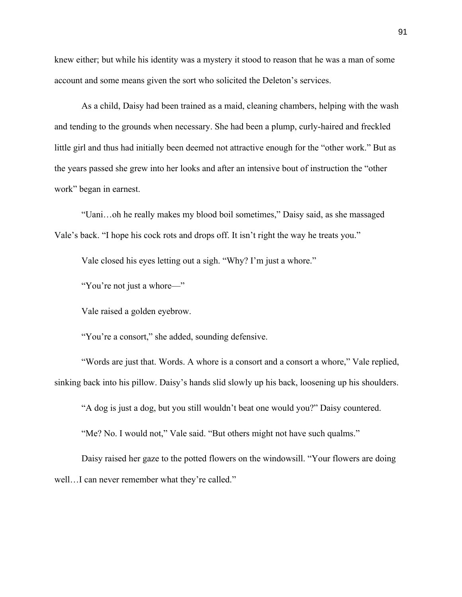knew either; but while his identity was a mystery it stood to reason that he was a man of some account and some means given the sort who solicited the Deleton's services.

As a child, Daisy had been trained as a maid, cleaning chambers, helping with the wash and tending to the grounds when necessary. She had been a plump, curly-haired and freckled little girl and thus had initially been deemed not attractive enough for the "other work." But as the years passed she grew into her looks and after an intensive bout of instruction the "other work" began in earnest.

"Uani…oh he really makes my blood boil sometimes," Daisy said, as she massaged Vale's back. "I hope his cock rots and drops off. It isn't right the way he treats you."

Vale closed his eyes letting out a sigh. "Why? I'm just a whore."

"You're not just a whore—"

Vale raised a golden eyebrow.

"You're a consort," she added, sounding defensive.

"Words are just that. Words. A whore is a consort and a consort a whore," Vale replied, sinking back into his pillow. Daisy's hands slid slowly up his back, loosening up his shoulders.

"A dog is just a dog, but you still wouldn't beat one would you?" Daisy countered.

"Me? No. I would not," Vale said. "But others might not have such qualms."

Daisy raised her gaze to the potted flowers on the windowsill. "Your flowers are doing well...I can never remember what they're called."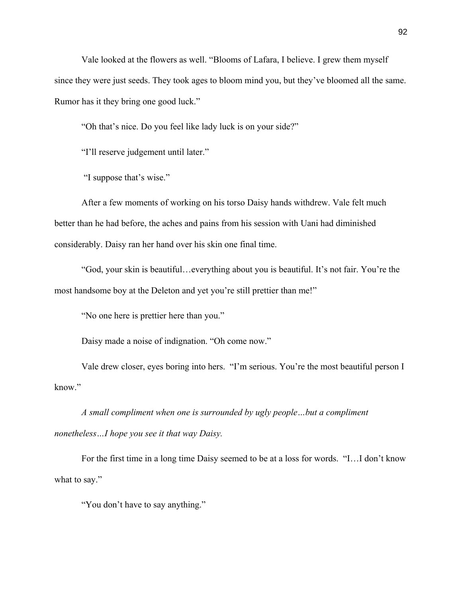Vale looked at the flowers as well. "Blooms of Lafara, I believe. I grew them myself since they were just seeds. They took ages to bloom mind you, but they've bloomed all the same. Rumor has it they bring one good luck."

"Oh that's nice. Do you feel like lady luck is on your side?"

"I'll reserve judgement until later."

"I suppose that's wise."

After a few moments of working on his torso Daisy hands withdrew. Vale felt much better than he had before, the aches and pains from his session with Uani had diminished considerably. Daisy ran her hand over his skin one final time.

"God, your skin is beautiful…everything about you is beautiful. It's not fair. You're the most handsome boy at the Deleton and yet you're still prettier than me!"

"No one here is prettier here than you."

Daisy made a noise of indignation. "Oh come now."

Vale drew closer, eyes boring into hers. "I'm serious. You're the most beautiful person I know."

*A small compliment when one is surrounded by ugly people…but a compliment nonetheless…I hope you see it that way Daisy.* 

For the first time in a long time Daisy seemed to be at a loss for words. "I…I don't know what to say."

"You don't have to say anything."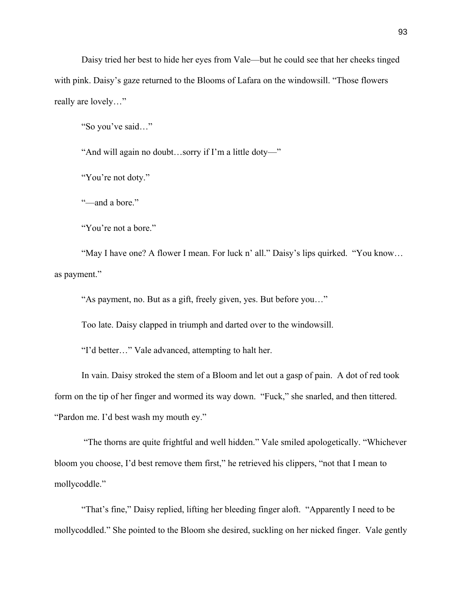Daisy tried her best to hide her eyes from Vale—but he could see that her cheeks tinged with pink. Daisy's gaze returned to the Blooms of Lafara on the windowsill. "Those flowers really are lovely…"

"So you've said…"

"And will again no doubt…sorry if I'm a little doty—"

"You're not doty."

"—and a bore."

"You're not a bore."

"May I have one? A flower I mean. For luck n' all." Daisy's lips quirked. "You know… as payment."

"As payment, no. But as a gift, freely given, yes. But before you…"

Too late. Daisy clapped in triumph and darted over to the windowsill.

"I'd better…" Vale advanced, attempting to halt her.

In vain. Daisy stroked the stem of a Bloom and let out a gasp of pain. A dot of red took form on the tip of her finger and wormed its way down. "Fuck," she snarled, and then tittered. "Pardon me. I'd best wash my mouth ey."

"The thorns are quite frightful and well hidden." Vale smiled apologetically. "Whichever bloom you choose, I'd best remove them first," he retrieved his clippers, "not that I mean to mollycoddle."

"That's fine," Daisy replied, lifting her bleeding finger aloft. "Apparently I need to be mollycoddled." She pointed to the Bloom she desired, suckling on her nicked finger. Vale gently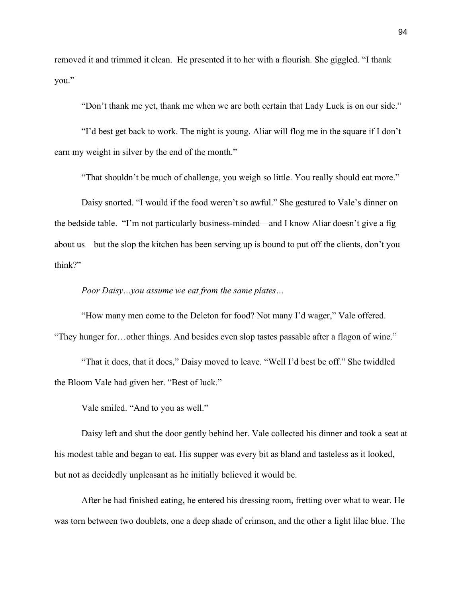removed it and trimmed it clean. He presented it to her with a flourish. She giggled. "I thank you."

"Don't thank me yet, thank me when we are both certain that Lady Luck is on our side."

"I'd best get back to work. The night is young. Aliar will flog me in the square if I don't earn my weight in silver by the end of the month."

"That shouldn't be much of challenge, you weigh so little. You really should eat more."

Daisy snorted. "I would if the food weren't so awful." She gestured to Vale's dinner on the bedside table. "I'm not particularly business-minded—and I know Aliar doesn't give a fig about us—but the slop the kitchen has been serving up is bound to put off the clients, don't you think?"

*Poor Daisy…you assume we eat from the same plates…*

"How many men come to the Deleton for food? Not many I'd wager," Vale offered. "They hunger for…other things. And besides even slop tastes passable after a flagon of wine."

"That it does, that it does," Daisy moved to leave. "Well I'd best be off." She twiddled the Bloom Vale had given her. "Best of luck."

Vale smiled. "And to you as well."

Daisy left and shut the door gently behind her. Vale collected his dinner and took a seat at his modest table and began to eat. His supper was every bit as bland and tasteless as it looked, but not as decidedly unpleasant as he initially believed it would be.

After he had finished eating, he entered his dressing room, fretting over what to wear. He was torn between two doublets, one a deep shade of crimson, and the other a light lilac blue. The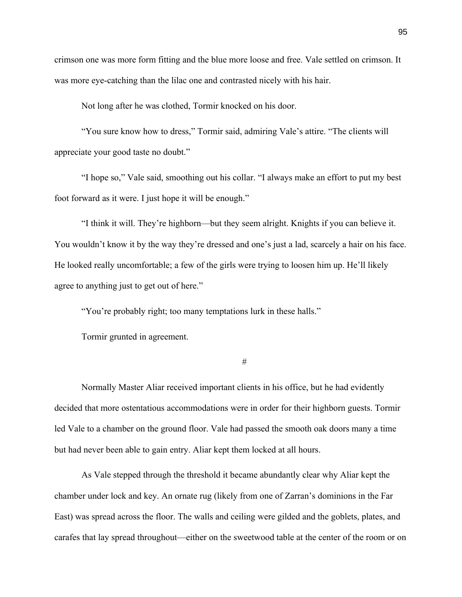crimson one was more form fitting and the blue more loose and free. Vale settled on crimson. It was more eye-catching than the lilac one and contrasted nicely with his hair.

Not long after he was clothed, Tormir knocked on his door.

"You sure know how to dress," Tormir said, admiring Vale's attire. "The clients will appreciate your good taste no doubt."

"I hope so," Vale said, smoothing out his collar. "I always make an effort to put my best foot forward as it were. I just hope it will be enough."

"I think it will. They're highborn—but they seem alright. Knights if you can believe it. You wouldn't know it by the way they're dressed and one's just a lad, scarcely a hair on his face. He looked really uncomfortable; a few of the girls were trying to loosen him up. He'll likely agree to anything just to get out of here."

"You're probably right; too many temptations lurk in these halls."

Tormir grunted in agreement.

#

Normally Master Aliar received important clients in his office, but he had evidently decided that more ostentatious accommodations were in order for their highborn guests. Tormir led Vale to a chamber on the ground floor. Vale had passed the smooth oak doors many a time but had never been able to gain entry. Aliar kept them locked at all hours.

As Vale stepped through the threshold it became abundantly clear why Aliar kept the chamber under lock and key. An ornate rug (likely from one of Zarran's dominions in the Far East) was spread across the floor. The walls and ceiling were gilded and the goblets, plates, and carafes that lay spread throughout—either on the sweetwood table at the center of the room or on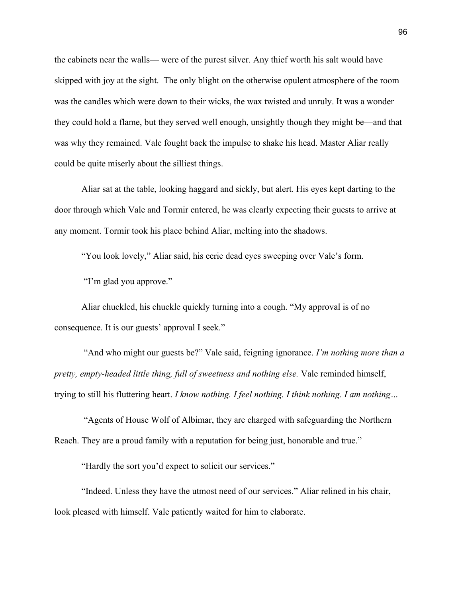the cabinets near the walls— were of the purest silver. Any thief worth his salt would have skipped with joy at the sight. The only blight on the otherwise opulent atmosphere of the room was the candles which were down to their wicks, the wax twisted and unruly. It was a wonder they could hold a flame, but they served well enough, unsightly though they might be—and that was why they remained. Vale fought back the impulse to shake his head. Master Aliar really could be quite miserly about the silliest things.

Aliar sat at the table, looking haggard and sickly, but alert. His eyes kept darting to the door through which Vale and Tormir entered, he was clearly expecting their guests to arrive at any moment. Tormir took his place behind Aliar, melting into the shadows.

"You look lovely," Aliar said, his eerie dead eyes sweeping over Vale's form.

"I'm glad you approve."

Aliar chuckled, his chuckle quickly turning into a cough. "My approval is of no consequence. It is our guests' approval I seek."

"And who might our guests be?" Vale said, feigning ignorance. *I'm nothing more than a pretty, empty-headed little thing, full of sweetness and nothing else.* Vale reminded himself, trying to still his fluttering heart. *I know nothing. I feel nothing. I think nothing. I am nothing…*

"Agents of House Wolf of Albimar, they are charged with safeguarding the Northern Reach. They are a proud family with a reputation for being just, honorable and true."

"Hardly the sort you'd expect to solicit our services."

"Indeed. Unless they have the utmost need of our services." Aliar relined in his chair, look pleased with himself. Vale patiently waited for him to elaborate.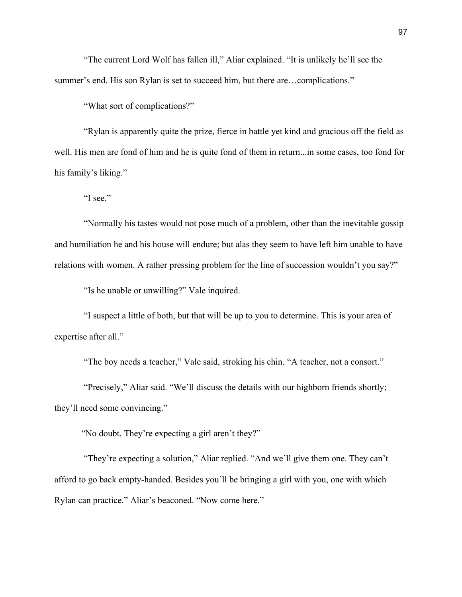"The current Lord Wolf has fallen ill," Aliar explained. "It is unlikely he'll see the summer's end. His son Rylan is set to succeed him, but there are...complications."

"What sort of complications?"

"Rylan is apparently quite the prize, fierce in battle yet kind and gracious off the field as well. His men are fond of him and he is quite fond of them in return...in some cases, too fond for his family's liking."

"I see."

"Normally his tastes would not pose much of a problem, other than the inevitable gossip and humiliation he and his house will endure; but alas they seem to have left him unable to have relations with women. A rather pressing problem for the line of succession wouldn't you say?"

"Is he unable or unwilling?" Vale inquired.

"I suspect a little of both, but that will be up to you to determine. This is your area of expertise after all."

"The boy needs a teacher," Vale said, stroking his chin. "A teacher, not a consort."

"Precisely," Aliar said. "We'll discuss the details with our highborn friends shortly; they'll need some convincing."

"No doubt. They're expecting a girl aren't they?"

"They're expecting a solution," Aliar replied. "And we'll give them one. They can't afford to go back empty-handed. Besides you'll be bringing a girl with you, one with which Rylan can practice." Aliar's beaconed. "Now come here."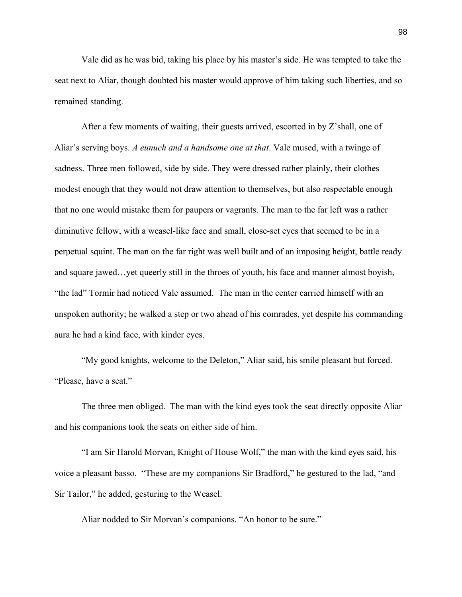Vale did as he was bid, taking his place by his master's side. He was tempted to take the seat next to Aliar, though doubted his master would approve of him taking such liberties, and so remained standing.

After a few moments of waiting, their guests arrived, escorted in by Z'shall, one of Aliar's serving boys. *A eunuch and a handsome one at that*. Vale mused, with a twinge of sadness. Three men followed, side by side. They were dressed rather plainly, their clothes modest enough that they would not draw attention to themselves, but also respectable enough that no one would mistake them for paupers or vagrants. The man to the far left was a rather diminutive fellow, with a weasel-like face and small, close-set eyes that seemed to be in a perpetual squint. The man on the far right was well built and of an imposing height, battle ready and square jawed…yet queerly still in the throes of youth, his face and manner almost boyish, "the lad" Tormir had noticed Vale assumed. The man in the center carried himself with an unspoken authority; he walked a step or two ahead of his comrades, yet despite his commanding aura he had a kind face, with kinder eyes.

"My good knights, welcome to the Deleton," Aliar said, his smile pleasant but forced. "Please, have a seat."

The three men obliged. The man with the kind eyes took the seat directly opposite Aliar and his companions took the seats on either side of him.

"I am Sir Harold Morvan, Knight of House Wolf," the man with the kind eyes said, his voice a pleasant basso. "These are my companions Sir Bradford," he gestured to the lad, "and Sir Tailor," he added, gesturing to the Weasel.

Aliar nodded to Sir Morvan's companions. "An honor to be sure."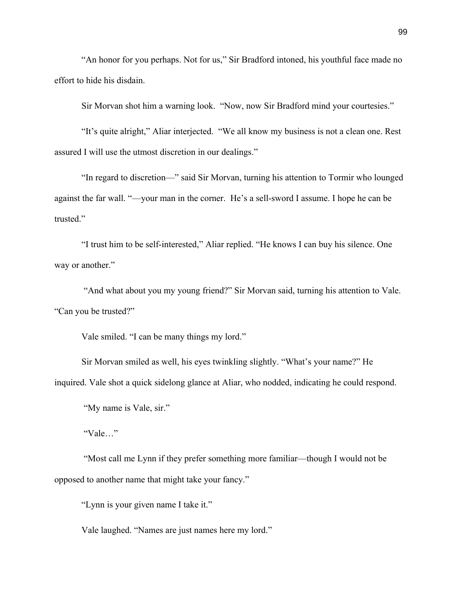"An honor for you perhaps. Not for us," Sir Bradford intoned, his youthful face made no effort to hide his disdain.

Sir Morvan shot him a warning look. "Now, now Sir Bradford mind your courtesies."

"It's quite alright," Aliar interjected. "We all know my business is not a clean one. Rest assured I will use the utmost discretion in our dealings."

"In regard to discretion—" said Sir Morvan, turning his attention to Tormir who lounged against the far wall. "—your man in the corner. He's a sell-sword I assume. I hope he can be trusted."

"I trust him to be self-interested," Aliar replied. "He knows I can buy his silence. One way or another."

"And what about you my young friend?" Sir Morvan said, turning his attention to Vale. "Can you be trusted?"

Vale smiled. "I can be many things my lord."

Sir Morvan smiled as well, his eyes twinkling slightly. "What's your name?" He inquired. Vale shot a quick sidelong glance at Aliar, who nodded, indicating he could respond.

"My name is Vale, sir."

"Vale…"

"Most call me Lynn if they prefer something more familiar—though I would not be opposed to another name that might take your fancy."

"Lynn is your given name I take it."

Vale laughed. "Names are just names here my lord."